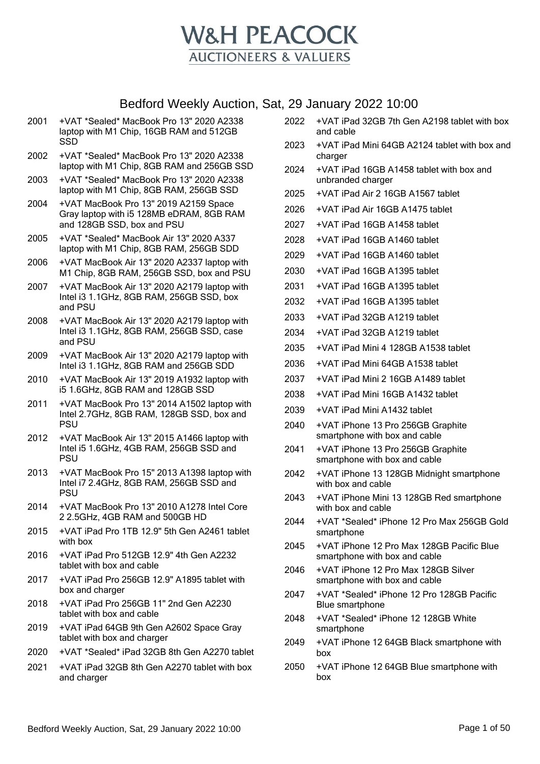

- 2001 +VAT \*Sealed\* MacBook Pro 13" 2020 A2338 laptop with M1 Chip, 16GB RAM and 512GB SSD
- 2002 +VAT \*Sealed\* MacBook Pro 13" 2020 A2338 laptop with M1 Chip, 8GB RAM and 256GB SSD
- 2003 +VAT \*Sealed\* MacBook Pro 13" 2020 A2338 laptop with M1 Chip, 8GB RAM, 256GB SSD
- 2004 +VAT MacBook Pro 13" 2019 A2159 Space Gray laptop with i5 128MB eDRAM, 8GB RAM and 128GB SSD, box and PSU
- 2005 +VAT \*Sealed\* MacBook Air 13" 2020 A337 laptop with M1 Chip, 8GB RAM, 256GB SDD
- 2006 +VAT MacBook Air 13" 2020 A2337 laptop with M1 Chip, 8GB RAM, 256GB SSD, box and PSU
- 2007 +VAT MacBook Air 13" 2020 A2179 laptop with Intel i3 1.1GHz, 8GB RAM, 256GB SSD, box and PSU
- 2008 +VAT MacBook Air 13" 2020 A2179 laptop with Intel i3 1.1GHz, 8GB RAM, 256GB SSD, case and PSU
- 2009 +VAT MacBook Air 13" 2020 A2179 laptop with Intel i3 1.1GHz, 8GB RAM and 256GB SDD
- 2010 +VAT MacBook Air 13" 2019 A1932 laptop with i5 1.6GHz, 8GB RAM and 128GB SSD
- 2011 +VAT MacBook Pro 13" 2014 A1502 laptop with Intel 2.7GHz, 8GB RAM, 128GB SSD, box and **PSU**
- 2012 +VAT MacBook Air 13" 2015 A1466 laptop with Intel i5 1.6GHz, 4GB RAM, 256GB SSD and PSU
- 2013 +VAT MacBook Pro 15" 2013 A1398 laptop with Intel i7 2.4GHz, 8GB RAM, 256GB SSD and PSU
- 2014 +VAT MacBook Pro 13" 2010 A1278 Intel Core 2 2.5GHz, 4GB RAM and 500GB HD
- 2015 +VAT iPad Pro 1TB 12.9" 5th Gen A2461 tablet with box
- 2016 +VAT iPad Pro 512GB 12.9" 4th Gen A2232 tablet with box and cable
- 2017 +VAT iPad Pro 256GB 12.9" A1895 tablet with box and charger
- 2018 +VAT iPad Pro 256GB 11" 2nd Gen A2230 tablet with box and cable
- 2019 +VAT iPad 64GB 9th Gen A2602 Space Gray tablet with box and charger
- 2020 +VAT \*Sealed\* iPad 32GB 8th Gen A2270 tablet
- 2021 +VAT iPad 32GB 8th Gen A2270 tablet with box and charger
- 2022 +VAT iPad 32GB 7th Gen A2198 tablet with box and cable
- 2023 +VAT iPad Mini 64GB A2124 tablet with box and charger
- 2024 +VAT iPad 16GB A1458 tablet with box and unbranded charger
- 2025 +VAT iPad Air 2 16GB A1567 tablet
- 2026 +VAT iPad Air 16GB A1475 tablet
- 2027 +VAT iPad 16GB A1458 tablet
- 2028 +VAT iPad 16GB A1460 tablet
- 2029 +VAT iPad 16GB A1460 tablet
- 2030 +VAT iPad 16GB A1395 tablet
- 2031 +VAT iPad 16GB A1395 tablet
- 2032 +VAT iPad 16GB A1395 tablet
- 2033 +VAT iPad 32GB A1219 tablet
- 2034 +VAT iPad 32GB A1219 tablet
- 2035 +VAT iPad Mini 4 128GB A1538 tablet
- 2036 +VAT iPad Mini 64GB A1538 tablet
- 2037 +VAT iPad Mini 2 16GB A1489 tablet
- 2038 +VAT iPad Mini 16GB A1432 tablet
- 2039 +VAT iPad Mini A1432 tablet
- 2040 +VAT iPhone 13 Pro 256GB Graphite smartphone with box and cable
- 2041 +VAT iPhone 13 Pro 256GB Graphite smartphone with box and cable
- 2042 +VAT iPhone 13 128GB Midnight smartphone with box and cable
- 2043 +VAT iPhone Mini 13 128GB Red smartphone with box and cable
- 2044 +VAT \*Sealed\* iPhone 12 Pro Max 256GB Gold smartphone
- 2045 +VAT iPhone 12 Pro Max 128GB Pacific Blue smartphone with box and cable
- 2046 +VAT iPhone 12 Pro Max 128GB Silver smartphone with box and cable
- 2047 +VAT \*Sealed\* iPhone 12 Pro 128GB Pacific Blue smartphone
- 2048 +VAT \*Sealed\* iPhone 12 128GB White smartphone
- 2049 +VAT iPhone 12 64GB Black smartphone with box
- 2050 +VAT iPhone 12 64GB Blue smartphone with box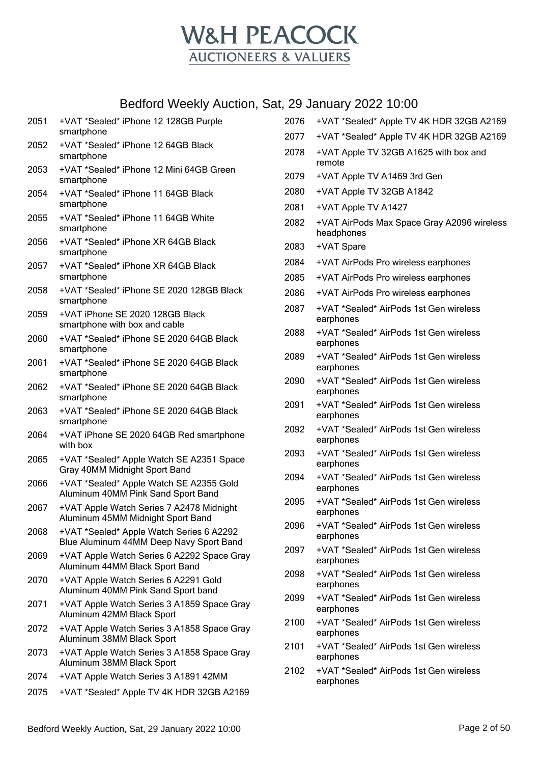

| 2051 | +VAT *Sealed* iPhone 12 128GB Purple<br>smartphone                                  | 2076 | +VAT *Sealed* Apple TV 4K HDR 32GB A2169                 |
|------|-------------------------------------------------------------------------------------|------|----------------------------------------------------------|
| 2052 | +VAT *Sealed* iPhone 12 64GB Black                                                  | 2077 | +VAT *Sealed* Apple TV 4K HDR 32GB A2169                 |
|      | smartphone                                                                          | 2078 | +VAT Apple TV 32GB A1625 with box and<br>remote          |
| 2053 | +VAT *Sealed* iPhone 12 Mini 64GB Green<br>smartphone                               | 2079 | +VAT Apple TV A1469 3rd Gen                              |
| 2054 | +VAT *Sealed* iPhone 11 64GB Black                                                  | 2080 | +VAT Apple TV 32GB A1842                                 |
|      | smartphone                                                                          | 2081 | +VAT Apple TV A1427                                      |
| 2055 | +VAT *Sealed* iPhone 11 64GB White<br>smartphone                                    | 2082 | +VAT AirPods Max Space Gray A2096 wireless<br>headphones |
| 2056 | +VAT *Sealed* iPhone XR 64GB Black<br>smartphone                                    | 2083 | +VAT Spare                                               |
| 2057 | +VAT *Sealed* iPhone XR 64GB Black                                                  | 2084 | +VAT AirPods Pro wireless earphones                      |
|      | smartphone                                                                          | 2085 | +VAT AirPods Pro wireless earphones                      |
| 2058 | +VAT *Sealed* iPhone SE 2020 128GB Black<br>smartphone                              | 2086 | +VAT AirPods Pro wireless earphones                      |
| 2059 | +VAT iPhone SE 2020 128GB Black<br>smartphone with box and cable                    | 2087 | +VAT *Sealed* AirPods 1st Gen wireless<br>earphones      |
| 2060 | +VAT *Sealed* iPhone SE 2020 64GB Black<br>smartphone                               | 2088 | +VAT *Sealed* AirPods 1st Gen wireless<br>earphones      |
| 2061 | +VAT *Sealed* iPhone SE 2020 64GB Black<br>smartphone                               | 2089 | +VAT *Sealed* AirPods 1st Gen wireless<br>earphones      |
| 2062 | +VAT *Sealed* iPhone SE 2020 64GB Black<br>smartphone                               | 2090 | +VAT *Sealed* AirPods 1st Gen wireless<br>earphones      |
| 2063 | +VAT *Sealed* iPhone SE 2020 64GB Black<br>smartphone                               | 2091 | +VAT *Sealed* AirPods 1st Gen wireless<br>earphones      |
| 2064 | +VAT iPhone SE 2020 64GB Red smartphone<br>with box                                 | 2092 | +VAT *Sealed* AirPods 1st Gen wireless<br>earphones      |
| 2065 | +VAT *Sealed* Apple Watch SE A2351 Space<br>Gray 40MM Midnight Sport Band           | 2093 | +VAT *Sealed* AirPods 1st Gen wireless<br>earphones      |
| 2066 | +VAT *Sealed* Apple Watch SE A2355 Gold<br>Aluminum 40MM Pink Sand Sport Band       | 2094 | +VAT *Sealed* AirPods 1st Gen wireless<br>earphones      |
| 2067 | +VAT Apple Watch Series 7 A2478 Midnight<br>Aluminum 45MM Midnight Sport Band       | 2095 | +VAT *Sealed* AirPods 1st Gen wireless<br>earphones      |
| 2068 | +VAT *Sealed* Apple Watch Series 6 A2292<br>Blue Aluminum 44MM Deep Navy Sport Band | 2096 | +VAT *Sealed* AirPods 1st Gen wireless<br>earphones      |
| 2069 | +VAT Apple Watch Series 6 A2292 Space Gray<br>Aluminum 44MM Black Sport Band        | 2097 | +VAT *Sealed* AirPods 1st Gen wireless<br>earphones      |
| 2070 | +VAT Apple Watch Series 6 A2291 Gold<br>Aluminum 40MM Pink Sand Sport band          | 2098 | +VAT *Sealed* AirPods 1st Gen wireless<br>earphones      |
| 2071 | +VAT Apple Watch Series 3 A1859 Space Gray<br>Aluminum 42MM Black Sport             | 2099 | +VAT *Sealed* AirPods 1st Gen wireless<br>earphones      |
| 2072 | +VAT Apple Watch Series 3 A1858 Space Gray<br>Aluminum 38MM Black Sport             | 2100 | +VAT *Sealed* AirPods 1st Gen wireless<br>earphones      |
| 2073 | +VAT Apple Watch Series 3 A1858 Space Gray<br>Aluminum 38MM Black Sport             | 2101 | +VAT *Sealed* AirPods 1st Gen wireless<br>earphones      |
| 2074 | +VAT Apple Watch Series 3 A1891 42MM                                                | 2102 | +VAT *Sealed* AirPods 1st Gen wireless                   |
| 2075 | +VAT *Sealed* Apple TV 4K HDR 32GB A2169                                            |      | earphones                                                |
|      |                                                                                     |      |                                                          |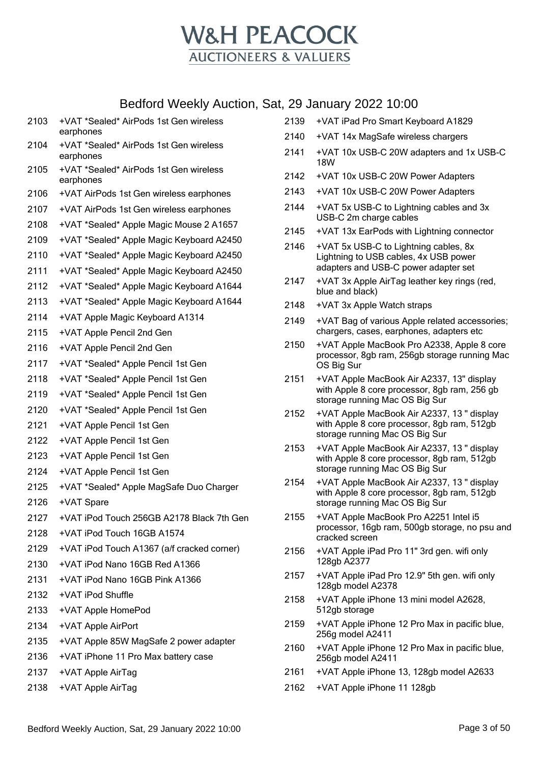

|      | .                                                   |
|------|-----------------------------------------------------|
| 2103 | +VAT *Sealed* AirPods 1st Gen wireless<br>earphones |
| 2104 | +VAT *Sealed* AirPods 1st Gen wireless<br>earphones |
| 2105 | +VAT *Sealed* AirPods 1st Gen wireless<br>earphones |
| 2106 | +VAT AirPods 1st Gen wireless earphones             |
| 2107 | +VAT AirPods 1st Gen wireless earphones             |
| 2108 | +VAT *Sealed* Apple Magic Mouse 2 A1657             |
| 2109 | +VAT *Sealed* Apple Magic Keyboard A2450            |
| 2110 | +VAT *Sealed* Apple Magic Keyboard A2450            |
| 2111 | +VAT *Sealed* Apple Magic Keyboard A2450            |
| 2112 | +VAT *Sealed* Apple Magic Keyboard A1644            |
| 2113 | +VAT *Sealed* Apple Magic Keyboard A1644            |
| 2114 | +VAT Apple Magic Keyboard A1314                     |
| 2115 | +VAT Apple Pencil 2nd Gen                           |
| 2116 | +VAT Apple Pencil 2nd Gen                           |
| 2117 | +VAT *Sealed* Apple Pencil 1st Gen                  |
| 2118 | +VAT *Sealed* Apple Pencil 1st Gen                  |
| 2119 | +VAT *Sealed* Apple Pencil 1st Gen                  |
| 2120 | +VAT *Sealed* Apple Pencil 1st Gen                  |
| 2121 | +VAT Apple Pencil 1st Gen                           |
| 2122 | +VAT Apple Pencil 1st Gen                           |
| 2123 | +VAT Apple Pencil 1st Gen                           |
| 2124 | +VAT Apple Pencil 1st Gen                           |
| 2125 | +VAT *Sealed* Apple MagSafe Duo Charger             |
| 2126 | +VAT Spare                                          |
| 2127 | +VAT iPod Touch 256GB A2178 Black 7th Gen           |
| 2128 | +VAT iPod Touch 16GB A1574                          |
| 2129 | +VAT iPod Touch A1367 (a/f cracked corner)          |
| 2130 | +VAT iPod Nano 16GB Red A1366                       |
| 2131 | +VAT iPod Nano 16GB Pink A1366                      |
| 2132 | +VAT iPod Shuffle                                   |
| 2133 | +VAT Apple HomePod                                  |
| 2134 | +VAT Apple AirPort                                  |
| 2135 | +VAT Apple 85W MagSafe 2 power adapter              |
| 2136 | +VAT iPhone 11 Pro Max battery case                 |
| 2137 | +VAT Apple AirTag                                   |
| 2138 | +VAT Apple AirTag                                   |

| 2139 | +VAT iPad Pro Smart Keyboard A1829                                                                                          |
|------|-----------------------------------------------------------------------------------------------------------------------------|
| 2140 | +VAT 14x MagSafe wireless chargers                                                                                          |
| 2141 | +VAT 10x USB-C 20W adapters and 1x USB-C<br><b>18W</b>                                                                      |
| 2142 | +VAT 10x USB-C 20W Power Adapters                                                                                           |
| 2143 | +VAT 10x USB-C 20W Power Adapters                                                                                           |
| 2144 | +VAT 5x USB-C to Lightning cables and 3x<br>USB-C 2m charge cables                                                          |
| 2145 | +VAT 13x EarPods with Lightning connector                                                                                   |
| 2146 | +VAT 5x USB-C to Lightning cables, 8x<br>Lightning to USB cables, 4x USB power<br>adapters and USB-C power adapter set      |
| 2147 | +VAT 3x Apple AirTag leather key rings (red,<br>blue and black)                                                             |
| 2148 | +VAT 3x Apple Watch straps                                                                                                  |
| 2149 | +VAT Bag of various Apple related accessories;<br>chargers, cases, earphones, adapters etc                                  |
| 2150 | +VAT Apple MacBook Pro A2338, Apple 8 core<br>processor, 8gb ram, 256gb storage running Mac<br>OS Big Sur                   |
| 2151 | +VAT Apple MacBook Air A2337, 13" display<br>with Apple 8 core processor, 8gb ram, 256 gb<br>storage running Mac OS Big Sur |
| 2152 | +VAT Apple MacBook Air A2337, 13 " display<br>with Apple 8 core processor, 8gb ram, 512gb<br>storage running Mac OS Big Sur |
| 2153 | +VAT Apple MacBook Air A2337, 13 " display<br>with Apple 8 core processor, 8gb ram, 512gb<br>storage running Mac OS Big Sur |
| 2154 | +VAT Apple MacBook Air A2337, 13 " display<br>with Apple 8 core processor, 8gb ram, 512gb<br>storage running Mac OS Big Sur |
| 2155 | +VAT Apple MacBook Pro A2251 Intel i5<br>processor, 16gb ram, 500gb storage, no psu and<br>cracked screen                   |
| 2156 | +VAT Apple iPad Pro 11" 3rd gen. wifi only<br>128gb A2377                                                                   |
| 2157 | +VAT Apple iPad Pro 12.9" 5th gen. wifi only<br>128gb model A2378                                                           |
| 2158 | +VAT Apple iPhone 13 mini model A2628,<br>512gb storage                                                                     |
| 2159 | +VAT Apple iPhone 12 Pro Max in pacific blue,<br>256g model A2411                                                           |
| 2160 | +VAT Apple iPhone 12 Pro Max in pacific blue,<br>256gb model A2411                                                          |
| 2161 | +VAT Apple iPhone 13, 128gb model A2633                                                                                     |

+VAT Apple iPhone 11 128gb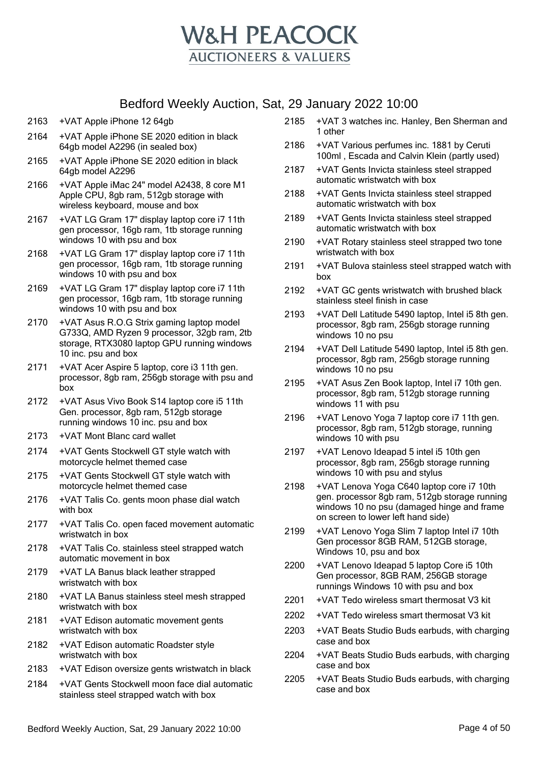

- 2163 +VAT Apple iPhone 12 64gb
- 2164 +VAT Apple iPhone SE 2020 edition in black 64gb model A2296 (in sealed box)
- 2165 +VAT Apple iPhone SE 2020 edition in black 64gb model A2296
- 2166 +VAT Apple iMac 24" model A2438, 8 core M1 Apple CPU, 8gb ram, 512gb storage with wireless keyboard, mouse and box
- 2167 +VAT LG Gram 17" display laptop core i7 11th gen processor, 16gb ram, 1tb storage running windows 10 with psu and box
- 2168 +VAT LG Gram 17" display laptop core i7 11th gen processor, 16gb ram, 1tb storage running windows 10 with psu and box
- 2169 +VAT LG Gram 17" display laptop core i7 11th gen processor, 16gb ram, 1tb storage running windows 10 with psu and box
- 2170 +VAT Asus R.O.G Strix gaming laptop model G733Q, AMD Ryzen 9 processor, 32gb ram, 2tb storage, RTX3080 laptop GPU running windows 10 inc. psu and box
- 2171 +VAT Acer Aspire 5 laptop, core i3 11th gen. processor, 8gb ram, 256gb storage with psu and box
- 2172 +VAT Asus Vivo Book S14 laptop core i5 11th Gen. processor, 8gb ram, 512gb storage running windows 10 inc. psu and box
- 2173 +VAT Mont Blanc card wallet
- 2174 +VAT Gents Stockwell GT style watch with motorcycle helmet themed case
- 2175 +VAT Gents Stockwell GT style watch with motorcycle helmet themed case
- 2176 +VAT Talis Co. gents moon phase dial watch with box
- 2177 +VAT Talis Co. open faced movement automatic wristwatch in box
- 2178 +VAT Talis Co. stainless steel strapped watch automatic movement in box
- 2179 +VAT LA Banus black leather strapped wristwatch with box
- 2180 +VAT LA Banus stainless steel mesh strapped wristwatch with box
- 2181 +VAT Edison automatic movement gents wristwatch with box
- 2182 +VAT Edison automatic Roadster style wristwatch with box
- 2183 +VAT Edison oversize gents wristwatch in black
- 2184 +VAT Gents Stockwell moon face dial automatic stainless steel strapped watch with box
- 2185 +VAT 3 watches inc. Hanley, Ben Sherman and 1 other
- 2186 +VAT Various perfumes inc. 1881 by Ceruti 100ml , Escada and Calvin Klein (partly used)
- 2187 +VAT Gents Invicta stainless steel strapped automatic wristwatch with box
- 2188 +VAT Gents Invicta stainless steel strapped automatic wristwatch with box
- 2189 +VAT Gents Invicta stainless steel strapped automatic wristwatch with box
- 2190 +VAT Rotary stainless steel strapped two tone wristwatch with box
- 2191 +VAT Bulova stainless steel strapped watch with box
- 2192 +VAT GC gents wristwatch with brushed black stainless steel finish in case
- 2193 +VAT Dell Latitude 5490 laptop, Intel i5 8th gen. processor, 8gb ram, 256gb storage running windows 10 no psu
- 2194 +VAT Dell Latitude 5490 laptop, Intel i5 8th gen. processor, 8gb ram, 256gb storage running windows 10 no psu
- 2195 +VAT Asus Zen Book laptop, Intel i7 10th gen. processor, 8gb ram, 512gb storage running windows 11 with psu
- 2196 +VAT Lenovo Yoga 7 laptop core i7 11th gen. processor, 8gb ram, 512gb storage, running windows 10 with psu
- 2197 +VAT Lenovo Ideapad 5 intel i5 10th gen processor, 8gb ram, 256gb storage running windows 10 with psu and stylus
- 2198 +VAT Lenova Yoga C640 laptop core i7 10th gen. processor 8gb ram, 512gb storage running windows 10 no psu (damaged hinge and frame on screen to lower left hand side)
- 2199 +VAT Lenovo Yoga Slim 7 laptop Intel i7 10th Gen processor 8GB RAM, 512GB storage, Windows 10, psu and box
- 2200 +VAT Lenovo Ideapad 5 laptop Core i5 10th Gen processor, 8GB RAM, 256GB storage runnings Windows 10 with psu and box
- 2201 +VAT Tedo wireless smart thermosat V3 kit
- 2202 +VAT Tedo wireless smart thermosat V3 kit
- 2203 +VAT Beats Studio Buds earbuds, with charging case and box
- 2204 +VAT Beats Studio Buds earbuds, with charging case and box
- 2205 +VAT Beats Studio Buds earbuds, with charging case and box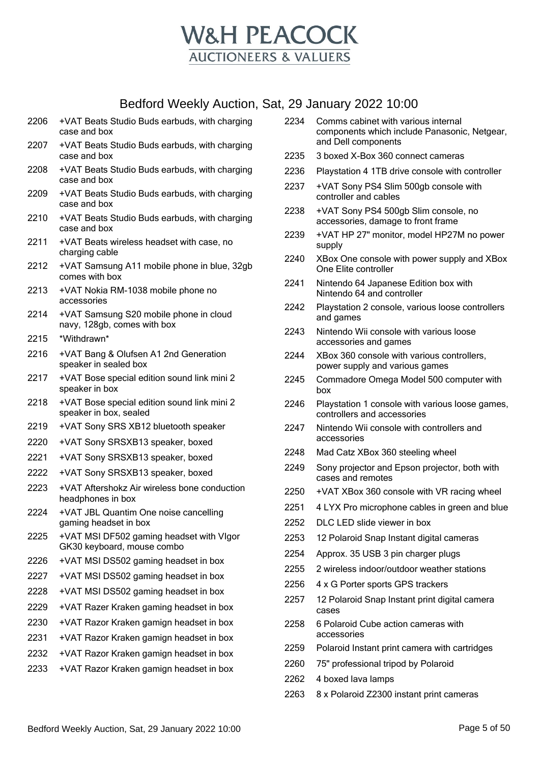

- +VAT Beats Studio Buds earbuds, with charging case and box
- +VAT Beats Studio Buds earbuds, with charging case and box
- +VAT Beats Studio Buds earbuds, with charging case and box
- +VAT Beats Studio Buds earbuds, with charging case and box
- +VAT Beats Studio Buds earbuds, with charging case and box
- +VAT Beats wireless headset with case, no charging cable
- +VAT Samsung A11 mobile phone in blue, 32gb comes with box
- +VAT Nokia RM-1038 mobile phone no accessories
- +VAT Samsung S20 mobile phone in cloud navy, 128gb, comes with box
- \*Withdrawn\*
- +VAT Bang & Olufsen A1 2nd Generation speaker in sealed box
- +VAT Bose special edition sound link mini 2 speaker in box
- +VAT Bose special edition sound link mini 2 speaker in box, sealed
- +VAT Sony SRS XB12 bluetooth speaker
- +VAT Sony SRSXB13 speaker, boxed
- +VAT Sony SRSXB13 speaker, boxed
- +VAT Sony SRSXB13 speaker, boxed
- +VAT Aftershokz Air wireless bone conduction headphones in box
- +VAT JBL Quantim One noise cancelling gaming headset in box
- +VAT MSI DF502 gaming headset with VIgor GK30 keyboard, mouse combo
- +VAT MSI DS502 gaming headset in box
- +VAT MSI DS502 gaming headset in box
- +VAT MSI DS502 gaming headset in box
- +VAT Razer Kraken gaming headset in box
- +VAT Razor Kraken gamign headset in box
- +VAT Razor Kraken gamign headset in box
- +VAT Razor Kraken gamign headset in box
- +VAT Razor Kraken gamign headset in box
- Comms cabinet with various internal components which include Panasonic, Netgear, and Dell components
- 3 boxed X-Box 360 connect cameras
- Playstation 4 1TB drive console with controller
- +VAT Sony PS4 Slim 500gb console with controller and cables
- +VAT Sony PS4 500gb Slim console, no accessories, damage to front frame
- +VAT HP 27" monitor, model HP27M no power supply
- XBox One console with power supply and XBox One Elite controller
- Nintendo 64 Japanese Edition box with Nintendo 64 and controller
- Playstation 2 console, various loose controllers and games
- Nintendo Wii console with various loose accessories and games
- XBox 360 console with various controllers, power supply and various games
- Commadore Omega Model 500 computer with box
- Playstation 1 console with various loose games, controllers and accessories
- Nintendo Wii console with controllers and accessories
- Mad Catz XBox 360 steeling wheel
- Sony projector and Epson projector, both with cases and remotes
- +VAT XBox 360 console with VR racing wheel
- 4 LYX Pro microphone cables in green and blue
- DLC LED slide viewer in box
- 12 Polaroid Snap Instant digital cameras
- Approx. 35 USB 3 pin charger plugs
- 2 wireless indoor/outdoor weather stations
- 4 x G Porter sports GPS trackers
- 12 Polaroid Snap Instant print digital camera cases
- 6 Polaroid Cube action cameras with accessories
- Polaroid Instant print camera with cartridges
- 75" professional tripod by Polaroid
- 4 boxed lava lamps
- 8 x Polaroid Z2300 instant print cameras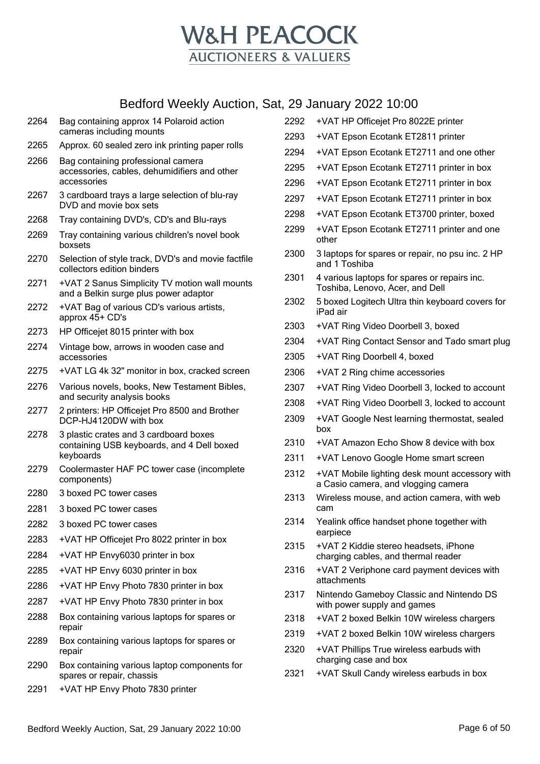

| 2264 Bag containing approx 14 Polaroid action |
|-----------------------------------------------|
| cameras including mounts                      |

- Approx. 60 sealed zero ink printing paper rolls
- Bag containing professional camera accessories, cables, dehumidifiers and other accessories
- 3 cardboard trays a large selection of blu-ray DVD and movie box sets
- Tray containing DVD's, CD's and Blu-rays
- Tray containing various children's novel book boxsets
- Selection of style track, DVD's and movie factfile collectors edition binders
- +VAT 2 Sanus Simplicity TV motion wall mounts and a Belkin surge plus power adaptor
- +VAT Bag of various CD's various artists, approx 45+ CD's
- HP Officejet 8015 printer with box
- Vintage bow, arrows in wooden case and accessories
- +VAT LG 4k 32" monitor in box, cracked screen
- Various novels, books, New Testament Bibles, and security analysis books
- 2 printers: HP Officejet Pro 8500 and Brother DCP-HJ4120DW with box
- 3 plastic crates and 3 cardboard boxes containing USB keyboards, and 4 Dell boxed keyboards
- Coolermaster HAF PC tower case (incomplete components)
- 3 boxed PC tower cases
- 3 boxed PC tower cases
- 3 boxed PC tower cases
- +VAT HP Officejet Pro 8022 printer in box
- +VAT HP Envy6030 printer in box
- +VAT HP Envy 6030 printer in box
- +VAT HP Envy Photo 7830 printer in box
- +VAT HP Envy Photo 7830 printer in box
- Box containing various laptops for spares or repair
- Box containing various laptops for spares or repair
- Box containing various laptop components for spares or repair, chassis
- +VAT HP Envy Photo 7830 printer

| 2292 | +VAT HP Officejet Pro 8022E printer                                                   |
|------|---------------------------------------------------------------------------------------|
| 2293 | +VAT Epson Ecotank ET2811 printer                                                     |
| 2294 | +VAT Epson Ecotank ET2711 and one other                                               |
| 2295 | +VAT Epson Ecotank ET2711 printer in box                                              |
| 2296 | +VAT Epson Ecotank ET2711 printer in box                                              |
| 2297 | +VAT Epson Ecotank ET2711 printer in box                                              |
| 2298 | +VAT Epson Ecotank ET3700 printer, boxed                                              |
| 2299 | +VAT Epson Ecotank ET2711 printer and one<br>other                                    |
| 2300 | 3 laptops for spares or repair, no psu inc. 2 HP<br>and 1 Toshiba                     |
| 2301 | 4 various laptops for spares or repairs inc.<br>Toshiba, Lenovo, Acer, and Dell       |
| 2302 | 5 boxed Logitech Ultra thin keyboard covers for<br>iPad air                           |
| 2303 | +VAT Ring Video Doorbell 3, boxed                                                     |
| 2304 | +VAT Ring Contact Sensor and Tado smart plug                                          |
| 2305 | +VAT Ring Doorbell 4, boxed                                                           |
| 2306 | +VAT 2 Ring chime accessories                                                         |
| 2307 | +VAT Ring Video Doorbell 3, locked to account                                         |
| 2308 | +VAT Ring Video Doorbell 3, locked to account                                         |
| 2309 | +VAT Google Nest learning thermostat, sealed<br>box                                   |
| 2310 | +VAT Amazon Echo Show 8 device with box                                               |
| 2311 | +VAT Lenovo Google Home smart screen                                                  |
| 2312 | +VAT Mobile lighting desk mount accessory with<br>a Casio camera, and vlogging camera |
| 2313 | Wireless mouse, and action camera, with web<br>cam                                    |
| 2314 | Yealink office handset phone together with<br>earpiece                                |
| 2315 | +VAT 2 Kiddie stereo headsets, iPhone<br>charging cables, and thermal reader          |
| 2316 | +VAT 2 Veriphone card payment devices with<br>attachments                             |
| 2317 | Nintendo Gameboy Classic and Nintendo DS<br>with power supply and games               |
| 2318 | +VAT 2 boxed Belkin 10W wireless chargers                                             |
| 2319 | +VAT 2 boxed Belkin 10W wireless chargers                                             |
| 2320 | +VAT Phillips True wireless earbuds with<br>charging case and box                     |
| ດດດ4 | UIAT Clude Candus interface contrade in h                                             |

+VAT Skull Candy wireless earbuds in box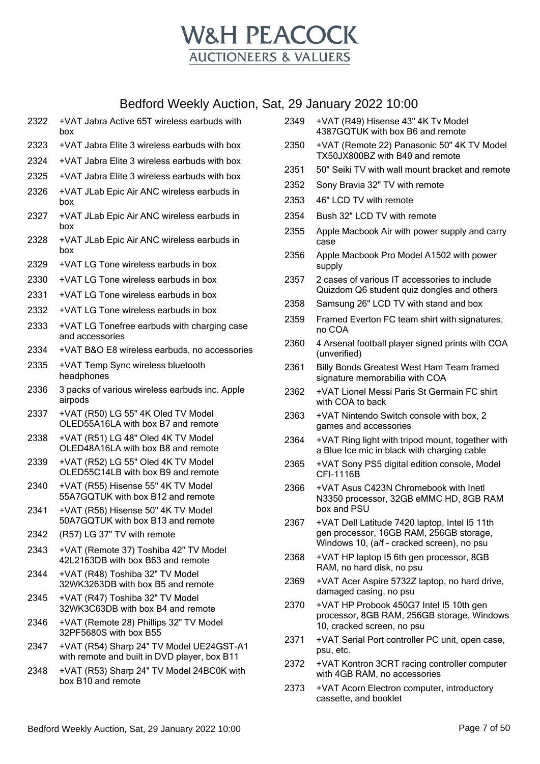

- 2322 +VAT Jabra Active 65T wireless earbuds with box 2323 +VAT Jabra Elite 3 wireless earbuds with box 2324 +VAT Jabra Elite 3 wireless earbuds with box
- 2325 +VAT Jabra Elite 3 wireless earbuds with box
- 2326 +VAT JLab Epic Air ANC wireless earbuds in box
- 2327 +VAT JLab Epic Air ANC wireless earbuds in box
- 2328 +VAT JLab Epic Air ANC wireless earbuds in box
- 2329 +VAT LG Tone wireless earbuds in box
- 2330 +VAT LG Tone wireless earbuds in box
- 2331 +VAT LG Tone wireless earbuds in box
- 2332 +VAT LG Tone wireless earbuds in box
- 2333 +VAT LG Tonefree earbuds with charging case and accessories
- 2334 +VAT B&O E8 wireless earbuds, no accessories
- 2335 +VAT Temp Sync wireless bluetooth headphones
- 2336 3 packs of various wireless earbuds inc. Apple airpods
- 2337 +VAT (R50) LG 55" 4K Oled TV Model OLED55A16LA with box B7 and remote
- 2338 +VAT (R51) LG 48" Oled 4K TV Model OLED48A16LA with box B8 and remote
- 2339 +VAT (R52) LG 55" Oled 4K TV Model OLED55C14LB with box B9 and remote
- 2340 +VAT (R55) Hisense 55" 4K TV Model 55A7GQTUK with box B12 and remote
- 2341 +VAT (R56) Hisense 50" 4K TV Model 50A7GQTUK with box B13 and remote
- 2342 (R57) LG 37" TV with remote
- 2343 +VAT (Remote 37) Toshiba 42" TV Model 42L2163DB with box B63 and remote
- 2344 +VAT (R48) Toshiba 32" TV Model 32WK3263DB with box B5 and remote
- 2345 +VAT (R47) Toshiba 32" TV Model 32WK3C63DB with box B4 and remote
- 2346 +VAT (Remote 28) Phillips 32" TV Model 32PF5680S with box B55
- 2347 +VAT (R54) Sharp 24" TV Model UE24GST-A1 with remote and built in DVD player, box B11
- 2348 +VAT (R53) Sharp 24" TV Model 24BC0K with box B10 and remote
- 2349 +VAT (R49) Hisense 43" 4K Tv Model 4387GQTUK with box B6 and remote 2350 +VAT (Remote 22) Panasonic 50" 4K TV Model TX50JX800BZ with B49 and remote 2351 50" Seiki TV with wall mount bracket and remote 2352 Sony Bravia 32" TV with remote 2353 46" LCD TV with remote 2354 Bush 32" LCD TV with remote 2355 Apple Macbook Air with power supply and carry case 2356 Apple Macbook Pro Model A1502 with power supply 2357 2 cases of various IT accessories to include Quizdom Q6 student quiz dongles and others 2358 Samsung 26" LCD TV with stand and box 2359 Framed Everton FC team shirt with signatures, no COA 2360 4 Arsenal football player signed prints with COA (unverified) 2361 Billy Bonds Greatest West Ham Team framed signature memorabilia with COA 2362 +VAT Lionel Messi Paris St Germain FC shirt with COA to back 2363 +VAT Nintendo Switch console with box, 2
- games and accessories 2364 +VAT Ring light with tripod mount, together with
- a Blue Ice mic in black with charging cable
- 2365 +VAT Sony PS5 digital edition console, Model CFI-1116B
- 2366 +VAT Asus C423N Chromebook with Inetl N3350 processor, 32GB eMMC HD, 8GB RAM box and PSU
- 2367 +VAT Dell Latitude 7420 laptop, Intel I5 11th gen processor, 16GB RAM, 256GB storage, Windows 10, (a/f - cracked screen), no psu
- 2368 +VAT HP laptop I5 6th gen processor, 8GB RAM, no hard disk, no psu
- 2369 +VAT Acer Aspire 5732Z laptop, no hard drive, damaged casing, no psu
- 2370 +VAT HP Probook 450G7 Intel I5 10th gen processor, 8GB RAM, 256GB storage, Windows 10, cracked screen, no psu
- 2371 +VAT Serial Port controller PC unit, open case, psu, etc.
- 2372 +VAT Kontron 3CRT racing controller computer with 4GB RAM, no accessories
- 2373 +VAT Acorn Electron computer, introductory cassette, and booklet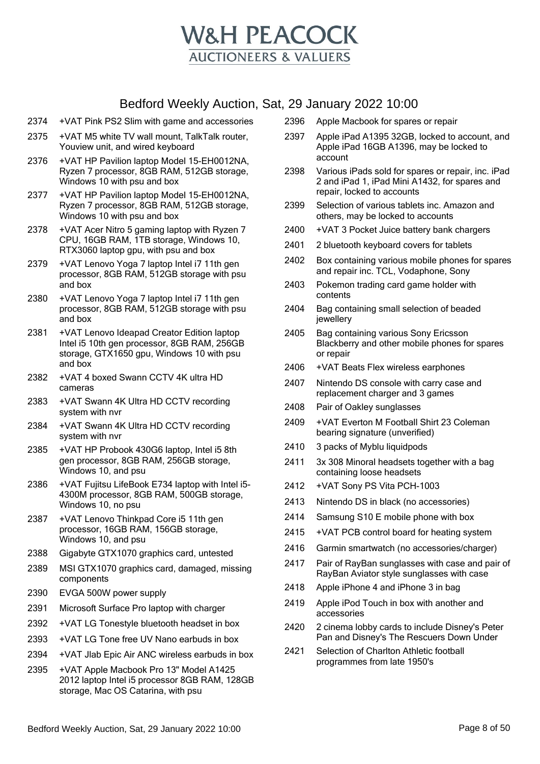

- 2374 +VAT Pink PS2 Slim with game and accessories
- 2375 +VAT M5 white TV wall mount, TalkTalk router, Youview unit, and wired keyboard
- 2376 +VAT HP Pavilion laptop Model 15-EH0012NA, Ryzen 7 processor, 8GB RAM, 512GB storage, Windows 10 with psu and box
- 2377 +VAT HP Pavilion laptop Model 15-EH0012NA, Ryzen 7 processor, 8GB RAM, 512GB storage, Windows 10 with psu and box
- 2378 +VAT Acer Nitro 5 gaming laptop with Ryzen 7 CPU, 16GB RAM, 1TB storage, Windows 10, RTX3060 laptop gpu, with psu and box
- 2379 +VAT Lenovo Yoga 7 laptop Intel i7 11th gen processor, 8GB RAM, 512GB storage with psu and box
- 2380 +VAT Lenovo Yoga 7 laptop Intel i7 11th gen processor, 8GB RAM, 512GB storage with psu and box
- 2381 +VAT Lenovo Ideapad Creator Edition laptop Intel i5 10th gen processor, 8GB RAM, 256GB storage, GTX1650 gpu, Windows 10 with psu and box
- 2382 +VAT 4 boxed Swann CCTV 4K ultra HD cameras
- 2383 +VAT Swann 4K Ultra HD CCTV recording system with nvr
- 2384 +VAT Swann 4K Ultra HD CCTV recording system with nvr
- 2385 +VAT HP Probook 430G6 laptop, Intel i5 8th gen processor, 8GB RAM, 256GB storage, Windows 10, and psu
- 2386 +VAT Fujitsu LifeBook E734 laptop with Intel i5- 4300M processor, 8GB RAM, 500GB storage, Windows 10, no psu
- 2387 +VAT Lenovo Thinkpad Core i5 11th gen processor, 16GB RAM, 156GB storage, Windows 10, and psu
- 2388 Gigabyte GTX1070 graphics card, untested
- 2389 MSI GTX1070 graphics card, damaged, missing components
- 2390 EVGA 500W power supply
- 2391 Microsoft Surface Pro laptop with charger
- 2392 +VAT LG Tonestyle bluetooth headset in box
- 2393 +VAT LG Tone free UV Nano earbuds in box
- 2394 +VAT Jlab Epic Air ANC wireless earbuds in box
- 2395 +VAT Apple Macbook Pro 13" Model A1425 2012 laptop Intel i5 processor 8GB RAM, 128GB storage, Mac OS Catarina, with psu
- 2396 Apple Macbook for spares or repair
- 2397 Apple iPad A1395 32GB, locked to account, and Apple iPad 16GB A1396, may be locked to account
- 2398 Various iPads sold for spares or repair, inc. iPad 2 and iPad 1, iPad Mini A1432, for spares and repair, locked to accounts
- 2399 Selection of various tablets inc. Amazon and others, may be locked to accounts
- 2400 +VAT 3 Pocket Juice battery bank chargers
- 2401 2 bluetooth keyboard covers for tablets
- 2402 Box containing various mobile phones for spares and repair inc. TCL, Vodaphone, Sony
- 2403 Pokemon trading card game holder with contents
- 2404 Bag containing small selection of beaded jewellery
- 2405 Bag containing various Sony Ericsson Blackberry and other mobile phones for spares or repair
- 2406 +VAT Beats Flex wireless earphones
- 2407 Nintendo DS console with carry case and replacement charger and 3 games
- 2408 Pair of Oakley sunglasses
- 2409 +VAT Everton M Football Shirt 23 Coleman bearing signature (unverified)
- 2410 3 packs of Myblu liquidpods
- 2411 3x 308 Minoral headsets together with a bag containing loose headsets
- 2412 +VAT Sony PS Vita PCH-1003
- 2413 Nintendo DS in black (no accessories)
- 2414 Samsung S10 E mobile phone with box
- 2415 +VAT PCB control board for heating system
- 2416 Garmin smartwatch (no accessories/charger)
- 2417 Pair of RayBan sunglasses with case and pair of RayBan Aviator style sunglasses with case
- 2418 Apple iPhone 4 and iPhone 3 in bag
- 2419 Apple iPod Touch in box with another and accessories
- 2420 2 cinema lobby cards to include Disney's Peter Pan and Disney's The Rescuers Down Under
- 2421 Selection of Charlton Athletic football programmes from late 1950's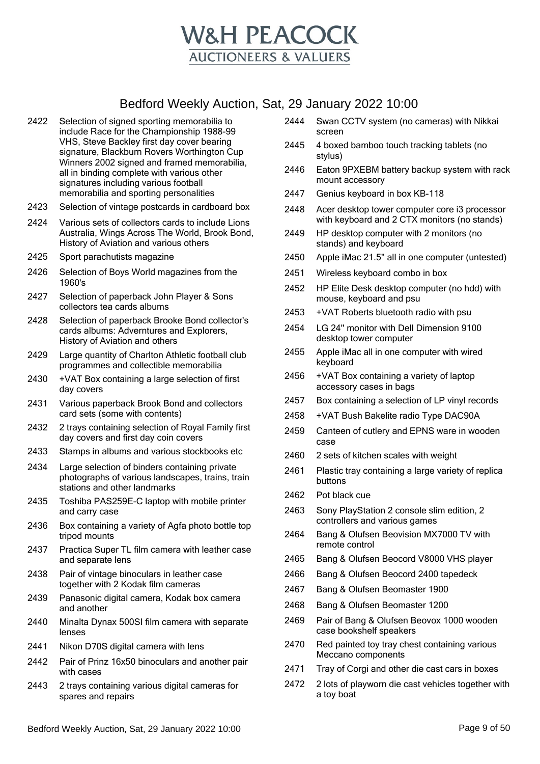

- 2422 Selection of signed sporting memorabilia to include Race for the Championship 1988-99 VHS, Steve Backley first day cover bearing signature, Blackburn Rovers Worthington Cup Winners 2002 signed and framed memorabilia, all in binding complete with various other signatures including various football memorabilia and sporting personalities
- 2423 Selection of vintage postcards in cardboard box
- 2424 Various sets of collectors cards to include Lions Australia, Wings Across The World, Brook Bond, History of Aviation and various others
- 2425 Sport parachutists magazine
- 2426 Selection of Boys World magazines from the 1960's
- 2427 Selection of paperback John Player & Sons collectors tea cards albums
- 2428 Selection of paperback Brooke Bond collector's cards albums: Adverntures and Explorers, History of Aviation and others
- 2429 Large quantity of Charlton Athletic football club programmes and collectible memorabilia
- 2430 +VAT Box containing a large selection of first day covers
- 2431 Various paperback Brook Bond and collectors card sets (some with contents)
- 2432 2 trays containing selection of Royal Family first day covers and first day coin covers
- 2433 Stamps in albums and various stockbooks etc
- 2434 Large selection of binders containing private photographs of various landscapes, trains, train stations and other landmarks
- 2435 Toshiba PAS259E-C laptop with mobile printer and carry case
- 2436 Box containing a variety of Agfa photo bottle top tripod mounts
- 2437 Practica Super TL film camera with leather case and separate lens
- 2438 Pair of vintage binoculars in leather case together with 2 Kodak film cameras
- 2439 Panasonic digital camera, Kodak box camera and another
- 2440 Minalta Dynax 500SI film camera with separate lenses
- 2441 Nikon D70S digital camera with lens
- 2442 Pair of Prinz 16x50 binoculars and another pair with cases
- 2443 2 trays containing various digital cameras for spares and repairs
- 2444 Swan CCTV system (no cameras) with Nikkai screen
- 2445 4 boxed bamboo touch tracking tablets (no stylus)
- 2446 Eaton 9PXEBM battery backup system with rack mount accessory
- 2447 Genius keyboard in box KB-118
- 2448 Acer desktop tower computer core i3 processor with keyboard and 2 CTX monitors (no stands)
- 2449 HP desktop computer with 2 monitors (no stands) and keyboard
- 2450 Apple iMac 21.5'' all in one computer (untested)
- 2451 Wireless keyboard combo in box
- 2452 HP Elite Desk desktop computer (no hdd) with mouse, keyboard and psu
- 2453 +VAT Roberts bluetooth radio with psu
- 2454 LG 24'' monitor with Dell Dimension 9100 desktop tower computer
- 2455 Apple iMac all in one computer with wired keyboard
- 2456 +VAT Box containing a variety of laptop accessory cases in bags
- 2457 Box containing a selection of LP vinyl records
- 2458 +VAT Bush Bakelite radio Type DAC90A
- 2459 Canteen of cutlery and EPNS ware in wooden case
- 2460 2 sets of kitchen scales with weight
- 2461 Plastic tray containing a large variety of replica buttons
- 2462 Pot black cue
- 2463 Sony PlayStation 2 console slim edition, 2 controllers and various games
- 2464 Bang & Olufsen Beovision MX7000 TV with remote control
- 2465 Bang & Olufsen Beocord V8000 VHS player
- 2466 Bang & Olufsen Beocord 2400 tapedeck
- 2467 Bang & Olufsen Beomaster 1900
- 2468 Bang & Olufsen Beomaster 1200
- 2469 Pair of Bang & Olufsen Beovox 1000 wooden case bookshelf speakers
- 2470 Red painted toy tray chest containing various Meccano components
- 2471 Tray of Corgi and other die cast cars in boxes
- 2472 2 lots of playworn die cast vehicles together with a toy boat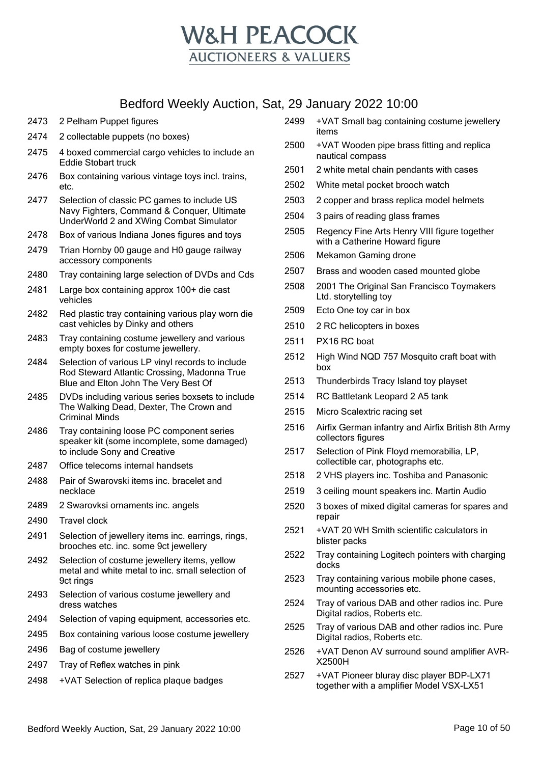

- 2473 2 Pelham Puppet figures
- 2474 2 collectable puppets (no boxes)
- 2475 4 boxed commercial cargo vehicles to include an Eddie Stobart truck
- 2476 Box containing various vintage toys incl. trains, etc.
- 2477 Selection of classic PC games to include US Navy Fighters, Command & Conquer, Ultimate UnderWorld 2 and XWing Combat Simulator
- 2478 Box of various Indiana Jones figures and toys
- 2479 Trian Hornby 00 gauge and H0 gauge railway accessory components
- 2480 Tray containing large selection of DVDs and Cds
- 2481 Large box containing approx 100+ die cast vehicles
- 2482 Red plastic tray containing various play worn die cast vehicles by Dinky and others
- 2483 Tray containing costume jewellery and various empty boxes for costume jewellery.
- 2484 Selection of various LP vinyl records to include Rod Steward Atlantic Crossing, Madonna True Blue and Elton John The Very Best Of
- 2485 DVDs including various series boxsets to include The Walking Dead, Dexter, The Crown and Criminal Minds
- 2486 Tray containing loose PC component series speaker kit (some incomplete, some damaged) to include Sony and Creative
- 2487 Office telecoms internal handsets
- 2488 Pair of Swarovski items inc. bracelet and necklace
- 2489 2 Swarovksi ornaments inc. angels
- 2490 Travel clock
- 2491 Selection of jewellery items inc. earrings, rings, brooches etc. inc. some 9ct jewellery
- 2492 Selection of costume jewellery items, yellow metal and white metal to inc. small selection of 9ct rings
- 2493 Selection of various costume jewellery and dress watches
- 2494 Selection of vaping equipment, accessories etc.
- 2495 Box containing various loose costume jewellery
- 2496 Bag of costume jewellery
- 2497 Tray of Reflex watches in pink
- 2498 +VAT Selection of replica plaque badges
- 2499 +VAT Small bag containing costume jewellery items
- 2500 +VAT Wooden pipe brass fitting and replica nautical compass
- 2501 2 white metal chain pendants with cases
- 2502 White metal pocket brooch watch
- 2503 2 copper and brass replica model helmets
- 2504 3 pairs of reading glass frames
- 2505 Regency Fine Arts Henry VIII figure together with a Catherine Howard figure
- 2506 Mekamon Gaming drone
- 2507 Brass and wooden cased mounted globe
- 2508 2001 The Original San Francisco Toymakers Ltd. storytelling toy
- 2509 Ecto One toy car in box
- 2510 2 RC helicopters in boxes
- 2511 PX16 RC boat
- 2512 High Wind NQD 757 Mosquito craft boat with box
- 2513 Thunderbirds Tracy Island toy playset
- 2514 RC Battletank Leopard 2 A5 tank
- 2515 Micro Scalextric racing set
- 2516 Airfix German infantry and Airfix British 8th Army collectors figures
- 2517 Selection of Pink Floyd memorabilia, LP, collectible car, photographs etc.
- 2518 2 VHS players inc. Toshiba and Panasonic
- 2519 3 ceiling mount speakers inc. Martin Audio
- 2520 3 boxes of mixed digital cameras for spares and repair
- 2521 +VAT 20 WH Smith scientific calculators in blister packs
- 2522 Tray containing Logitech pointers with charging docks
- 2523 Tray containing various mobile phone cases, mounting accessories etc.
- 2524 Tray of various DAB and other radios inc. Pure Digital radios, Roberts etc.
- 2525 Tray of various DAB and other radios inc. Pure Digital radios, Roberts etc.
- 2526 +VAT Denon AV surround sound amplifier AVR-X2500H
- 2527 +VAT Pioneer bluray disc player BDP-LX71 together with a amplifier Model VSX-LX51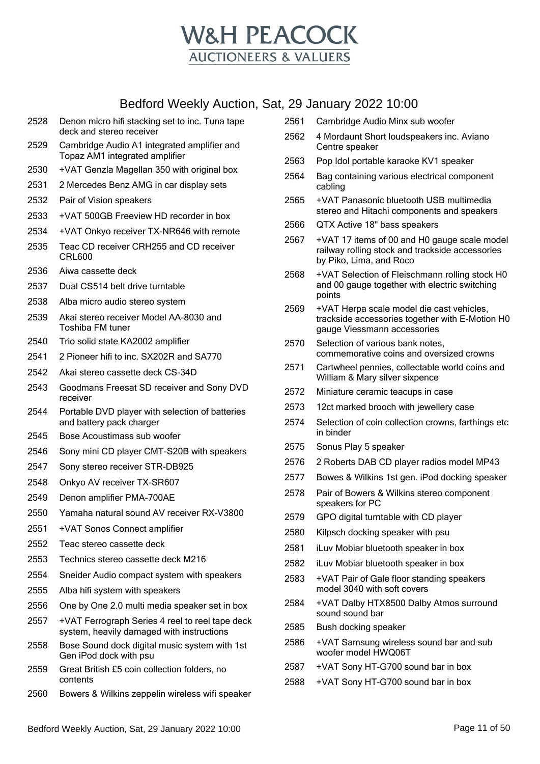

- Denon micro hifi stacking set to inc. Tuna tape deck and stereo receiver
- Cambridge Audio A1 integrated amplifier and Topaz AM1 integrated amplifier
- +VAT Genzla Magellan 350 with original box
- 2 Mercedes Benz AMG in car display sets
- Pair of Vision speakers
- +VAT 500GB Freeview HD recorder in box
- +VAT Onkyo receiver TX-NR646 with remote
- Teac CD receiver CRH255 and CD receiver CRL600
- Aiwa cassette deck
- Dual CS514 belt drive turntable
- Alba micro audio stereo system
- Akai stereo receiver Model AA-8030 and Toshiba FM tuner
- Trio solid state KA2002 amplifier
- 2 Pioneer hifi to inc. SX202R and SA770
- Akai stereo cassette deck CS-34D
- Goodmans Freesat SD receiver and Sony DVD receiver
- Portable DVD player with selection of batteries and battery pack charger
- Bose Acoustimass sub woofer
- Sony mini CD player CMT-S20B with speakers
- Sony stereo receiver STR-DB925
- Onkyo AV receiver TX-SR607
- Denon amplifier PMA-700AE
- Yamaha natural sound AV receiver RX-V3800
- +VAT Sonos Connect amplifier
- Teac stereo cassette deck
- Technics stereo cassette deck M216
- Sneider Audio compact system with speakers
- Alba hifi system with speakers
- One by One 2.0 multi media speaker set in box
- +VAT Ferrograph Series 4 reel to reel tape deck system, heavily damaged with instructions
- Bose Sound dock digital music system with 1st Gen iPod dock with psu
- Great British £5 coin collection folders, no contents
- Bowers & Wilkins zeppelin wireless wifi speaker
- Cambridge Audio Minx sub woofer
- 4 Mordaunt Short loudspeakers inc. Aviano Centre speaker
- Pop Idol portable karaoke KV1 speaker
- Bag containing various electrical component cabling
- +VAT Panasonic bluetooth USB multimedia stereo and Hitachi components and speakers
- QTX Active 18" bass speakers
- +VAT 17 items of 00 and H0 gauge scale model railway rolling stock and trackside accessories by Piko, Lima, and Roco
- +VAT Selection of Fleischmann rolling stock H0 and 00 gauge together with electric switching points
- +VAT Herpa scale model die cast vehicles, trackside accessories together with E-Motion H0 gauge Viessmann accessories
- Selection of various bank notes, commemorative coins and oversized crowns
- Cartwheel pennies, collectable world coins and William & Mary silver sixpence
- Miniature ceramic teacups in case
- 12ct marked brooch with jewellery case
- Selection of coin collection crowns, farthings etc in binder
- Sonus Play 5 speaker
- 2 Roberts DAB CD player radios model MP43
- Bowes & Wilkins 1st gen. iPod docking speaker
- Pair of Bowers & Wilkins stereo component speakers for PC
- GPO digital turntable with CD player
- Kilpsch docking speaker with psu
- iLuv Mobiar bluetooth speaker in box
- iLuv Mobiar bluetooth speaker in box
- +VAT Pair of Gale floor standing speakers model 3040 with soft covers
- +VAT Dalby HTX8500 Dalby Atmos surround sound sound bar
- Bush docking speaker
- +VAT Samsung wireless sound bar and sub woofer model HWQ06T
- +VAT Sony HT-G700 sound bar in box
- +VAT Sony HT-G700 sound bar in box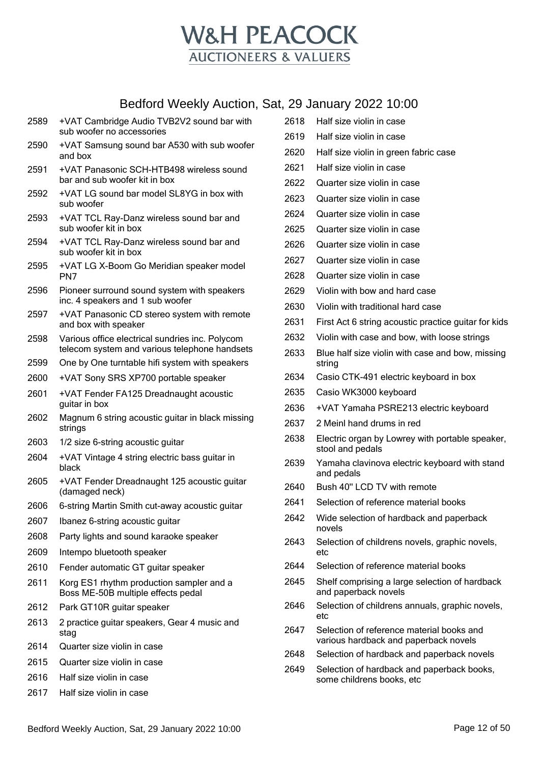

- +VAT Cambridge Audio TVB2V2 sound bar with sub woofer no accessories
- +VAT Samsung sound bar A530 with sub woofer and box
- +VAT Panasonic SCH-HTB498 wireless sound bar and sub woofer kit in box
- +VAT LG sound bar model SL8YG in box with sub woofer
- +VAT TCL Ray-Danz wireless sound bar and sub woofer kit in box
- +VAT TCL Ray-Danz wireless sound bar and sub woofer kit in box
- +VAT LG X-Boom Go Meridian speaker model PN7
- Pioneer surround sound system with speakers inc. 4 speakers and 1 sub woofer
- +VAT Panasonic CD stereo system with remote and box with speaker
- Various office electrical sundries inc. Polycom telecom system and various telephone handsets
- One by One turntable hifi system with speakers
- +VAT Sony SRS XP700 portable speaker
- +VAT Fender FA125 Dreadnaught acoustic guitar in box
- Magnum 6 string acoustic guitar in black missing strings
- 1/2 size 6-string acoustic guitar
- +VAT Vintage 4 string electric bass guitar in black
- +VAT Fender Dreadnaught 125 acoustic guitar (damaged neck)
- 6-string Martin Smith cut-away acoustic guitar
- Ibanez 6-string acoustic guitar
- Party lights and sound karaoke speaker
- Intempo bluetooth speaker
- Fender automatic GT guitar speaker
- Korg ES1 rhythm production sampler and a Boss ME-50B multiple effects pedal
- Park GT10R guitar speaker
- 2 practice guitar speakers, Gear 4 music and stag
- Quarter size violin in case
- Quarter size violin in case
- Half size violin in case
- Half size violin in case
- Half size violin in case
- Half size violin in case
- Half size violin in green fabric case
- Half size violin in case
- Quarter size violin in case
- Quarter size violin in case
- Quarter size violin in case
- Quarter size violin in case
- Quarter size violin in case
- Quarter size violin in case
- Quarter size violin in case
- Violin with bow and hard case
- Violin with traditional hard case
- First Act 6 string acoustic practice guitar for kids
- Violin with case and bow, with loose strings
- Blue half size violin with case and bow, missing string
- Casio CTK-491 electric keyboard in box
- Casio WK3000 keyboard
- +VAT Yamaha PSRE213 electric keyboard
- 2 Meinl hand drums in red
- Electric organ by Lowrey with portable speaker, stool and pedals
- Yamaha clavinova electric keyboard with stand and pedals
- Bush 40'' LCD TV with remote
- Selection of reference material books
- Wide selection of hardback and paperback novels
- 2643 Selection of childrens novels, graphic novels, etc
- Selection of reference material books
- Shelf comprising a large selection of hardback and paperback novels
- Selection of childrens annuals, graphic novels, etc
- Selection of reference material books and various hardback and paperback novels
- Selection of hardback and paperback novels
- Selection of hardback and paperback books, some childrens books, etc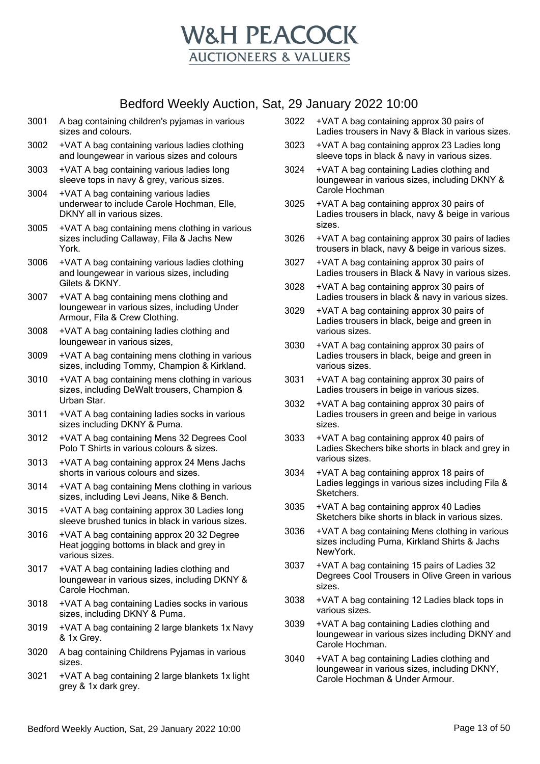

- 3001 A bag containing children's pyjamas in various sizes and colours.
- 3002 +VAT A bag containing various ladies clothing and loungewear in various sizes and colours
- 3003 +VAT A bag containing various ladies long sleeve tops in navy & grey, various sizes.
- 3004 +VAT A bag containing various ladies underwear to include Carole Hochman, Elle, DKNY all in various sizes.
- 3005 +VAT A bag containing mens clothing in various sizes including Callaway, Fila & Jachs New York.
- 3006 +VAT A bag containing various ladies clothing and loungewear in various sizes, including Gilets & DKNY.
- 3007 +VAT A bag containing mens clothing and loungewear in various sizes, including Under Armour, Fila & Crew Clothing.
- 3008 +VAT A bag containing ladies clothing and loungewear in various sizes,
- 3009 +VAT A bag containing mens clothing in various sizes, including Tommy, Champion & Kirkland.
- 3010 +VAT A bag containing mens clothing in various sizes, including DeWalt trousers, Champion & Urban Star.
- 3011 +VAT A bag containing ladies socks in various sizes including DKNY & Puma.
- 3012 +VAT A bag containing Mens 32 Degrees Cool Polo T Shirts in various colours & sizes.
- 3013 +VAT A bag containing approx 24 Mens Jachs shorts in various colours and sizes.
- 3014 +VAT A bag containing Mens clothing in various sizes, including Levi Jeans, Nike & Bench.
- 3015 +VAT A bag containing approx 30 Ladies long sleeve brushed tunics in black in various sizes.
- 3016 +VAT A bag containing approx 20 32 Degree Heat jogging bottoms in black and grey in various sizes.
- 3017 +VAT A bag containing ladies clothing and loungewear in various sizes, including DKNY & Carole Hochman.
- 3018 +VAT A bag containing Ladies socks in various sizes, including DKNY & Puma.
- 3019 +VAT A bag containing 2 large blankets 1x Navy & 1x Grey.
- 3020 A bag containing Childrens Pyjamas in various sizes.
- 3021 +VAT A bag containing 2 large blankets 1x light grey & 1x dark grey.
- 3022 +VAT A bag containing approx 30 pairs of Ladies trousers in Navy & Black in various sizes.
- 3023 +VAT A bag containing approx 23 Ladies long sleeve tops in black & navy in various sizes.
- 3024 +VAT A bag containing Ladies clothing and loungewear in various sizes, including DKNY & Carole Hochman
- 3025 +VAT A bag containing approx 30 pairs of Ladies trousers in black, navy & beige in various sizes.
- 3026 +VAT A bag containing approx 30 pairs of ladies trousers in black, navy & beige in various sizes.
- 3027 +VAT A bag containing approx 30 pairs of Ladies trousers in Black & Navy in various sizes.
- 3028 +VAT A bag containing approx 30 pairs of Ladies trousers in black & navy in various sizes.
- 3029 +VAT A bag containing approx 30 pairs of Ladies trousers in black, beige and green in various sizes.
- 3030 +VAT A bag containing approx 30 pairs of Ladies trousers in black, beige and green in various sizes.
- 3031 +VAT A bag containing approx 30 pairs of Ladies trousers in beige in various sizes.
- 3032 +VAT A bag containing approx 30 pairs of Ladies trousers in green and beige in various sizes.
- 3033 +VAT A bag containing approx 40 pairs of Ladies Skechers bike shorts in black and grey in various sizes.
- 3034 +VAT A bag containing approx 18 pairs of Ladies leggings in various sizes including Fila & Sketchers.
- 3035 +VAT A bag containing approx 40 Ladies Sketchers bike shorts in black in various sizes.
- 3036 +VAT A bag containing Mens clothing in various sizes including Puma, Kirkland Shirts & Jachs NewYork.
- 3037 +VAT A bag containing 15 pairs of Ladies 32 Degrees Cool Trousers in Olive Green in various sizes.
- 3038 +VAT A bag containing 12 Ladies black tops in various sizes.
- 3039 +VAT A bag containing Ladies clothing and loungewear in various sizes including DKNY and Carole Hochman.
- 3040 +VAT A bag containing Ladies clothing and loungewear in various sizes, including DKNY, Carole Hochman & Under Armour.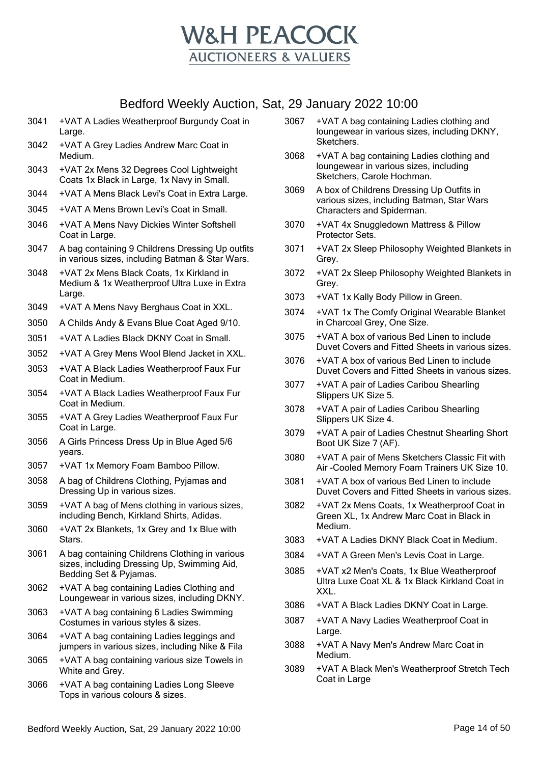

- 3041 +VAT A Ladies Weatherproof Burgundy Coat in Large.
- 3042 +VAT A Grey Ladies Andrew Marc Coat in Medium.
- 3043 +VAT 2x Mens 32 Degrees Cool Lightweight Coats 1x Black in Large, 1x Navy in Small.
- 3044 +VAT A Mens Black Levi's Coat in Extra Large.
- 3045 +VAT A Mens Brown Levi's Coat in Small.
- 3046 +VAT A Mens Navy Dickies Winter Softshell Coat in Large.
- 3047 A bag containing 9 Childrens Dressing Up outfits in various sizes, including Batman & Star Wars.
- 3048 +VAT 2x Mens Black Coats, 1x Kirkland in Medium & 1x Weatherproof Ultra Luxe in Extra Large.
- 3049 +VAT A Mens Navy Berghaus Coat in XXL.
- 3050 A Childs Andy & Evans Blue Coat Aged 9/10.
- 3051 +VAT A Ladies Black DKNY Coat in Small.
- 3052 +VAT A Grey Mens Wool Blend Jacket in XXL.
- 3053 +VAT A Black Ladies Weatherproof Faux Fur Coat in Medium.
- 3054 +VAT A Black Ladies Weatherproof Faux Fur Coat in Medium.
- 3055 +VAT A Grey Ladies Weatherproof Faux Fur Coat in Large.
- 3056 A Girls Princess Dress Up in Blue Aged 5/6 years.
- 3057 +VAT 1x Memory Foam Bamboo Pillow.
- 3058 A bag of Childrens Clothing, Pyjamas and Dressing Up in various sizes.
- 3059 +VAT A bag of Mens clothing in various sizes, including Bench, Kirkland Shirts, Adidas.
- 3060 +VAT 2x Blankets, 1x Grey and 1x Blue with Stars.
- 3061 A bag containing Childrens Clothing in various sizes, including Dressing Up, Swimming Aid, Bedding Set & Pyjamas.
- 3062 +VAT A bag containing Ladies Clothing and Loungewear in various sizes, including DKNY.
- 3063 +VAT A bag containing 6 Ladies Swimming Costumes in various styles & sizes.
- 3064 +VAT A bag containing Ladies leggings and jumpers in various sizes, including Nike & Fila
- 3065 +VAT A bag containing various size Towels in White and Grey.
- 3066 +VAT A bag containing Ladies Long Sleeve Tops in various colours & sizes.
- 3067 +VAT A bag containing Ladies clothing and loungewear in various sizes, including DKNY, Sketchers.
- 3068 +VAT A bag containing Ladies clothing and loungewear in various sizes, including Sketchers, Carole Hochman.
- 3069 A box of Childrens Dressing Up Outfits in various sizes, including Batman, Star Wars Characters and Spiderman.
- 3070 +VAT 4x Snuggledown Mattress & Pillow Protector Sets.
- 3071 +VAT 2x Sleep Philosophy Weighted Blankets in Grey.
- 3072 +VAT 2x Sleep Philosophy Weighted Blankets in Grey.
- 3073 +VAT 1x Kally Body Pillow in Green.
- 3074 +VAT 1x The Comfy Original Wearable Blanket in Charcoal Grey, One Size.
- 3075 +VAT A box of various Bed Linen to include Duvet Covers and Fitted Sheets in various sizes.
- 3076 +VAT A box of various Bed Linen to include Duvet Covers and Fitted Sheets in various sizes.
- 3077 +VAT A pair of Ladies Caribou Shearling Slippers UK Size 5.
- 3078 +VAT A pair of Ladies Caribou Shearling Slippers UK Size 4.
- 3079 +VAT A pair of Ladies Chestnut Shearling Short Boot UK Size 7 (AF).
- 3080 +VAT A pair of Mens Sketchers Classic Fit with Air -Cooled Memory Foam Trainers UK Size 10.
- 3081 +VAT A box of various Bed Linen to include Duvet Covers and Fitted Sheets in various sizes.
- 3082 +VAT 2x Mens Coats, 1x Weatherproof Coat in Green XL, 1x Andrew Marc Coat in Black in Medium.
- 3083 +VAT A Ladies DKNY Black Coat in Medium.
- 3084 +VAT A Green Men's Levis Coat in Large.
- 3085 +VAT x2 Men's Coats, 1x Blue Weatherproof Ultra Luxe Coat XL & 1x Black Kirkland Coat in XXL.
- 3086 +VAT A Black Ladies DKNY Coat in Large.
- 3087 +VAT A Navy Ladies Weatherproof Coat in Large.
- 3088 +VAT A Navy Men's Andrew Marc Coat in Medium.
- 3089 +VAT A Black Men's Weatherproof Stretch Tech Coat in Large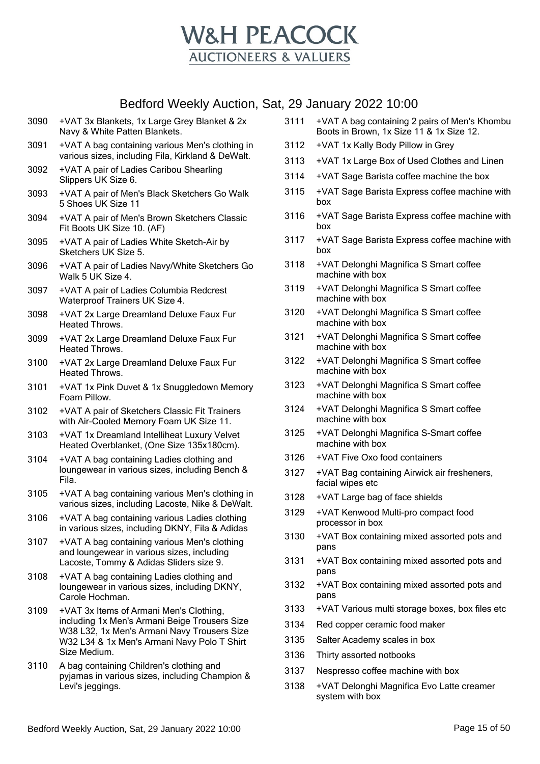

- 3090 +VAT 3x Blankets, 1x Large Grey Blanket & 2x Navy & White Patten Blankets.
- 3091 +VAT A bag containing various Men's clothing in various sizes, including Fila, Kirkland & DeWalt.
- 3092 +VAT A pair of Ladies Caribou Shearling Slippers UK Size 6.
- 3093 +VAT A pair of Men's Black Sketchers Go Walk 5 Shoes UK Size 11
- 3094 +VAT A pair of Men's Brown Sketchers Classic Fit Boots UK Size 10. (AF)
- 3095 +VAT A pair of Ladies White Sketch-Air by Sketchers UK Size 5.
- 3096 +VAT A pair of Ladies Navy/White Sketchers Go Walk 5 UK Size 4.
- 3097 +VAT A pair of Ladies Columbia Redcrest Waterproof Trainers UK Size 4.
- 3098 +VAT 2x Large Dreamland Deluxe Faux Fur Heated Throws.
- 3099 +VAT 2x Large Dreamland Deluxe Faux Fur Heated Throws.
- 3100 +VAT 2x Large Dreamland Deluxe Faux Fur Heated Throws.
- 3101 +VAT 1x Pink Duvet & 1x Snuggledown Memory Foam Pillow.
- 3102 +VAT A pair of Sketchers Classic Fit Trainers with Air-Cooled Memory Foam UK Size 11.
- 3103 +VAT 1x Dreamland Intelliheat Luxury Velvet Heated Overblanket, (One Size 135x180cm).
- 3104 +VAT A bag containing Ladies clothing and loungewear in various sizes, including Bench & Fila.
- 3105 +VAT A bag containing various Men's clothing in various sizes, including Lacoste, Nike & DeWalt.
- 3106 +VAT A bag containing various Ladies clothing in various sizes, including DKNY, Fila & Adidas
- 3107 +VAT A bag containing various Men's clothing and loungewear in various sizes, including Lacoste, Tommy & Adidas Sliders size 9.
- 3108 +VAT A bag containing Ladies clothing and loungewear in various sizes, including DKNY, Carole Hochman.
- 3109 +VAT 3x Items of Armani Men's Clothing, including 1x Men's Armani Beige Trousers Size W38 L32, 1x Men's Armani Navy Trousers Size W32 L34 & 1x Men's Armani Navy Polo T Shirt Size Medium.
- 3110 A bag containing Children's clothing and pyjamas in various sizes, including Champion & Levi's jeggings.
- 3111 +VAT A bag containing 2 pairs of Men's Khombu Boots in Brown, 1x Size 11 & 1x Size 12.
- 3112 +VAT 1x Kally Body Pillow in Grey
- 3113 +VAT 1x Large Box of Used Clothes and Linen
- 3114 +VAT Sage Barista coffee machine the box
- 3115 +VAT Sage Barista Express coffee machine with box
- 3116 +VAT Sage Barista Express coffee machine with box
- 3117 +VAT Sage Barista Express coffee machine with box
- 3118 +VAT Delonghi Magnifica S Smart coffee machine with box
- 3119 +VAT Delonghi Magnifica S Smart coffee machine with box
- 3120 +VAT Delonghi Magnifica S Smart coffee machine with box
- 3121 +VAT Delonghi Magnifica S Smart coffee machine with box
- 3122 +VAT Delonghi Magnifica S Smart coffee machine with box
- 3123 +VAT Delonghi Magnifica S Smart coffee machine with box
- 3124 +VAT Delonghi Magnifica S Smart coffee machine with box
- 3125 +VAT Delonghi Magnifica S-Smart coffee machine with box
- 3126 +VAT Five Oxo food containers
- 3127 +VAT Bag containing Airwick air fresheners, facial wipes etc
- 3128 +VAT Large bag of face shields
- 3129 +VAT Kenwood Multi-pro compact food processor in box
- 3130 +VAT Box containing mixed assorted pots and pans
- 3131 +VAT Box containing mixed assorted pots and pans
- 3132 +VAT Box containing mixed assorted pots and pans
- 3133 +VAT Various multi storage boxes, box files etc
- 3134 Red copper ceramic food maker
- 3135 Salter Academy scales in box
- 3136 Thirty assorted notbooks
- 3137 Nespresso coffee machine with box
- 3138 +VAT Delonghi Magnifica Evo Latte creamer system with box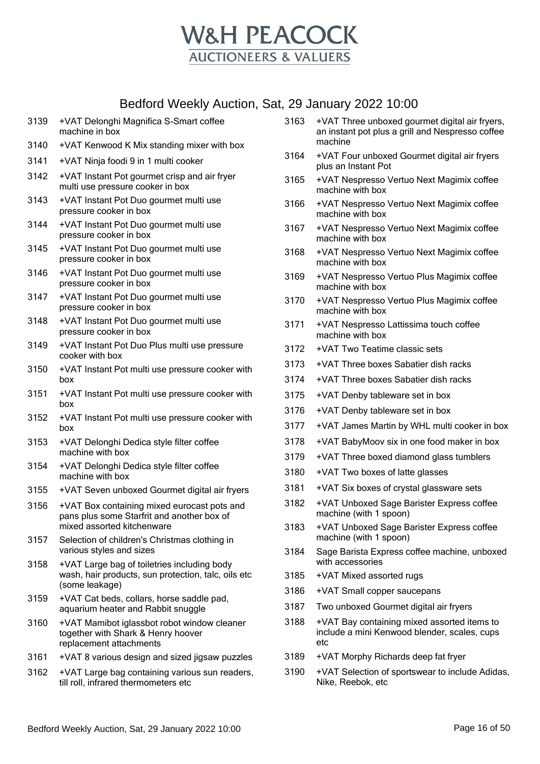

- 3139 +VAT Delonghi Magnifica S-Smart coffee machine in box
- 3140 +VAT Kenwood K Mix standing mixer with box
- 3141 +VAT Ninja foodi 9 in 1 multi cooker
- 3142 +VAT Instant Pot gourmet crisp and air fryer multi use pressure cooker in box
- 3143 +VAT Instant Pot Duo gourmet multi use pressure cooker in box
- 3144 +VAT Instant Pot Duo gourmet multi use pressure cooker in box
- 3145 +VAT Instant Pot Duo gourmet multi use pressure cooker in box
- 3146 +VAT Instant Pot Duo gourmet multi use pressure cooker in box
- 3147 +VAT Instant Pot Duo gourmet multi use pressure cooker in box
- 3148 +VAT Instant Pot Duo gourmet multi use pressure cooker in box
- 3149 +VAT Instant Pot Duo Plus multi use pressure cooker with box
- 3150 +VAT Instant Pot multi use pressure cooker with box
- 3151 +VAT Instant Pot multi use pressure cooker with box
- 3152 +VAT Instant Pot multi use pressure cooker with box
- 3153 +VAT Delonghi Dedica style filter coffee machine with box
- 3154 +VAT Delonghi Dedica style filter coffee machine with box
- 3155 +VAT Seven unboxed Gourmet digital air fryers
- 3156 +VAT Box containing mixed eurocast pots and pans plus some Starfrit and another box of mixed assorted kitchenware
- 3157 Selection of children's Christmas clothing in various styles and sizes
- 3158 +VAT Large bag of toiletries including body wash, hair products, sun protection, talc, oils etc (some leakage)
- 3159 +VAT Cat beds, collars, horse saddle pad, aquarium heater and Rabbit snuggle
- 3160 +VAT Mamibot iglassbot robot window cleaner together with Shark & Henry hoover replacement attachments
- 3161 +VAT 8 various design and sized jigsaw puzzles
- 3162 +VAT Large bag containing various sun readers, till roll, infrared thermometers etc
- 3163 +VAT Three unboxed gourmet digital air fryers, an instant pot plus a grill and Nespresso coffee machine
- 3164 +VAT Four unboxed Gourmet digital air fryers plus an Instant Pot
- 3165 +VAT Nespresso Vertuo Next Magimix coffee machine with box
- 3166 +VAT Nespresso Vertuo Next Magimix coffee machine with box
- 3167 +VAT Nespresso Vertuo Next Magimix coffee machine with box
- 3168 +VAT Nespresso Vertuo Next Magimix coffee machine with box
- 3169 +VAT Nespresso Vertuo Plus Magimix coffee machine with box
- 3170 +VAT Nespresso Vertuo Plus Magimix coffee machine with box
- 3171 +VAT Nespresso Lattissima touch coffee machine with box
- 3172 +VAT Two Teatime classic sets
- 3173 +VAT Three boxes Sabatier dish racks
- 3174 +VAT Three boxes Sabatier dish racks
- 3175 +VAT Denby tableware set in box
- 3176 +VAT Denby tableware set in box
- 3177 +VAT James Martin by WHL multi cooker in box
- 3178 +VAT BabyMoov six in one food maker in box
- 3179 +VAT Three boxed diamond glass tumblers
- 3180 +VAT Two boxes of latte glasses
- 3181 +VAT Six boxes of crystal glassware sets
- 3182 +VAT Unboxed Sage Barister Express coffee machine (with 1 spoon)
- 3183 +VAT Unboxed Sage Barister Express coffee machine (with 1 spoon)
- 3184 Sage Barista Express coffee machine, unboxed with accessories
- 3185 +VAT Mixed assorted rugs
- 3186 +VAT Small copper saucepans
- 3187 Two unboxed Gourmet digital air fryers
- 3188 +VAT Bay containing mixed assorted items to include a mini Kenwood blender, scales, cups etc
- 3189 +VAT Morphy Richards deep fat fryer
- 3190 +VAT Selection of sportswear to include Adidas, Nike, Reebok, etc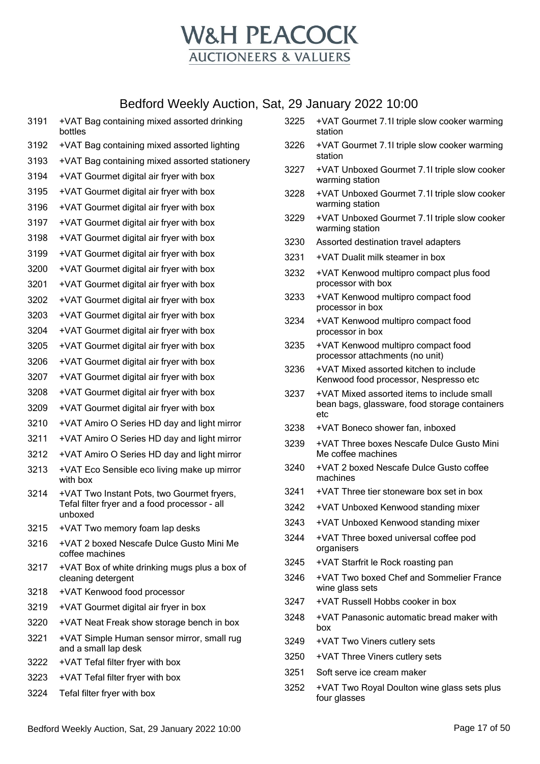

|      | Bedioru Weekly Auction, Sat, 29 January 2022 10.00                 |      |                                                                           |
|------|--------------------------------------------------------------------|------|---------------------------------------------------------------------------|
| 3191 | +VAT Bag containing mixed assorted drinking<br>bottles             | 3225 | +VAT Gourmet 7.1I triple slow cooker warming<br>station                   |
| 3192 | +VAT Bag containing mixed assorted lighting                        | 3226 | +VAT Gourmet 7.1I triple slow cooker warming                              |
| 3193 | +VAT Bag containing mixed assorted stationery                      |      | station                                                                   |
| 3194 | +VAT Gourmet digital air fryer with box                            | 3227 | +VAT Unboxed Gourmet 7.1I triple slow cooker<br>warming station           |
| 3195 | +VAT Gourmet digital air fryer with box                            | 3228 | +VAT Unboxed Gourmet 7.1I triple slow cooker                              |
| 3196 | +VAT Gourmet digital air fryer with box                            |      | warming station                                                           |
| 3197 | +VAT Gourmet digital air fryer with box                            | 3229 | +VAT Unboxed Gourmet 7.1I triple slow cooker<br>warming station           |
| 3198 | +VAT Gourmet digital air fryer with box                            | 3230 | Assorted destination travel adapters                                      |
| 3199 | +VAT Gourmet digital air fryer with box                            | 3231 | +VAT Dualit milk steamer in box                                           |
| 3200 | +VAT Gourmet digital air fryer with box                            | 3232 | +VAT Kenwood multipro compact plus food                                   |
| 3201 | +VAT Gourmet digital air fryer with box                            |      | processor with box                                                        |
| 3202 | +VAT Gourmet digital air fryer with box                            | 3233 | +VAT Kenwood multipro compact food<br>processor in box                    |
| 3203 | +VAT Gourmet digital air fryer with box                            | 3234 | +VAT Kenwood multipro compact food                                        |
| 3204 | +VAT Gourmet digital air fryer with box                            |      | processor in box                                                          |
| 3205 | +VAT Gourmet digital air fryer with box                            | 3235 | +VAT Kenwood multipro compact food                                        |
| 3206 | +VAT Gourmet digital air fryer with box                            | 3236 | processor attachments (no unit)<br>+VAT Mixed assorted kitchen to include |
| 3207 | +VAT Gourmet digital air fryer with box                            |      | Kenwood food processor, Nespresso etc                                     |
| 3208 | +VAT Gourmet digital air fryer with box                            | 3237 | +VAT Mixed assorted items to include small                                |
| 3209 | +VAT Gourmet digital air fryer with box                            |      | bean bags, glassware, food storage containers<br>etc                      |
| 3210 | +VAT Amiro O Series HD day and light mirror                        | 3238 | +VAT Boneco shower fan, inboxed                                           |
| 3211 | +VAT Amiro O Series HD day and light mirror                        | 3239 | +VAT Three boxes Nescafe Dulce Gusto Mini                                 |
| 3212 | +VAT Amiro O Series HD day and light mirror                        |      | Me coffee machines                                                        |
| 3213 | +VAT Eco Sensible eco living make up mirror<br>with box            | 3240 | +VAT 2 boxed Nescafe Dulce Gusto coffee<br>machines                       |
| 3214 | +VAT Two Instant Pots, two Gourmet fryers,                         | 3241 | +VAT Three tier stoneware box set in box                                  |
|      | Tefal filter fryer and a food processor - all<br>unboxed           | 3242 | +VAT Unboxed Kenwood standing mixer                                       |
| 3215 | +VAT Two memory foam lap desks                                     | 3243 | +VAT Unboxed Kenwood standing mixer                                       |
| 3216 | +VAT 2 boxed Nescafe Dulce Gusto Mini Me<br>coffee machines        | 3244 | +VAT Three boxed universal coffee pod<br>organisers                       |
| 3217 | +VAT Box of white drinking mugs plus a box of                      | 3245 | +VAT Starfrit le Rock roasting pan                                        |
|      | cleaning detergent                                                 | 3246 | +VAT Two boxed Chef and Sommelier France                                  |
| 3218 | +VAT Kenwood food processor                                        | 3247 | wine glass sets<br>+VAT Russell Hobbs cooker in box                       |
| 3219 | +VAT Gourmet digital air fryer in box                              | 3248 | +VAT Panasonic automatic bread maker with                                 |
| 3220 | +VAT Neat Freak show storage bench in box                          |      | box                                                                       |
| 3221 | +VAT Simple Human sensor mirror, small rug<br>and a small lap desk | 3249 | +VAT Two Viners cutlery sets                                              |
| 3222 | +VAT Tefal filter fryer with box                                   | 3250 | +VAT Three Viners cutlery sets                                            |
| 3223 | +VAT Tefal filter fryer with box                                   | 3251 | Soft serve ice cream maker                                                |
| 3224 | Tefal filter fryer with box                                        | 3252 | +VAT Two Royal Doulton wine glass sets plus<br>four glasses               |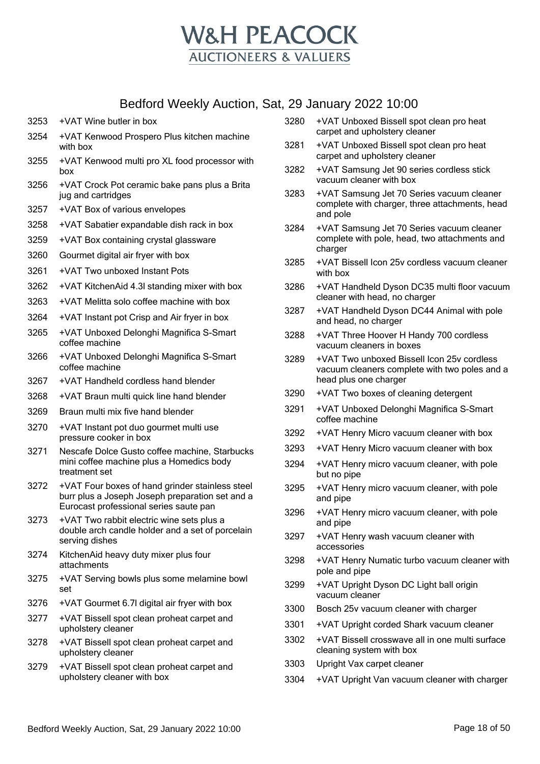

- 3253 +VAT Wine butler in box
- 3254 +VAT Kenwood Prospero Plus kitchen machine with box
- 3255 +VAT Kenwood multi pro XL food processor with box
- 3256 +VAT Crock Pot ceramic bake pans plus a Brita jug and cartridges
- 3257 +VAT Box of various envelopes
- 3258 +VAT Sabatier expandable dish rack in box
- 3259 +VAT Box containing crystal glassware
- 3260 Gourmet digital air fryer with box
- 3261 +VAT Two unboxed Instant Pots
- 3262 +VAT KitchenAid 4.3l standing mixer with box
- 3263 +VAT Melitta solo coffee machine with box
- 3264 +VAT Instant pot Crisp and Air fryer in box
- 3265 +VAT Unboxed Delonghi Magnifica S-Smart coffee machine
- 3266 +VAT Unboxed Delonghi Magnifica S-Smart coffee machine
- 3267 +VAT Handheld cordless hand blender
- 3268 +VAT Braun multi quick line hand blender
- 3269 Braun multi mix five hand blender
- 3270 +VAT Instant pot duo gourmet multi use pressure cooker in box
- 3271 Nescafe Dolce Gusto coffee machine, Starbucks mini coffee machine plus a Homedics body treatment set
- 3272 +VAT Four boxes of hand grinder stainless steel burr plus a Joseph Joseph preparation set and a Eurocast professional series saute pan
- 3273 +VAT Two rabbit electric wine sets plus a double arch candle holder and a set of porcelain serving dishes
- 3274 KitchenAid heavy duty mixer plus four attachments
- 3275 +VAT Serving bowls plus some melamine bowl set
- 3276 +VAT Gourmet 6.7l digital air fryer with box
- 3277 +VAT Bissell spot clean proheat carpet and upholstery cleaner
- 3278 +VAT Bissell spot clean proheat carpet and upholstery cleaner
- 3279 +VAT Bissell spot clean proheat carpet and upholstery cleaner with box
- 3280 +VAT Unboxed Bissell spot clean pro heat carpet and upholstery cleaner
- 3281 +VAT Unboxed Bissell spot clean pro heat carpet and upholstery cleaner
- 3282 +VAT Samsung Jet 90 series cordless stick vacuum cleaner with box
- 3283 +VAT Samsung Jet 70 Series vacuum cleaner complete with charger, three attachments, head and pole
- 3284 +VAT Samsung Jet 70 Series vacuum cleaner complete with pole, head, two attachments and charger
- 3285 +VAT Bissell Icon 25v cordless vacuum cleaner with box
- 3286 +VAT Handheld Dyson DC35 multi floor vacuum cleaner with head, no charger
- 3287 +VAT Handheld Dyson DC44 Animal with pole and head, no charger
- 3288 +VAT Three Hoover H Handy 700 cordless vacuum cleaners in boxes
- 3289 +VAT Two unboxed Bissell Icon 25v cordless vacuum cleaners complete with two poles and a head plus one charger
- 3290 +VAT Two boxes of cleaning detergent
- 3291 +VAT Unboxed Delonghi Magnifica S-Smart coffee machine
- 3292 +VAT Henry Micro vacuum cleaner with box
- 3293 +VAT Henry Micro vacuum cleaner with box
- 3294 +VAT Henry micro vacuum cleaner, with pole but no pipe
- 3295 +VAT Henry micro vacuum cleaner, with pole and pipe
- 3296 +VAT Henry micro vacuum cleaner, with pole and pipe
- 3297 +VAT Henry wash vacuum cleaner with accessories
- 3298 +VAT Henry Numatic turbo vacuum cleaner with pole and pipe
- 3299 +VAT Upright Dyson DC Light ball origin vacuum cleaner
- 3300 Bosch 25v vacuum cleaner with charger
- 3301 +VAT Upright corded Shark vacuum cleaner
- 3302 +VAT Bissell crosswave all in one multi surface cleaning system with box
- 3303 Upright Vax carpet cleaner
- 3304 +VAT Upright Van vacuum cleaner with charger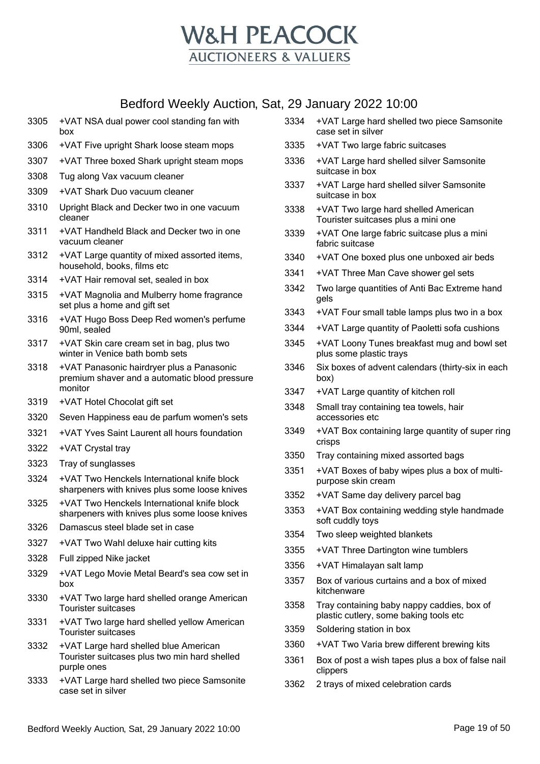

 +VAT NSA dual power cool standing fan with box +VAT Five upright Shark loose steam mops +VAT Three boxed Shark upright steam mops Tug along Vax vacuum cleaner +VAT Shark Duo vacuum cleaner Upright Black and Decker two in one vacuum cleaner +VAT Handheld Black and Decker two in one vacuum cleaner +VAT Large quantity of mixed assorted items, household, books, films etc +VAT Hair removal set, sealed in box +VAT Magnolia and Mulberry home fragrance set plus a home and gift set +VAT Hugo Boss Deep Red women's perfume 90ml, sealed +VAT Skin care cream set in bag, plus two winter in Venice bath bomb sets +VAT Panasonic hairdryer plus a Panasonic premium shaver and a automatic blood pressure monitor +VAT Hotel Chocolat gift set Seven Happiness eau de parfum women's sets +VAT Yves Saint Laurent all hours foundation +VAT Crystal tray Tray of sunglasses +VAT Two Henckels International knife block sharpeners with knives plus some loose knives +VAT Two Henckels International knife block sharpeners with knives plus some loose knives Damascus steel blade set in case +VAT Two Wahl deluxe hair cutting kits Full zipped Nike jacket +VAT Lego Movie Metal Beard's sea cow set in box +VAT Two large hard shelled orange American Tourister suitcases +VAT Two large hard shelled yellow American Tourister suitcases +VAT Large hard shelled blue American Tourister suitcases plus two min hard shelled purple ones +VAT Large hard shelled two piece Samsonite +VAT Large hard shelled two piece Samsonite case set in silver +VAT Two large fabric suitcases +VAT Large hard shelled silver Samsonite suitcase in box +VAT Large hard shelled silver Samsonite suitcase in box +VAT Two large hard shelled American Tourister suitcases plus a mini one +VAT One large fabric suitcase plus a mini fabric suitcase +VAT One boxed plus one unboxed air beds +VAT Three Man Cave shower gel sets Two large quantities of Anti Bac Extreme hand gels +VAT Four small table lamps plus two in a box +VAT Large quantity of Paoletti sofa cushions +VAT Loony Tunes breakfast mug and bowl set plus some plastic trays Six boxes of advent calendars (thirty-six in each box) +VAT Large quantity of kitchen roll Small tray containing tea towels, hair accessories etc +VAT Box containing large quantity of super ring crisps Tray containing mixed assorted bags +VAT Boxes of baby wipes plus a box of multipurpose skin cream +VAT Same day delivery parcel bag +VAT Box containing wedding style handmade soft cuddly toys Two sleep weighted blankets +VAT Three Dartington wine tumblers +VAT Himalayan salt lamp Box of various curtains and a box of mixed kitchenware Tray containing baby nappy caddies, box of plastic cutlery, some baking tools etc Soldering station in box +VAT Two Varia brew different brewing kits Box of post a wish tapes plus a box of false nail clippers 2 trays of mixed celebration cards

case set in silver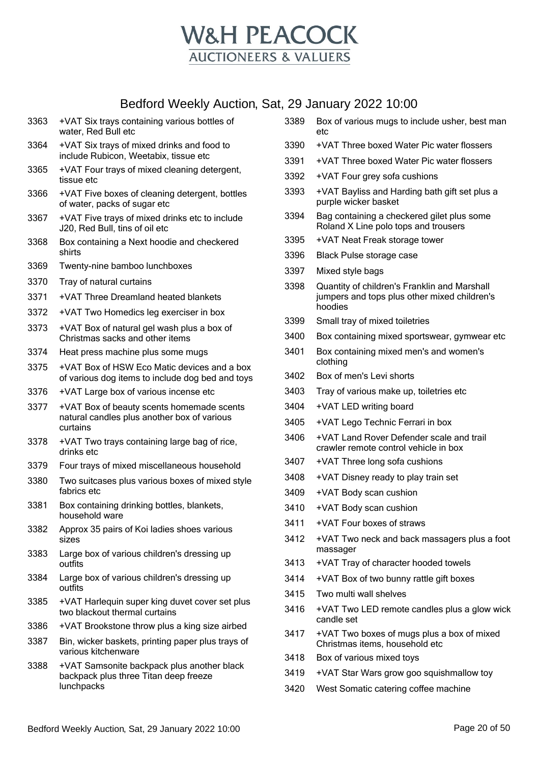

| 3363 | +VAT Six trays containing various bottles of<br>water, Red Bull etc                                  | 3389 | Box of various mugs to include usher, best man<br>etc                              |
|------|------------------------------------------------------------------------------------------------------|------|------------------------------------------------------------------------------------|
| 3364 | +VAT Six trays of mixed drinks and food to                                                           | 3390 | +VAT Three boxed Water Pic water flossers                                          |
| 3365 | include Rubicon, Weetabix, tissue etc<br>+VAT Four trays of mixed cleaning detergent,                | 3391 | +VAT Three boxed Water Pic water flossers                                          |
|      | tissue etc                                                                                           | 3392 | +VAT Four grey sofa cushions                                                       |
| 3366 | +VAT Five boxes of cleaning detergent, bottles<br>of water, packs of sugar etc                       | 3393 | +VAT Bayliss and Harding bath gift set plus a<br>purple wicker basket              |
| 3367 | +VAT Five trays of mixed drinks etc to include<br>J20, Red Bull, tins of oil etc                     | 3394 | Bag containing a checkered gilet plus some<br>Roland X Line polo tops and trousers |
| 3368 | Box containing a Next hoodie and checkered                                                           | 3395 | +VAT Neat Freak storage tower                                                      |
|      | shirts                                                                                               | 3396 | <b>Black Pulse storage case</b>                                                    |
| 3369 | Twenty-nine bamboo lunchboxes                                                                        | 3397 | Mixed style bags                                                                   |
| 3370 | Tray of natural curtains                                                                             | 3398 | Quantity of children's Franklin and Marshall                                       |
| 3371 | +VAT Three Dreamland heated blankets                                                                 |      | jumpers and tops plus other mixed children's<br>hoodies                            |
| 3372 | +VAT Two Homedics leg exerciser in box                                                               | 3399 | Small tray of mixed toiletries                                                     |
| 3373 | +VAT Box of natural gel wash plus a box of<br>Christmas sacks and other items                        | 3400 | Box containing mixed sportswear, gymwear etc                                       |
| 3374 | Heat press machine plus some mugs                                                                    | 3401 | Box containing mixed men's and women's                                             |
| 3375 | +VAT Box of HSW Eco Matic devices and a box                                                          |      | clothing                                                                           |
|      | of various dog items to include dog bed and toys                                                     | 3402 | Box of men's Levi shorts                                                           |
| 3376 | +VAT Large box of various incense etc                                                                | 3403 | Tray of various make up, toiletries etc                                            |
| 3377 | +VAT Box of beauty scents homemade scents<br>natural candles plus another box of various<br>curtains | 3404 | +VAT LED writing board                                                             |
|      |                                                                                                      | 3405 | +VAT Lego Technic Ferrari in box                                                   |
| 3378 | +VAT Two trays containing large bag of rice,<br>drinks etc                                           | 3406 | +VAT Land Rover Defender scale and trail<br>crawler remote control vehicle in box  |
| 3379 | Four trays of mixed miscellaneous household                                                          | 3407 | +VAT Three long sofa cushions                                                      |
| 3380 | Two suitcases plus various boxes of mixed style                                                      | 3408 | +VAT Disney ready to play train set                                                |
|      | fabrics etc                                                                                          | 3409 | +VAT Body scan cushion                                                             |
| 3381 | Box containing drinking bottles, blankets,<br>household ware                                         | 3410 | +VAT Body scan cushion                                                             |
| 3382 | Approx 35 pairs of Koi ladies shoes various                                                          | 3411 | +VAT Four boxes of straws                                                          |
|      | sizes                                                                                                | 3412 | +VAT Two neck and back massagers plus a foot<br>massager                           |
| 3383 | Large box of various children's dressing up<br>outfits                                               | 3413 | +VAT Tray of character hooded towels                                               |
| 3384 | Large box of various children's dressing up                                                          | 3414 | +VAT Box of two bunny rattle gift boxes                                            |
|      | outfits                                                                                              | 3415 | Two multi wall shelves                                                             |
| 3385 | +VAT Harlequin super king duvet cover set plus<br>two blackout thermal curtains                      | 3416 | +VAT Two LED remote candles plus a glow wick<br>candle set                         |
| 3386 | +VAT Brookstone throw plus a king size airbed                                                        | 3417 | +VAT Two boxes of mugs plus a box of mixed                                         |
| 3387 | Bin, wicker baskets, printing paper plus trays of<br>various kitchenware                             |      | Christmas items, household etc                                                     |
| 3388 | +VAT Samsonite backpack plus another black                                                           | 3418 | Box of various mixed toys                                                          |
|      | backpack plus three Titan deep freeze                                                                | 3419 | +VAT Star Wars grow goo squishmallow toy                                           |
|      | lunchpacks                                                                                           | 3420 | West Somatic catering coffee machine                                               |
|      |                                                                                                      |      |                                                                                    |
|      |                                                                                                      |      |                                                                                    |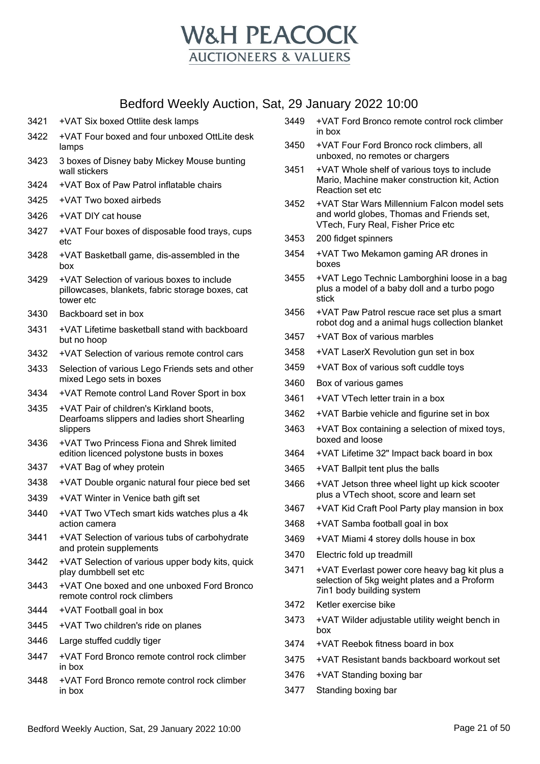

- +VAT Six boxed Ottlite desk lamps
- +VAT Four boxed and four unboxed OttLite desk lamps
- 3 boxes of Disney baby Mickey Mouse bunting wall stickers
- +VAT Box of Paw Patrol inflatable chairs
- +VAT Two boxed airbeds
- +VAT DIY cat house
- +VAT Four boxes of disposable food trays, cups etc
- +VAT Basketball game, dis-assembled in the hoy
- +VAT Selection of various boxes to include pillowcases, blankets, fabric storage boxes, cat tower etc
- Backboard set in box
- +VAT Lifetime basketball stand with backboard but no hoop
- +VAT Selection of various remote control cars
- Selection of various Lego Friends sets and other mixed Lego sets in boxes
- +VAT Remote control Land Rover Sport in box
- +VAT Pair of children's Kirkland boots, Dearfoams slippers and ladies short Shearling slippers
- +VAT Two Princess Fiona and Shrek limited edition licenced polystone busts in boxes
- +VAT Bag of whey protein
- +VAT Double organic natural four piece bed set
- +VAT Winter in Venice bath gift set
- +VAT Two VTech smart kids watches plus a 4k action camera
- +VAT Selection of various tubs of carbohydrate and protein supplements
- +VAT Selection of various upper body kits, quick play dumbbell set etc
- +VAT One boxed and one unboxed Ford Bronco remote control rock climbers
- +VAT Football goal in box
- +VAT Two children's ride on planes
- Large stuffed cuddly tiger
- +VAT Ford Bronco remote control rock climber in box
- +VAT Ford Bronco remote control rock climber in box
- +VAT Ford Bronco remote control rock climber in box
- +VAT Four Ford Bronco rock climbers, all unboxed, no remotes or chargers
- +VAT Whole shelf of various toys to include Mario, Machine maker construction kit, Action Reaction set etc
- +VAT Star Wars Millennium Falcon model sets and world globes, Thomas and Friends set, VTech, Fury Real, Fisher Price etc
- 200 fidget spinners
- +VAT Two Mekamon gaming AR drones in boxes
- +VAT Lego Technic Lamborghini loose in a bag plus a model of a baby doll and a turbo pogo stick
- +VAT Paw Patrol rescue race set plus a smart robot dog and a animal hugs collection blanket
- +VAT Box of various marbles
- +VAT LaserX Revolution gun set in box
- +VAT Box of various soft cuddle toys
- Box of various games
- +VAT VTech letter train in a box
- +VAT Barbie vehicle and figurine set in box
- +VAT Box containing a selection of mixed toys, boxed and loose
- +VAT Lifetime 32" Impact back board in box
- +VAT Ballpit tent plus the balls
- +VAT Jetson three wheel light up kick scooter plus a VTech shoot, score and learn set
- +VAT Kid Craft Pool Party play mansion in box
- +VAT Samba football goal in box
- +VAT Miami 4 storey dolls house in box
- Electric fold up treadmill
- +VAT Everlast power core heavy bag kit plus a selection of 5kg weight plates and a Proform 7in1 body building system
- Ketler exercise bike
- +VAT Wilder adjustable utility weight bench in box
- +VAT Reebok fitness board in box
- +VAT Resistant bands backboard workout set
- +VAT Standing boxing bar
- Standing boxing bar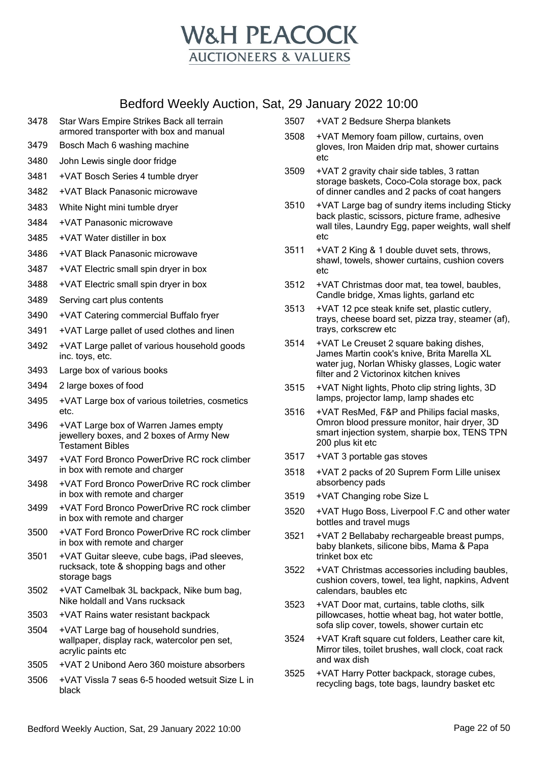

- 3478 Star Wars Empire Strikes Back all terrain armored transporter with box and manual
- 3479 Bosch Mach 6 washing machine
- 3480 John Lewis single door fridge
- 3481 +VAT Bosch Series 4 tumble dryer
- 3482 +VAT Black Panasonic microwave
- 3483 White Night mini tumble dryer
- 3484 +VAT Panasonic microwave
- 3485 +VAT Water distiller in box
- 3486 +VAT Black Panasonic microwave
- 3487 +VAT Electric small spin dryer in box
- 3488 +VAT Electric small spin dryer in box
- 3489 Serving cart plus contents
- 3490 +VAT Catering commercial Buffalo fryer
- 3491 +VAT Large pallet of used clothes and linen
- 3492 +VAT Large pallet of various household goods inc. toys, etc.
- 3493 Large box of various books
- 3494 2 large boxes of food
- 3495 +VAT Large box of various toiletries, cosmetics etc.
- 3496 +VAT Large box of Warren James empty jewellery boxes, and 2 boxes of Army New Testament Bibles
- 3497 +VAT Ford Bronco PowerDrive RC rock climber in box with remote and charger
- 3498 +VAT Ford Bronco PowerDrive RC rock climber in box with remote and charger
- 3499 +VAT Ford Bronco PowerDrive RC rock climber in box with remote and charger
- 3500 +VAT Ford Bronco PowerDrive RC rock climber in box with remote and charger
- 3501 +VAT Guitar sleeve, cube bags, iPad sleeves, rucksack, tote & shopping bags and other storage bags
- 3502 +VAT Camelbak 3L backpack, Nike bum bag, Nike holdall and Vans rucksack
- 3503 +VAT Rains water resistant backpack
- 3504 +VAT Large bag of household sundries, wallpaper, display rack, watercolor pen set, acrylic paints etc
- 3505 +VAT 2 Unibond Aero 360 moisture absorbers
- 3506 +VAT Vissla 7 seas 6-5 hooded wetsuit Size L in black
- 3507 +VAT 2 Bedsure Sherpa blankets
- 3508 +VAT Memory foam pillow, curtains, oven gloves, Iron Maiden drip mat, shower curtains etc
- 3509 +VAT 2 gravity chair side tables, 3 rattan storage baskets, Coco-Cola storage box, pack of dinner candles and 2 packs of coat hangers
- 3510 +VAT Large bag of sundry items including Sticky back plastic, scissors, picture frame, adhesive wall tiles, Laundry Egg, paper weights, wall shelf etc
- 3511 +VAT 2 King & 1 double duvet sets, throws, shawl, towels, shower curtains, cushion covers etc
- 3512 +VAT Christmas door mat, tea towel, baubles, Candle bridge, Xmas lights, garland etc
- 3513 +VAT 12 pce steak knife set, plastic cutlery, trays, cheese board set, pizza tray, steamer (af), trays, corkscrew etc
- 3514 +VAT Le Creuset 2 square baking dishes, James Martin cook's knive, Brita Marella XL water jug, Norlan Whisky glasses, Logic water filter and 2 Victorinox kitchen knives
- 3515 +VAT Night lights, Photo clip string lights, 3D lamps, projector lamp, lamp shades etc
- 3516 +VAT ResMed, F&P and Philips facial masks, Omron blood pressure monitor, hair dryer, 3D smart injection system, sharpie box, TENS TPN 200 plus kit etc
- 3517 +VAT 3 portable gas stoves
- 3518 +VAT 2 packs of 20 Suprem Form Lille unisex absorbency pads
- 3519 +VAT Changing robe Size L
- 3520 +VAT Hugo Boss, Liverpool F.C and other water bottles and travel mugs
- 3521 +VAT 2 Bellababy rechargeable breast pumps, baby blankets, silicone bibs, Mama & Papa trinket box etc
- 3522 +VAT Christmas accessories including baubles, cushion covers, towel, tea light, napkins, Advent calendars, baubles etc
- 3523 +VAT Door mat, curtains, table cloths, silk pillowcases, hottie wheat bag, hot water bottle, sofa slip cover, towels, shower curtain etc
- 3524 +VAT Kraft square cut folders, Leather care kit, Mirror tiles, toilet brushes, wall clock, coat rack and wax dish
- 3525 +VAT Harry Potter backpack, storage cubes, recycling bags, tote bags, laundry basket etc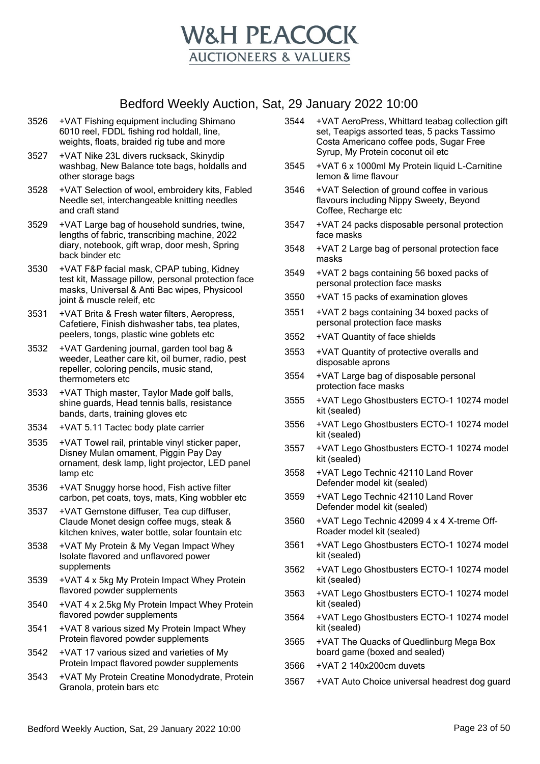

- 3526 +VAT Fishing equipment including Shimano 6010 reel, FDDL fishing rod holdall, line, weights, floats, braided rig tube and more
- 3527 +VAT Nike 23L divers rucksack, Skinydip washbag, New Balance tote bags, holdalls and other storage bags
- 3528 +VAT Selection of wool, embroidery kits, Fabled Needle set, interchangeable knitting needles and craft stand
- 3529 +VAT Large bag of household sundries, twine, lengths of fabric, transcribing machine, 2022 diary, notebook, gift wrap, door mesh, Spring back binder etc
- 3530 +VAT F&P facial mask, CPAP tubing, Kidney test kit, Massage pillow, personal protection face masks, Universal & Anti Bac wipes, Physicool joint & muscle releif, etc
- 3531 +VAT Brita & Fresh water filters, Aeropress, Cafetiere, Finish dishwasher tabs, tea plates, peelers, tongs, plastic wine goblets etc
- 3532 +VAT Gardening journal, garden tool bag & weeder, Leather care kit, oil burner, radio, pest repeller, coloring pencils, music stand, thermometers etc
- 3533 +VAT Thigh master, Taylor Made golf balls, shine guards, Head tennis balls, resistance bands, darts, training gloves etc
- 3534 +VAT 5.11 Tactec body plate carrier
- 3535 +VAT Towel rail, printable vinyl sticker paper, Disney Mulan ornament, Piggin Pay Day ornament, desk lamp, light projector, LED panel lamp etc
- 3536 +VAT Snuggy horse hood, Fish active filter carbon, pet coats, toys, mats, King wobbler etc
- 3537 +VAT Gemstone diffuser, Tea cup diffuser, Claude Monet design coffee mugs, steak & kitchen knives, water bottle, solar fountain etc
- 3538 +VAT My Protein & My Vegan Impact Whey Isolate flavored and unflavored power supplements
- 3539 +VAT 4 x 5kg My Protein Impact Whey Protein flavored powder supplements
- 3540 +VAT 4 x 2.5kg My Protein Impact Whey Protein flavored powder supplements
- 3541 +VAT 8 various sized My Protein Impact Whey Protein flavored powder supplements
- 3542 +VAT 17 various sized and varieties of My Protein Impact flavored powder supplements
- 3543 +VAT My Protein Creatine Monodydrate, Protein Granola, protein bars etc
- 3544 +VAT AeroPress, Whittard teabag collection gift set, Teapigs assorted teas, 5 packs Tassimo Costa Americano coffee pods, Sugar Free Syrup, My Protein coconut oil etc
- 3545 +VAT 6 x 1000ml My Protein liquid L-Carnitine lemon & lime flavour
- 3546 +VAT Selection of ground coffee in various flavours including Nippy Sweety, Beyond Coffee, Recharge etc
- 3547 +VAT 24 packs disposable personal protection face masks
- 3548 +VAT 2 Large bag of personal protection face masks
- 3549 +VAT 2 bags containing 56 boxed packs of personal protection face masks
- 3550 +VAT 15 packs of examination gloves
- 3551 +VAT 2 bags containing 34 boxed packs of personal protection face masks
- 3552 +VAT Quantity of face shields
- 3553 +VAT Quantity of protective overalls and disposable aprons
- 3554 +VAT Large bag of disposable personal protection face masks
- 3555 +VAT Lego Ghostbusters ECTO-1 10274 model kit (sealed)
- 3556 +VAT Lego Ghostbusters ECTO-1 10274 model kit (sealed)
- 3557 +VAT Lego Ghostbusters ECTO-1 10274 model kit (sealed)
- 3558 +VAT Lego Technic 42110 Land Rover Defender model kit (sealed)
- 3559 +VAT Lego Technic 42110 Land Rover Defender model kit (sealed)
- 3560 +VAT Lego Technic 42099 4 x 4 X-treme Off-Roader model kit (sealed)
- 3561 +VAT Lego Ghostbusters ECTO-1 10274 model kit (sealed)
- 3562 +VAT Lego Ghostbusters ECTO-1 10274 model kit (sealed)
- 3563 +VAT Lego Ghostbusters ECTO-1 10274 model kit (sealed)
- 3564 +VAT Lego Ghostbusters ECTO-1 10274 model kit (sealed)
- 3565 +VAT The Quacks of Quedlinburg Mega Box board game (boxed and sealed)
- 3566 +VAT 2 140x200cm duvets
- 3567 +VAT Auto Choice universal headrest dog guard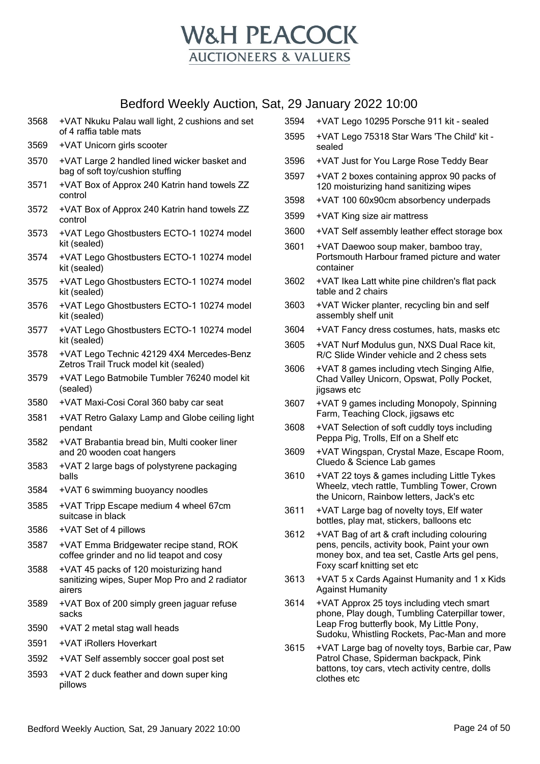

- 3568 +VAT Nkuku Palau wall light, 2 cushions and set of 4 raffia table mats
- 3569 +VAT Unicorn girls scooter
- 3570 +VAT Large 2 handled lined wicker basket and bag of soft toy/cushion stuffing
- 3571 +VAT Box of Approx 240 Katrin hand towels ZZ control
- 3572 +VAT Box of Approx 240 Katrin hand towels ZZ control
- 3573 +VAT Lego Ghostbusters ECTO-1 10274 model kit (sealed)
- 3574 +VAT Lego Ghostbusters ECTO-1 10274 model kit (sealed)
- 3575 +VAT Lego Ghostbusters ECTO-1 10274 model kit (sealed)
- 3576 +VAT Lego Ghostbusters ECTO-1 10274 model kit (sealed)
- 3577 +VAT Lego Ghostbusters ECTO-1 10274 model kit (sealed)
- 3578 +VAT Lego Technic 42129 4X4 Mercedes-Benz Zetros Trail Truck model kit (sealed)
- 3579 +VAT Lego Batmobile Tumbler 76240 model kit (sealed)
- 3580 +VAT Maxi-Cosi Coral 360 baby car seat
- 3581 +VAT Retro Galaxy Lamp and Globe ceiling light pendant
- 3582 +VAT Brabantia bread bin, Multi cooker liner and 20 wooden coat hangers
- 3583 +VAT 2 large bags of polystyrene packaging balls
- 3584 +VAT 6 swimming buoyancy noodles
- 3585 +VAT Tripp Escape medium 4 wheel 67cm suitcase in black
- 3586 +VAT Set of 4 pillows
- 3587 +VAT Emma Bridgewater recipe stand, ROK coffee grinder and no lid teapot and cosy
- 3588 +VAT 45 packs of 120 moisturizing hand sanitizing wipes, Super Mop Pro and 2 radiator airers
- 3589 +VAT Box of 200 simply green jaguar refuse sacks
- 3590 +VAT 2 metal stag wall heads
- 3591 +VAT iRollers Hoverkart
- 3592 +VAT Self assembly soccer goal post set
- 3593 +VAT 2 duck feather and down super king pillows

3595 +VAT Lego 75318 Star Wars 'The Child' kit sealed 3596 +VAT Just for You Large Rose Teddy Bear 3597 +VAT 2 boxes containing approx 90 packs of 120 moisturizing hand sanitizing wipes 3598 +VAT 100 60x90cm absorbency underpads 3599 +VAT King size air mattress 3600 +VAT Self assembly leather effect storage box 3601 +VAT Daewoo soup maker, bamboo tray, Portsmouth Harbour framed picture and water container 3602 +VAT Ikea Latt white pine children's flat pack table and 2 chairs 3603 +VAT Wicker planter, recycling bin and self assembly shelf unit

3594 +VAT Lego 10295 Porsche 911 kit - sealed

- 3604 +VAT Fancy dress costumes, hats, masks etc
- 3605 +VAT Nurf Modulus gun, NXS Dual Race kit, R/C Slide Winder vehicle and 2 chess sets
- 3606 +VAT 8 games including vtech Singing Alfie, Chad Valley Unicorn, Opswat, Polly Pocket, jigsaws etc
- 3607 +VAT 9 games including Monopoly, Spinning Farm, Teaching Clock, jigsaws etc
- 3608 +VAT Selection of soft cuddly toys including Peppa Pig, Trolls, Elf on a Shelf etc
- 3609 +VAT Wingspan, Crystal Maze, Escape Room, Cluedo & Science Lab games
- 3610 +VAT 22 toys & games including Little Tykes Wheelz, vtech rattle, Tumbling Tower, Crown the Unicorn, Rainbow letters, Jack's etc
- 3611 +VAT Large bag of novelty toys, Elf water bottles, play mat, stickers, balloons etc
- 3612 +VAT Bag of art & craft including colouring pens, pencils, activity book, Paint your own money box, and tea set, Castle Arts gel pens, Foxy scarf knitting set etc
- 3613 +VAT 5 x Cards Against Humanity and 1 x Kids Against Humanity
- 3614 +VAT Approx 25 toys including vtech smart phone, Play dough, Tumbling Caterpillar tower, Leap Frog butterfly book, My Little Pony, Sudoku, Whistling Rockets, Pac-Man and more
- 3615 +VAT Large bag of novelty toys, Barbie car, Paw Patrol Chase, Spiderman backpack, Pink battons, toy cars, vtech activity centre, dolls clothes etc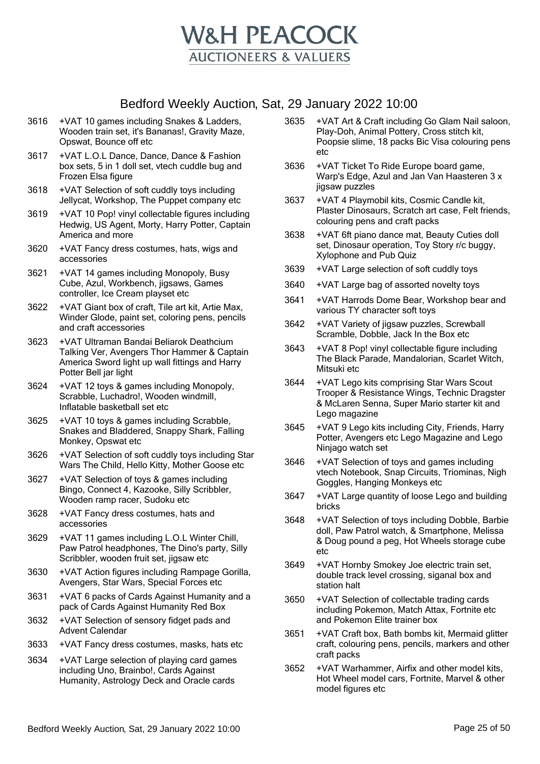

- 3616 +VAT 10 games including Snakes & Ladders, Wooden train set, it's Bananas!, Gravity Maze, Opswat, Bounce off etc
- 3617 +VAT L.O.L Dance, Dance, Dance & Fashion box sets, 5 in 1 doll set, vtech cuddle bug and Frozen Elsa figure
- 3618 +VAT Selection of soft cuddly toys including Jellycat, Workshop, The Puppet company etc
- 3619 +VAT 10 Pop! vinyl collectable figures including Hedwig, US Agent, Morty, Harry Potter, Captain America and more
- 3620 +VAT Fancy dress costumes, hats, wigs and accessories
- 3621 +VAT 14 games including Monopoly, Busy Cube, Azul, Workbench, jigsaws, Games controller, Ice Cream playset etc
- 3622 +VAT Giant box of craft, Tile art kit, Artie Max, Winder Glode, paint set, coloring pens, pencils and craft accessories
- 3623 +VAT Ultraman Bandai Beliarok Deathcium Talking Ver, Avengers Thor Hammer & Captain America Sword light up wall fittings and Harry Potter Bell jar light
- 3624 +VAT 12 toys & games including Monopoly, Scrabble, Luchadro!, Wooden windmill, Inflatable basketball set etc
- 3625 +VAT 10 toys & games including Scrabble, Snakes and Bladdered, Snappy Shark, Falling Monkey, Opswat etc
- 3626 +VAT Selection of soft cuddly toys including Star Wars The Child, Hello Kitty, Mother Goose etc
- 3627 +VAT Selection of toys & games including Bingo, Connect 4, Kazooke, Silly Scribbler, Wooden ramp racer, Sudoku etc
- 3628 +VAT Fancy dress costumes, hats and accessories
- 3629 +VAT 11 games including L.O.L Winter Chill, Paw Patrol headphones, The Dino's party, Silly Scribbler, wooden fruit set, jigsaw etc
- 3630 +VAT Action figures including Rampage Gorilla, Avengers, Star Wars, Special Forces etc
- 3631 +VAT 6 packs of Cards Against Humanity and a pack of Cards Against Humanity Red Box
- 3632 +VAT Selection of sensory fidget pads and Advent Calendar
- 3633 +VAT Fancy dress costumes, masks, hats etc
- 3634 +VAT Large selection of playing card games including Uno, Brainbo!, Cards Against Humanity, Astrology Deck and Oracle cards
- 3635 +VAT Art & Craft including Go Glam Nail saloon, Play-Doh, Animal Pottery, Cross stitch kit, Poopsie slime, 18 packs Bic Visa colouring pens etc
- 3636 +VAT Ticket To Ride Europe board game, Warp's Edge, Azul and Jan Van Haasteren 3 x jigsaw puzzles
- 3637 +VAT 4 Playmobil kits, Cosmic Candle kit, Plaster Dinosaurs, Scratch art case, Felt friends, colouring pens and craft packs
- 3638 +VAT 6ft piano dance mat, Beauty Cuties doll set, Dinosaur operation, Toy Story r/c buggy, Xylophone and Pub Quiz
- 3639 +VAT Large selection of soft cuddly toys
- 3640 +VAT Large bag of assorted novelty toys
- 3641 +VAT Harrods Dome Bear, Workshop bear and various TY character soft toys
- 3642 +VAT Variety of jigsaw puzzles, Screwball Scramble, Dobble, Jack In the Box etc
- 3643 +VAT 8 Pop! vinyl collectable figure including The Black Parade, Mandalorian, Scarlet Witch, Mitsuki etc
- 3644 +VAT Lego kits comprising Star Wars Scout Trooper & Resistance Wings, Technic Dragster & McLaren Senna, Super Mario starter kit and Lego magazine
- 3645 +VAT 9 Lego kits including City, Friends, Harry Potter, Avengers etc Lego Magazine and Lego Ninjago watch set
- 3646 +VAT Selection of toys and games including vtech Notebook, Snap Circuits, Triominas, Nigh Goggles, Hanging Monkeys etc
- 3647 +VAT Large quantity of loose Lego and building bricks
- 3648 +VAT Selection of toys including Dobble, Barbie doll, Paw Patrol watch, & Smartphone, Melissa & Doug pound a peg, Hot Wheels storage cube etc
- 3649 +VAT Hornby Smokey Joe electric train set, double track level crossing, siganal box and station halt
- 3650 +VAT Selection of collectable trading cards including Pokemon, Match Attax, Fortnite etc and Pokemon Elite trainer box
- 3651 +VAT Craft box, Bath bombs kit, Mermaid glitter craft, colouring pens, pencils, markers and other craft packs
- 3652 +VAT Warhammer, Airfix and other model kits, Hot Wheel model cars, Fortnite, Marvel & other model figures etc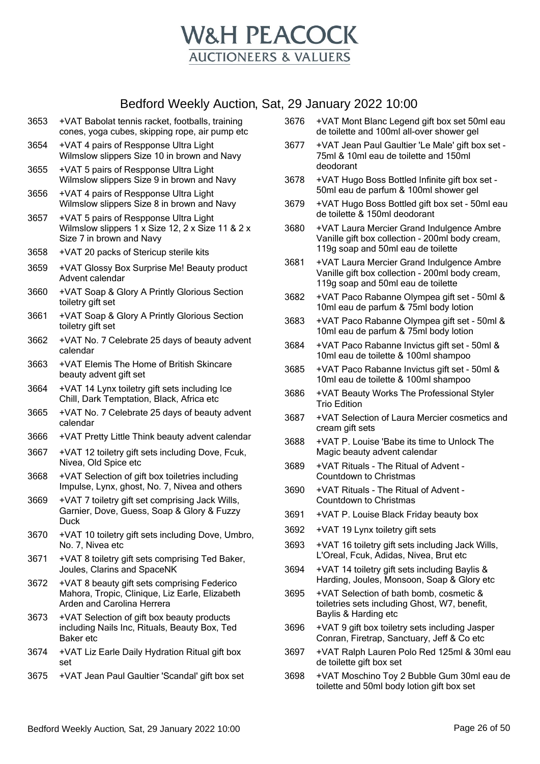

- 3653 +VAT Babolat tennis racket, footballs, training cones, yoga cubes, skipping rope, air pump etc
- 3654 +VAT 4 pairs of Respponse Ultra Light Wilmslow slippers Size 10 in brown and Navy
- 3655 +VAT 5 pairs of Respponse Ultra Light Wilmslow slippers Size 9 in brown and Navy
- 3656 +VAT 4 pairs of Respponse Ultra Light Wilmslow slippers Size 8 in brown and Navy
- 3657 +VAT 5 pairs of Respponse Ultra Light Wilmslow slippers 1 x Size 12, 2 x Size 11 & 2 x Size 7 in brown and Navy
- 3658 +VAT 20 packs of Stericup sterile kits
- 3659 +VAT Glossy Box Surprise Me! Beauty product Advent calendar
- 3660 +VAT Soap & Glory A Printly Glorious Section toiletry gift set
- 3661 +VAT Soap & Glory A Printly Glorious Section toiletry gift set
- 3662 +VAT No. 7 Celebrate 25 days of beauty advent calendar
- 3663 +VAT Elemis The Home of British Skincare beauty advent gift set
- 3664 +VAT 14 Lynx toiletry gift sets including Ice Chill, Dark Temptation, Black, Africa etc
- 3665 +VAT No. 7 Celebrate 25 days of beauty advent calendar
- 3666 +VAT Pretty Little Think beauty advent calendar
- 3667 +VAT 12 toiletry gift sets including Dove, Fcuk, Nivea, Old Spice etc
- 3668 +VAT Selection of gift box toiletries including Impulse, Lynx, ghost, No. 7, Nivea and others
- 3669 +VAT 7 toiletry gift set comprising Jack Wills, Garnier, Dove, Guess, Soap & Glory & Fuzzy Duck
- 3670 +VAT 10 toiletry gift sets including Dove, Umbro, No. 7, Nivea etc
- 3671 +VAT 8 toiletry gift sets comprising Ted Baker, Joules, Clarins and SpaceNK
- 3672 +VAT 8 beauty gift sets comprising Federico Mahora, Tropic, Clinique, Liz Earle, Elizabeth Arden and Carolina Herrera
- 3673 +VAT Selection of gift box beauty products including Nails Inc, Rituals, Beauty Box, Ted Baker etc
- 3674 +VAT Liz Earle Daily Hydration Ritual gift box set
- 3675 +VAT Jean Paul Gaultier 'Scandal' gift box set
- 3676 +VAT Mont Blanc Legend gift box set 50ml eau de toilette and 100ml all-over shower gel
- 3677 +VAT Jean Paul Gaultier 'Le Male' gift box set 75ml & 10ml eau de toilette and 150ml deodorant
- 3678 +VAT Hugo Boss Bottled Infinite gift box set 50ml eau de parfum & 100ml shower gel
- 3679 +VAT Hugo Boss Bottled gift box set 50ml eau de toilette & 150ml deodorant
- 3680 +VAT Laura Mercier Grand Indulgence Ambre Vanille gift box collection - 200ml body cream, 119g soap and 50ml eau de toilette
- 3681 +VAT Laura Mercier Grand Indulgence Ambre Vanille gift box collection - 200ml body cream, 119g soap and 50ml eau de toilette
- 3682 +VAT Paco Rabanne Olympea gift set 50ml & 10ml eau de parfum & 75ml body lotion
- 3683 +VAT Paco Rabanne Olympea gift set 50ml & 10ml eau de parfum & 75ml body lotion
- 3684 +VAT Paco Rabanne Invictus gift set 50ml & 10ml eau de toilette & 100ml shampoo
- 3685 +VAT Paco Rabanne Invictus gift set 50ml & 10ml eau de toilette & 100ml shampoo
- 3686 +VAT Beauty Works The Professional Styler Trio Edition
- 3687 +VAT Selection of Laura Mercier cosmetics and cream gift sets
- 3688 +VAT P. Louise 'Babe its time to Unlock The Magic beauty advent calendar
- 3689 +VAT Rituals The Ritual of Advent Countdown to Christmas
- 3690 +VAT Rituals The Ritual of Advent Countdown to Christmas
- 3691 +VAT P. Louise Black Friday beauty box
- 3692 +VAT 19 Lynx toiletry gift sets
- 3693 +VAT 16 toiletry gift sets including Jack Wills, L'Oreal, Fcuk, Adidas, Nivea, Brut etc
- 3694 +VAT 14 toiletry gift sets including Baylis & Harding, Joules, Monsoon, Soap & Glory etc
- 3695 +VAT Selection of bath bomb, cosmetic & toiletries sets including Ghost, W7, benefit, Baylis & Harding etc
- 3696 +VAT 9 gift box toiletry sets including Jasper Conran, Firetrap, Sanctuary, Jeff & Co etc
- 3697 +VAT Ralph Lauren Polo Red 125ml & 30ml eau de toilette gift box set
- 3698 +VAT Moschino Toy 2 Bubble Gum 30ml eau de toilette and 50ml body lotion gift box set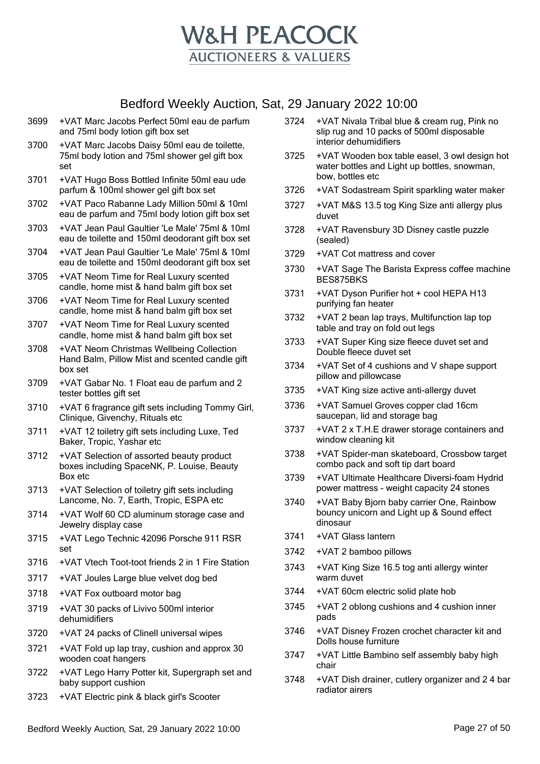

- 3699 +VAT Marc Jacobs Perfect 50ml eau de parfum and 75ml body lotion gift box set
- 3700 +VAT Marc Jacobs Daisy 50ml eau de toilette, 75ml body lotion and 75ml shower gel gift box set
- 3701 +VAT Hugo Boss Bottled Infinite 50ml eau ude parfum & 100ml shower gel gift box set
- 3702 +VAT Paco Rabanne Lady Million 50ml & 10ml eau de parfum and 75ml body lotion gift box set
- 3703 +VAT Jean Paul Gaultier 'Le Male' 75ml & 10ml eau de toilette and 150ml deodorant gift box set
- 3704 +VAT Jean Paul Gaultier 'Le Male' 75ml & 10ml eau de toilette and 150ml deodorant gift box set
- 3705 +VAT Neom Time for Real Luxury scented candle, home mist & hand balm gift box set
- 3706 +VAT Neom Time for Real Luxury scented candle, home mist & hand balm gift box set
- 3707 +VAT Neom Time for Real Luxury scented candle, home mist & hand balm gift box set
- 3708 +VAT Neom Christmas Wellbeing Collection Hand Balm, Pillow Mist and scented candle gift box set
- 3709 +VAT Gabar No. 1 Float eau de parfum and 2 tester bottles gift set
- 3710 +VAT 6 fragrance gift sets including Tommy Girl, Clinique, Givenchy, Rituals etc
- 3711 +VAT 12 toiletry gift sets including Luxe, Ted Baker, Tropic, Yashar etc
- 3712 +VAT Selection of assorted beauty product boxes including SpaceNK, P. Louise, Beauty Box etc
- 3713 +VAT Selection of toiletry gift sets including Lancome, No. 7, Earth, Tropic, ESPA etc
- 3714 +VAT Wolf 60 CD aluminum storage case and Jewelry display case
- 3715 +VAT Lego Technic 42096 Porsche 911 RSR set
- 3716 +VAT Vtech Toot-toot friends 2 in 1 Fire Station
- 3717 +VAT Joules Large blue velvet dog bed
- 3718 +VAT Fox outboard motor bag
- 3719 +VAT 30 packs of Livivo 500ml interior dehumidifiers
- 3720 +VAT 24 packs of Clinell universal wipes
- 3721 +VAT Fold up lap tray, cushion and approx 30 wooden coat hangers
- 3722 +VAT Lego Harry Potter kit, Supergraph set and baby support cushion
- 3723 +VAT Electric pink & black girl's Scooter
- 3724 +VAT Nivala Tribal blue & cream rug, Pink no slip rug and 10 packs of 500ml disposable interior dehumidifiers
- 3725 +VAT Wooden box table easel, 3 owl design hot water bottles and Light up bottles, snowman, bow, bottles etc
- 3726 +VAT Sodastream Spirit sparkling water maker
- 3727 +VAT M&S 13.5 tog King Size anti allergy plus duvet
- 3728 +VAT Ravensbury 3D Disney castle puzzle (sealed)
- 3729 +VAT Cot mattress and cover
- 3730 +VAT Sage The Barista Express coffee machine BES875BKS
- 3731 +VAT Dyson Purifier hot + cool HEPA H13 purifying fan heater
- 3732 +VAT 2 bean lap trays, Multifunction lap top table and tray on fold out legs
- 3733 +VAT Super King size fleece duvet set and Double fleece duvet set
- 3734 +VAT Set of 4 cushions and V shape support pillow and pillowcase
- 3735 +VAT King size active anti-allergy duvet
- 3736 +VAT Samuel Groves copper clad 16cm saucepan, lid and storage bag
- 3737 +VAT 2 x T.H.E drawer storage containers and window cleaning kit
- 3738 +VAT Spider-man skateboard, Crossbow target combo pack and soft tip dart board
- 3739 +VAT Ultimate Healthcare Diversi-foam Hydrid power mattress - weight capacity 24 stones
- 3740 +VAT Baby Bjorn baby carrier One, Rainbow bouncy unicorn and Light up & Sound effect dinosaur
- 3741 +VAT Glass lantern
- 3742 +VAT 2 bamboo pillows
- 3743 +VAT King Size 16.5 tog anti allergy winter warm duvet
- 3744 +VAT 60cm electric solid plate hob
- 3745 +VAT 2 oblong cushions and 4 cushion inner pads
- 3746 +VAT Disney Frozen crochet character kit and Dolls house furniture
- 3747 +VAT Little Bambino self assembly baby high chair
- 3748 +VAT Dish drainer, cutlery organizer and 2 4 bar radiator airers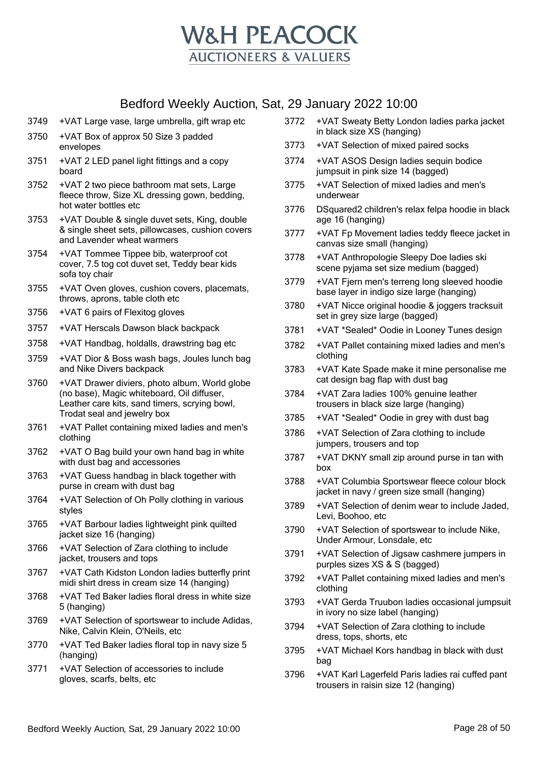

- 3749 +VAT Large vase, large umbrella, gift wrap etc
- 3750 +VAT Box of approx 50 Size 3 padded envelopes
- 3751 +VAT 2 LED panel light fittings and a copy board
- 3752 +VAT 2 two piece bathroom mat sets, Large fleece throw, Size XL dressing gown, bedding, hot water bottles etc
- 3753 +VAT Double & single duvet sets, King, double & single sheet sets, pillowcases, cushion covers and Lavender wheat warmers
- 3754 +VAT Tommee Tippee bib, waterproof cot cover, 7.5 tog cot duvet set, Teddy bear kids sofa toy chair
- 3755 +VAT Oven gloves, cushion covers, placemats, throws, aprons, table cloth etc
- 3756 +VAT 6 pairs of Flexitog gloves
- 3757 +VAT Herscals Dawson black backpack
- 3758 +VAT Handbag, holdalls, drawstring bag etc
- 3759 +VAT Dior & Boss wash bags, Joules lunch bag and Nike Divers backpack
- 3760 +VAT Drawer diviers, photo album, World globe (no base), Magic whiteboard, Oil diffuser, Leather care kits, sand timers, scrying bowl, Trodat seal and jewelry box
- 3761 +VAT Pallet containing mixed ladies and men's clothing
- 3762 +VAT O Bag build your own hand bag in white with dust bag and accessories
- 3763 +VAT Guess handbag in black together with purse in cream with dust bag
- 3764 +VAT Selection of Oh Polly clothing in various styles
- 3765 +VAT Barbour ladies lightweight pink quilted jacket size 16 (hanging)
- 3766 +VAT Selection of Zara clothing to include jacket, trousers and tops
- 3767 +VAT Cath Kidston London ladies butterfly print midi shirt dress in cream size 14 (hanging)
- 3768 +VAT Ted Baker ladies floral dress in white size 5 (hanging)
- 3769 +VAT Selection of sportswear to include Adidas, Nike, Calvin Klein, O'Neils, etc
- 3770 +VAT Ted Baker ladies floral top in navy size 5 (hanging)
- 3771 +VAT Selection of accessories to include gloves, scarfs, belts, etc
- 3772 +VAT Sweaty Betty London ladies parka jacket in black size XS (hanging)
- 3773 +VAT Selection of mixed paired socks
- 3774 +VAT ASOS Design ladies sequin bodice jumpsuit in pink size 14 (bagged)
- 3775 +VAT Selection of mixed ladies and men's underwear
- 3776 DSquared2 children's relax felpa hoodie in black age 16 (hanging)
- 3777 +VAT Fp Movement ladies teddy fleece jacket in canvas size small (hanging)
- 3778 +VAT Anthropologie Sleepy Doe ladies ski scene pyjama set size medium (bagged)
- 3779 +VAT Fjern men's terreng long sleeved hoodie base layer in indigo size large (hanging)
- 3780 +VAT Nicce original hoodie & joggers tracksuit set in grey size large (bagged)
- 3781 +VAT \*Sealed\* Oodie in Looney Tunes design
- 3782 +VAT Pallet containing mixed ladies and men's clothing
- 3783 +VAT Kate Spade make it mine personalise me cat design bag flap with dust bag
- 3784 +VAT Zara ladies 100% genuine leather trousers in black size large (hanging)
- 3785 +VAT \*Sealed\* Oodie in grey with dust bag
- 3786 +VAT Selection of Zara clothing to include jumpers, trousers and top
- 3787 +VAT DKNY small zip around purse in tan with box
- 3788 +VAT Columbia Sportswear fleece colour block jacket in navy / green size small (hanging)
- 3789 +VAT Selection of denim wear to include Jaded, Levi, Boohoo, etc
- 3790 +VAT Selection of sportswear to include Nike, Under Armour, Lonsdale, etc
- 3791 +VAT Selection of Jigsaw cashmere jumpers in purples sizes XS & S (bagged)
- 3792 +VAT Pallet containing mixed ladies and men's clothing
- 3793 +VAT Gerda Truubon ladies occasional jumpsuit in ivory no size label (hanging)
- 3794 +VAT Selection of Zara clothing to include dress, tops, shorts, etc
- 3795 +VAT Michael Kors handbag in black with dust bag
- 3796 +VAT Karl Lagerfeld Paris ladies rai cuffed pant trousers in raisin size 12 (hanging)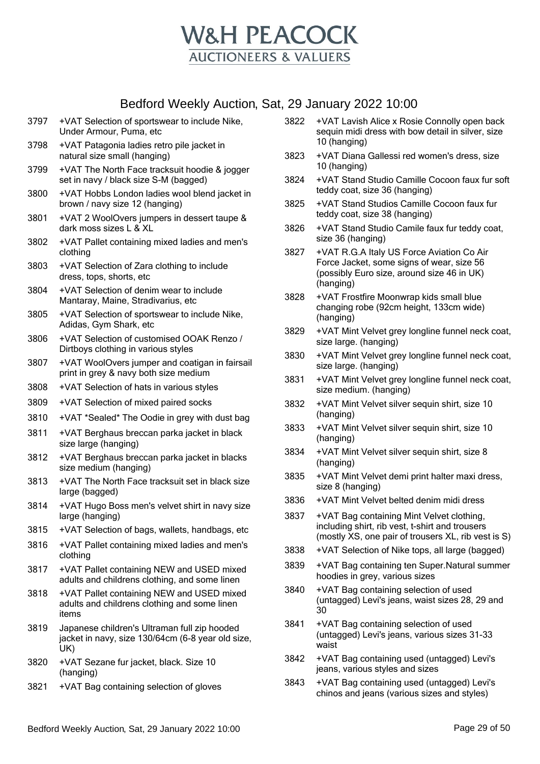

- 3797 +VAT Selection of sportswear to include Nike, Under Armour, Puma, etc
- 3798 +VAT Patagonia ladies retro pile jacket in natural size small (hanging)
- 3799 +VAT The North Face tracksuit hoodie & jogger set in navy / black size S-M (bagged)
- 3800 +VAT Hobbs London ladies wool blend jacket in brown / navy size 12 (hanging)
- 3801 +VAT 2 WoolOvers jumpers in dessert taupe & dark moss sizes L & XL
- 3802 +VAT Pallet containing mixed ladies and men's clothing
- 3803 +VAT Selection of Zara clothing to include dress, tops, shorts, etc
- 3804 +VAT Selection of denim wear to include Mantaray, Maine, Stradivarius, etc
- 3805 +VAT Selection of sportswear to include Nike, Adidas, Gym Shark, etc
- 3806 +VAT Selection of customised OOAK Renzo / Dirtboys clothing in various styles
- 3807 +VAT WoolOvers jumper and coatigan in fairsail print in grey & navy both size medium
- 3808 +VAT Selection of hats in various styles
- 3809 +VAT Selection of mixed paired socks
- 3810 +VAT \*Sealed\* The Oodie in grey with dust bag
- 3811 +VAT Berghaus breccan parka jacket in black size large (hanging)
- 3812 +VAT Berghaus breccan parka jacket in blacks size medium (hanging)
- 3813 +VAT The North Face tracksuit set in black size large (bagged)
- 3814 +VAT Hugo Boss men's velvet shirt in navy size large (hanging)
- 3815 +VAT Selection of bags, wallets, handbags, etc
- 3816 +VAT Pallet containing mixed ladies and men's clothing
- 3817 +VAT Pallet containing NEW and USED mixed adults and childrens clothing, and some linen
- 3818 +VAT Pallet containing NEW and USED mixed adults and childrens clothing and some linen items
- 3819 Japanese children's Ultraman full zip hooded jacket in navy, size 130/64cm (6-8 year old size, UK)
- 3820 +VAT Sezane fur jacket, black. Size 10 (hanging)
- 3821 +VAT Bag containing selection of gloves
- 3822 +VAT Lavish Alice x Rosie Connolly open back sequin midi dress with bow detail in silver, size 10 (hanging)
- 3823 +VAT Diana Gallessi red women's dress, size 10 (hanging)
- 3824 +VAT Stand Studio Camille Cocoon faux fur soft teddy coat, size 36 (hanging)
- 3825 +VAT Stand Studios Camille Cocoon faux fur teddy coat, size 38 (hanging)
- 3826 +VAT Stand Studio Camile faux fur teddy coat, size 36 (hanging)
- 3827 +VAT R.G.A Italy US Force Aviation Co Air Force Jacket, some signs of wear, size 56 (possibly Euro size, around size 46 in UK) (hanging)
- 3828 +VAT Frostfire Moonwrap kids small blue changing robe (92cm height, 133cm wide) (hanging)
- 3829 +VAT Mint Velvet grey longline funnel neck coat, size large. (hanging)
- 3830 +VAT Mint Velvet grey longline funnel neck coat, size large. (hanging)
- 3831 +VAT Mint Velvet grey longline funnel neck coat, size medium. (hanging)
- 3832 +VAT Mint Velvet silver sequin shirt, size 10 (hanging)
- 3833 +VAT Mint Velvet silver sequin shirt, size 10 (hanging)
- 3834 +VAT Mint Velvet silver sequin shirt, size 8 (hanging)
- 3835 +VAT Mint Velvet demi print halter maxi dress, size 8 (hanging)
- 3836 +VAT Mint Velvet belted denim midi dress
- 3837 +VAT Bag containing Mint Velvet clothing, including shirt, rib vest, t-shirt and trousers (mostly XS, one pair of trousers XL, rib vest is S)
- 3838 +VAT Selection of Nike tops, all large (bagged)
- 3839 +VAT Bag containing ten Super.Natural summer hoodies in grey, various sizes
- 3840 +VAT Bag containing selection of used (untagged) Levi's jeans, waist sizes 28, 29 and 30
- 3841 +VAT Bag containing selection of used (untagged) Levi's jeans, various sizes 31-33 waist
- 3842 +VAT Bag containing used (untagged) Levi's jeans, various styles and sizes
- 3843 + VAT Bag containing used (untagged) Levi's chinos and jeans (various sizes and styles)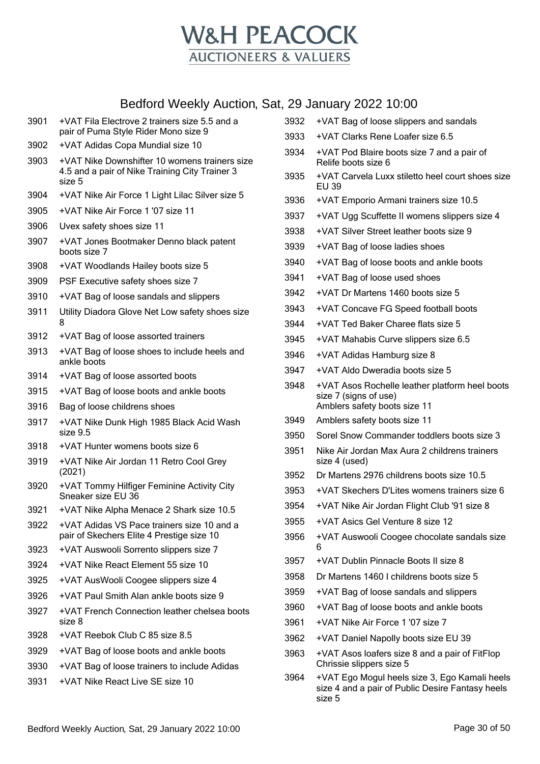

| 3901         | +VAT Fila Electrove 2 trainers size 5.5 and a<br>pair of Puma Style Rider Mono size 9 | 3932 | +VAT Bag of loose slippers and sandals                                                            |
|--------------|---------------------------------------------------------------------------------------|------|---------------------------------------------------------------------------------------------------|
| 3902         | +VAT Adidas Copa Mundial size 10                                                      | 3933 | +VAT Clarks Rene Loafer size 6.5                                                                  |
| 3903         | +VAT Nike Downshifter 10 womens trainers size                                         | 3934 | +VAT Pod Blaire boots size 7 and a pair of<br>Relife boots size 6                                 |
|              | 4.5 and a pair of Nike Training City Trainer 3<br>size 5                              | 3935 | +VAT Carvela Luxx stiletto heel court shoes size<br>EU 39                                         |
| 3904         | +VAT Nike Air Force 1 Light Lilac Silver size 5                                       | 3936 | +VAT Emporio Armani trainers size 10.5                                                            |
| 3905         | +VAT Nike Air Force 1 '07 size 11                                                     | 3937 | +VAT Ugg Scuffette II womens slippers size 4                                                      |
| 3906         | Uvex safety shoes size 11                                                             | 3938 | +VAT Silver Street leather boots size 9                                                           |
| 3907         | +VAT Jones Bootmaker Denno black patent<br>boots size 7                               | 3939 | +VAT Bag of loose ladies shoes                                                                    |
| 3908         | +VAT Woodlands Hailey boots size 5                                                    | 3940 | +VAT Bag of loose boots and ankle boots                                                           |
| 3909         | PSF Executive safety shoes size 7                                                     | 3941 | +VAT Bag of loose used shoes                                                                      |
| 3910         | +VAT Bag of loose sandals and slippers                                                | 3942 | +VAT Dr Martens 1460 boots size 5                                                                 |
| 3911         | Utility Diadora Glove Net Low safety shoes size                                       | 3943 | +VAT Concave FG Speed football boots                                                              |
|              | 8                                                                                     | 3944 | +VAT Ted Baker Charee flats size 5                                                                |
| 3912         | +VAT Bag of loose assorted trainers                                                   | 3945 | +VAT Mahabis Curve slippers size 6.5                                                              |
| 3913         | +VAT Bag of loose shoes to include heels and<br>ankle boots                           | 3946 | +VAT Adidas Hamburg size 8                                                                        |
| 3914         | +VAT Bag of loose assorted boots                                                      | 3947 | +VAT Aldo Dweradia boots size 5                                                                   |
| 3915         | +VAT Bag of loose boots and ankle boots                                               | 3948 | +VAT Asos Rochelle leather platform heel boots<br>size 7 (signs of use)                           |
| 3916         | Bag of loose childrens shoes                                                          |      | Amblers safety boots size 11                                                                      |
| 3917         | +VAT Nike Dunk High 1985 Black Acid Wash                                              | 3949 | Amblers safety boots size 11                                                                      |
|              | size 9.5                                                                              | 3950 | Sorel Snow Commander toddlers boots size 3                                                        |
| 3918<br>3919 | +VAT Hunter womens boots size 6<br>+VAT Nike Air Jordan 11 Retro Cool Grey            | 3951 | Nike Air Jordan Max Aura 2 childrens trainers<br>size 4 (used)                                    |
|              | (2021)                                                                                | 3952 | Dr Martens 2976 childrens boots size 10.5                                                         |
| 3920         | +VAT Tommy Hilfiger Feminine Activity City<br>Sneaker size EU 36                      | 3953 | +VAT Skechers D'Lites womens trainers size 6                                                      |
| 3921         | +VAT Nike Alpha Menace 2 Shark size 10.5                                              | 3954 | +VAT Nike Air Jordan Flight Club '91 size 8                                                       |
| 3922         | +VAT Adidas VS Pace trainers size 10 and a                                            | 3955 | +VAT Asics Gel Venture 8 size 12                                                                  |
|              | pair of Skechers Elite 4 Prestige size 10                                             | 3956 | +VAT Auswooli Coogee chocolate sandals size                                                       |
| 3923         | +VAT Auswooli Sorrento slippers size 7                                                |      | 6                                                                                                 |
| 3924         | +VAT Nike React Element 55 size 10                                                    | 3957 | +VAT Dublin Pinnacle Boots II size 8                                                              |
| 3925         | +VAT AusWooli Coogee slippers size 4                                                  | 3958 | Dr Martens 1460 I childrens boots size 5                                                          |
| 3926         | +VAT Paul Smith Alan ankle boots size 9                                               | 3959 | +VAT Bag of loose sandals and slippers                                                            |
| 3927         | +VAT French Connection leather chelsea boots                                          | 3960 | +VAT Bag of loose boots and ankle boots                                                           |
|              | size 8                                                                                | 3961 | +VAT Nike Air Force 1 '07 size 7                                                                  |
| 3928         | +VAT Reebok Club C 85 size 8.5                                                        | 3962 | +VAT Daniel Napolly boots size EU 39                                                              |
| 3929<br>3930 | +VAT Bag of loose boots and ankle boots                                               | 3963 | +VAT Asos loafers size 8 and a pair of FitFlop<br>Chrissie slippers size 5                        |
| 3931         | +VAT Bag of loose trainers to include Adidas<br>+VAT Nike React Live SE size 10       | 3964 | +VAT Ego Mogul heels size 3, Ego Kamali heels<br>size 4 and a pair of Public Desire Fantasy heels |

size 5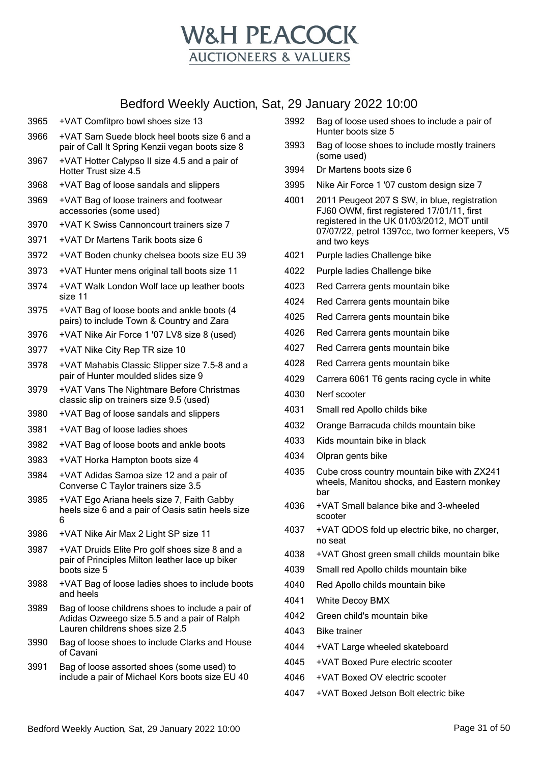

pair of Call It Spring Kenzii vegan boots size 8 +VAT Hotter Calypso II size 4.5 and a pair of Hotter Trust size 4.5 +VAT Bag of loose sandals and slippers +VAT Bag of loose trainers and footwear accessories (some used) +VAT K Swiss Cannoncourt trainers size 7 +VAT Dr Martens Tarik boots size 6 +VAT Boden chunky chelsea boots size EU 39 +VAT Hunter mens original tall boots size 11 +VAT Walk London Wolf lace up leather boots size 11 +VAT Bag of loose boots and ankle boots (4 pairs) to include Town & Country and Zara +VAT Nike Air Force 1 '07 LV8 size 8 (used) +VAT Nike City Rep TR size 10 +VAT Mahabis Classic Slipper size 7.5-8 and a pair of Hunter moulded slides size 9 +VAT Vans The Nightmare Before Christmas classic slip on trainers size 9.5 (used) +VAT Bag of loose sandals and slippers +VAT Bag of loose ladies shoes +VAT Bag of loose boots and ankle boots +VAT Horka Hampton boots size 4 +VAT Adidas Samoa size 12 and a pair of Converse C Taylor trainers size 3.5 +VAT Ego Ariana heels size 7, Faith Gabby heels size 6 and a pair of Oasis satin heels size +VAT Nike Air Max 2 Light SP size 11 +VAT Druids Elite Pro golf shoes size 8 and a pair of Principles Milton leather lace up biker boots size 5 +VAT Bag of loose ladies shoes to include boots and heels Bag of loose childrens shoes to include a pair of Adidas Ozweego size 5.5 and a pair of Ralph Lauren childrens shoes size 2.5 Bag of loose shoes to include Clarks and House of Cavani Bag of loose assorted shoes (some used) to include a pair of Michael Kors boots size EU 40

+VAT Comfitpro bowl shoes size 13

+VAT Sam Suede block heel boots size 6 and a

- Bag of loose used shoes to include a pair of Hunter boots size 5
- Bag of loose shoes to include mostly trainers (some used)
- Dr Martens boots size 6
- Nike Air Force 1 '07 custom design size 7
- 2011 Peugeot 207 S SW, in blue, registration FJ60 OWM, first registered 17/01/11, first registered in the UK 01/03/2012, MOT until 07/07/22, petrol 1397cc, two former keepers, V5 and two keys
- Purple ladies Challenge bike
- Purple ladies Challenge bike
- Red Carrera gents mountain bike
- Red Carrera gents mountain bike
- Red Carrera gents mountain bike
- Red Carrera gents mountain bike
- Red Carrera gents mountain bike
- Red Carrera gents mountain bike
- Carrera 6061 T6 gents racing cycle in white
- Nerf scooter
- Small red Apollo childs bike
- Orange Barracuda childs mountain bike
- Kids mountain bike in black
- Olpran gents bike
- Cube cross country mountain bike with ZX241 wheels, Manitou shocks, and Eastern monkey bar
- +VAT Small balance bike and 3-wheeled scooter
- +VAT QDOS fold up electric bike, no charger, no seat
- +VAT Ghost green small childs mountain bike
- Small red Apollo childs mountain bike
- Red Apollo childs mountain bike
- White Decoy BMX
- Green child's mountain bike
- Bike trainer
- +VAT Large wheeled skateboard
- +VAT Boxed Pure electric scooter
- +VAT Boxed OV electric scooter
- +VAT Boxed Jetson Bolt electric bike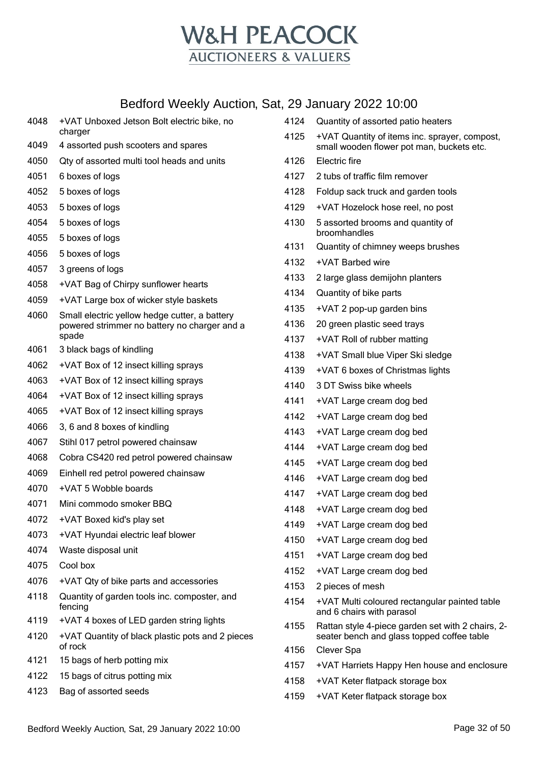

| 4048 | +VAT Unboxed Jetson Bolt electric bike, no                  | 4124 | Quantity of assorted patio heaters                                                         |
|------|-------------------------------------------------------------|------|--------------------------------------------------------------------------------------------|
| 4049 | charger<br>4 assorted push scooters and spares              | 4125 | +VAT Quantity of items inc. sprayer, compost,<br>small wooden flower pot man, buckets etc. |
| 4050 | Qty of assorted multi tool heads and units                  | 4126 | Electric fire                                                                              |
| 4051 | 6 boxes of logs                                             | 4127 | 2 tubs of traffic film remover                                                             |
| 4052 | 5 boxes of logs                                             | 4128 | Foldup sack truck and garden tools                                                         |
| 4053 | 5 boxes of logs                                             | 4129 | +VAT Hozelock hose reel, no post                                                           |
| 4054 | 5 boxes of logs                                             | 4130 | 5 assorted brooms and quantity of                                                          |
| 4055 | 5 boxes of logs                                             |      | broomhandles                                                                               |
| 4056 | 5 boxes of logs                                             | 4131 | Quantity of chimney weeps brushes                                                          |
| 4057 | 3 greens of logs                                            | 4132 | +VAT Barbed wire                                                                           |
| 4058 | +VAT Bag of Chirpy sunflower hearts                         | 4133 | 2 large glass demijohn planters                                                            |
| 4059 | +VAT Large box of wicker style baskets                      | 4134 | Quantity of bike parts                                                                     |
| 4060 | Small electric yellow hedge cutter, a battery               | 4135 | +VAT 2 pop-up garden bins                                                                  |
|      | powered strimmer no battery no charger and a                | 4136 | 20 green plastic seed trays                                                                |
|      | spade                                                       | 4137 | +VAT Roll of rubber matting                                                                |
| 4061 | 3 black bags of kindling                                    | 4138 | +VAT Small blue Viper Ski sledge                                                           |
| 4062 | +VAT Box of 12 insect killing sprays                        | 4139 | +VAT 6 boxes of Christmas lights                                                           |
| 4063 | +VAT Box of 12 insect killing sprays                        | 4140 | 3 DT Swiss bike wheels                                                                     |
| 4064 | +VAT Box of 12 insect killing sprays                        | 4141 | +VAT Large cream dog bed                                                                   |
| 4065 | +VAT Box of 12 insect killing sprays                        | 4142 | +VAT Large cream dog bed                                                                   |
| 4066 | 3, 6 and 8 boxes of kindling                                | 4143 | +VAT Large cream dog bed                                                                   |
| 4067 | Stihl 017 petrol powered chainsaw                           | 4144 | +VAT Large cream dog bed                                                                   |
| 4068 | Cobra CS420 red petrol powered chainsaw                     | 4145 | +VAT Large cream dog bed                                                                   |
| 4069 | Einhell red petrol powered chainsaw                         | 4146 | +VAT Large cream dog bed                                                                   |
| 4070 | +VAT 5 Wobble boards                                        | 4147 | +VAT Large cream dog bed                                                                   |
| 4071 | Mini commodo smoker BBQ                                     | 4148 | +VAT Large cream dog bed                                                                   |
| 4072 | +VAT Boxed kid's play set                                   | 4149 | +VAT Large cream dog bed                                                                   |
| 4073 | +VAT Hyundai electric leaf blower                           | 4150 | +VAT Large cream dog bed                                                                   |
| 4074 | Waste disposal unit                                         | 4151 | +VAT Large cream dog bed                                                                   |
| 4075 | Cool box                                                    | 4152 | +VAT Large cream dog bed                                                                   |
| 4076 | +VAT Qty of bike parts and accessories                      | 4153 | 2 pieces of mesh                                                                           |
| 4118 | Quantity of garden tools inc. composter, and<br>fencing     | 4154 | +VAT Multi coloured rectangular painted table<br>and 6 chairs with parasol                 |
| 4119 | +VAT 4 boxes of LED garden string lights                    | 4155 | Rattan style 4-piece garden set with 2 chairs, 2-                                          |
| 4120 | +VAT Quantity of black plastic pots and 2 pieces<br>of rock | 4156 | seater bench and glass topped coffee table<br>Clever Spa                                   |
| 4121 | 15 bags of herb potting mix                                 | 4157 | +VAT Harriets Happy Hen house and enclosure                                                |
| 4122 | 15 bags of citrus potting mix                               | 4158 | +VAT Keter flatpack storage box                                                            |
| 4123 | Bag of assorted seeds                                       | 4159 | +VAT Keter flatpack storage box                                                            |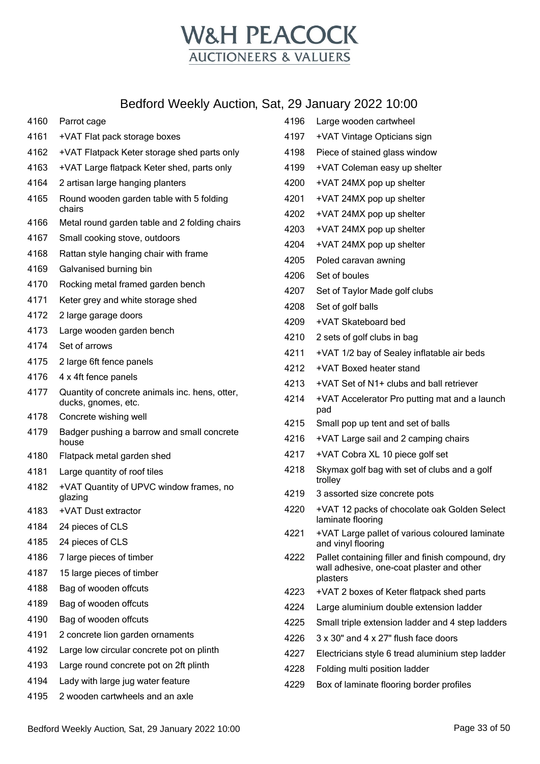

| 4160 | Parrot cage                                                           |
|------|-----------------------------------------------------------------------|
| 4161 | +VAT Flat pack storage boxes                                          |
| 4162 | +VAT Flatpack Keter storage shed parts only                           |
| 4163 | +VAT Large flatpack Keter shed, parts only                            |
| 4164 | 2 artisan large hanging planters                                      |
| 4165 | Round wooden garden table with 5 folding<br>chairs                    |
| 4166 | Metal round garden table and 2 folding chairs                         |
| 4167 | Small cooking stove, outdoors                                         |
| 4168 | Rattan style hanging chair with frame                                 |
| 4169 | Galvanised burning bin                                                |
| 4170 | Rocking metal framed garden bench                                     |
| 4171 | Keter grey and white storage shed                                     |
| 4172 | 2 large garage doors                                                  |
| 4173 | Large wooden garden bench                                             |
| 4174 | Set of arrows                                                         |
| 4175 | 2 large 6ft fence panels                                              |
| 4176 | 4 x 4ft fence panels                                                  |
| 4177 | Quantity of concrete animals inc. hens, otter,<br>ducks, gnomes, etc. |
| 4178 | Concrete wishing well                                                 |
| 4179 | Badger pushing a barrow and small concrete<br>house                   |
| 4180 | Flatpack metal garden shed                                            |
| 4181 | Large quantity of roof tiles                                          |
| 4182 | +VAT Quantity of UPVC window frames, no<br>glazing                    |
| 4183 | +VAT Dust extractor                                                   |
| 4184 | 24 pieces of CLS                                                      |
| 4185 | 24 pieces of CLS                                                      |
| 4186 | 7 large pieces of timber                                              |
| 4187 | 15 large pieces of timber                                             |
| 4188 | Bag of wooden offcuts                                                 |
| 4189 | Bag of wooden offcuts                                                 |
| 4190 | Bag of wooden offcuts                                                 |
| 4191 | 2 concrete lion garden ornaments                                      |
| 4192 | Large low circular concrete pot on plinth                             |
| 4193 | Large round concrete pot on 2ft plinth                                |
| 4194 | Lady with large jug water feature                                     |
| 4195 | 2 wooden cartwheels and an axle                                       |

| 4196 | Large wooden cartwheel                                                                                     |
|------|------------------------------------------------------------------------------------------------------------|
| 4197 | +VAT Vintage Opticians sign                                                                                |
| 4198 | Piece of stained glass window                                                                              |
| 4199 | +VAT Coleman easy up shelter                                                                               |
| 4200 | +VAT 24MX pop up shelter                                                                                   |
| 4201 | +VAT 24MX pop up shelter                                                                                   |
| 4202 | +VAT 24MX pop up shelter                                                                                   |
| 4203 | +VAT 24MX pop up shelter                                                                                   |
| 4204 | +VAT 24MX pop up shelter                                                                                   |
| 4205 | Poled caravan awning                                                                                       |
| 4206 | Set of boules                                                                                              |
| 4207 | Set of Taylor Made golf clubs                                                                              |
| 4208 | Set of golf balls                                                                                          |
| 4209 | +VAT Skateboard bed                                                                                        |
| 4210 | 2 sets of golf clubs in bag                                                                                |
| 4211 | +VAT 1/2 bay of Sealey inflatable air beds                                                                 |
| 4212 | +VAT Boxed heater stand                                                                                    |
| 4213 | +VAT Set of N1+ clubs and ball retriever                                                                   |
| 4214 | +VAT Accelerator Pro putting mat and a launch<br>pad                                                       |
| 4215 | Small pop up tent and set of balls                                                                         |
| 4216 | +VAT Large sail and 2 camping chairs                                                                       |
| 4217 | +VAT Cobra XL 10 piece golf set                                                                            |
| 4218 | Skymax golf bag with set of clubs and a golf<br>trolley                                                    |
| 4219 | 3 assorted size concrete pots                                                                              |
| 4220 | +VAT 12 packs of chocolate oak Golden Select<br>laminate flooring                                          |
| 4221 | +VAT Large pallet of various coloured laminate<br>and vinyl flooring                                       |
| 4222 | Pallet containing filler and finish compound, dry<br>wall adhesive, one-coat plaster and other<br>plasters |
| 4223 | +VAT 2 boxes of Keter flatpack shed parts                                                                  |
| 4224 | Large aluminium double extension ladder                                                                    |
| 4225 | Small triple extension ladder and 4 step ladders                                                           |
| 4226 | 3 x 30" and 4 x 27" flush face doors                                                                       |
| 4227 | Electricians style 6 tread aluminium step ladder                                                           |
| 4228 | Folding multi position ladder                                                                              |
| 4229 | Box of laminate flooring border profiles                                                                   |
|      |                                                                                                            |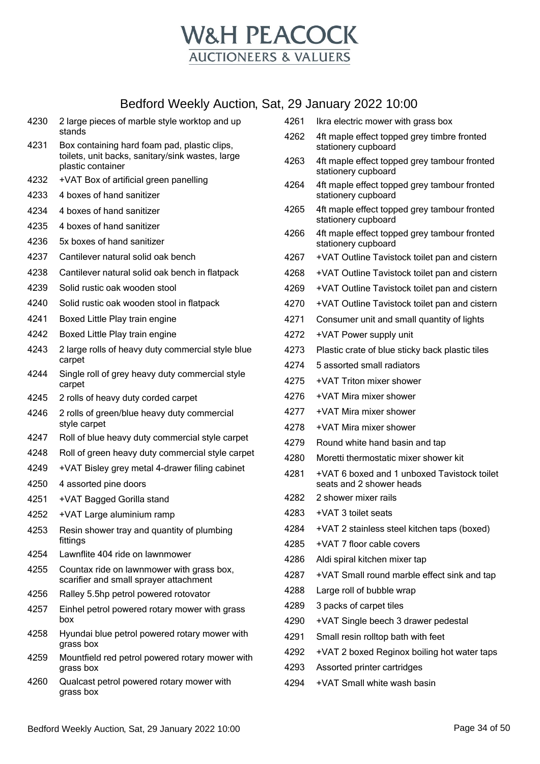

| 4230         | 2 large pieces of marble style worktop and up                           | 4261 | Ikra electric mower with grass box                                      |
|--------------|-------------------------------------------------------------------------|------|-------------------------------------------------------------------------|
| 4231         | stands<br>Box containing hard foam pad, plastic clips,                  | 4262 | 4ft maple effect topped grey timbre fronted<br>stationery cupboard      |
|              | toilets, unit backs, sanitary/sink wastes, large<br>plastic container   | 4263 | 4ft maple effect topped grey tambour fronted<br>stationery cupboard     |
| 4232         | +VAT Box of artificial green panelling                                  | 4264 | 4ft maple effect topped grey tambour fronted                            |
| 4233         | 4 boxes of hand sanitizer                                               |      | stationery cupboard                                                     |
| 4234         | 4 boxes of hand sanitizer                                               | 4265 | 4ft maple effect topped grey tambour fronted<br>stationery cupboard     |
| 4235         | 4 boxes of hand sanitizer                                               | 4266 | 4ft maple effect topped grey tambour fronted                            |
| 4236         | 5x boxes of hand sanitizer                                              |      | stationery cupboard                                                     |
| 4237         | Cantilever natural solid oak bench                                      | 4267 | +VAT Outline Tavistock toilet pan and cistern                           |
| 4238         | Cantilever natural solid oak bench in flatpack                          | 4268 | +VAT Outline Tavistock toilet pan and cistern                           |
| 4239         | Solid rustic oak wooden stool                                           | 4269 | +VAT Outline Tavistock toilet pan and cistern                           |
| 4240         | Solid rustic oak wooden stool in flatpack                               | 4270 | +VAT Outline Tavistock toilet pan and cistern                           |
| 4241         | Boxed Little Play train engine                                          | 4271 | Consumer unit and small quantity of lights                              |
| 4242         | Boxed Little Play train engine                                          | 4272 | +VAT Power supply unit                                                  |
| 4243         | 2 large rolls of heavy duty commercial style blue                       | 4273 | Plastic crate of blue sticky back plastic tiles                         |
| 4244         | carpet                                                                  | 4274 | 5 assorted small radiators                                              |
|              | Single roll of grey heavy duty commercial style<br>carpet               | 4275 | +VAT Triton mixer shower                                                |
| 4245         | 2 rolls of heavy duty corded carpet                                     | 4276 | +VAT Mira mixer shower                                                  |
| 4246         | 2 rolls of green/blue heavy duty commercial                             | 4277 | +VAT Mira mixer shower                                                  |
|              | style carpet                                                            | 4278 | +VAT Mira mixer shower                                                  |
| 4247         | Roll of blue heavy duty commercial style carpet                         | 4279 | Round white hand basin and tap                                          |
| 4248         | Roll of green heavy duty commercial style carpet                        | 4280 | Moretti thermostatic mixer shower kit                                   |
| 4249<br>4250 | +VAT Bisley grey metal 4-drawer filing cabinet<br>4 assorted pine doors | 4281 | +VAT 6 boxed and 1 unboxed Tavistock toilet<br>seats and 2 shower heads |
| 4251         | +VAT Bagged Gorilla stand                                               | 4282 | 2 shower mixer rails                                                    |
| 4252         | +VAT Large aluminium ramp                                               | 4283 | +VAT 3 toilet seats                                                     |
| 4253         | Resin shower tray and quantity of plumbing                              | 4284 | +VAT 2 stainless steel kitchen taps (boxed)                             |
|              | fittings                                                                | 4285 | +VAT 7 floor cable covers                                               |
| 4254         | Lawnflite 404 ride on lawnmower                                         | 4286 | Aldi spiral kitchen mixer tap                                           |
| 4255         | Countax ride on lawnmower with grass box,                               | 4287 | +VAT Small round marble effect sink and tap                             |
|              | scarifier and small sprayer attachment                                  | 4288 | Large roll of bubble wrap                                               |
| 4256         | Ralley 5.5hp petrol powered rotovator                                   | 4289 | 3 packs of carpet tiles                                                 |
| 4257         | Einhel petrol powered rotary mower with grass<br>box                    | 4290 | +VAT Single beech 3 drawer pedestal                                     |
| 4258         | Hyundai blue petrol powered rotary mower with                           | 4291 | Small resin rolltop bath with feet                                      |
| 4259         | grass box<br>Mountfield red petrol powered rotary mower with            | 4292 | +VAT 2 boxed Reginox boiling hot water taps                             |
|              | grass box                                                               | 4293 | Assorted printer cartridges                                             |
| 4260         | Qualcast petrol powered rotary mower with<br>grass box                  | 4294 | +VAT Small white wash basin                                             |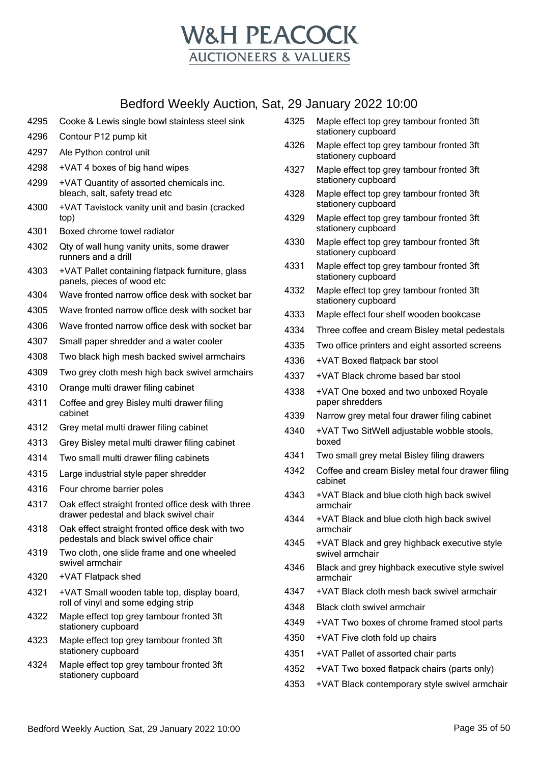

- Cooke & Lewis single bowl stainless steel sink
- Contour P12 pump kit
- Ale Python control unit
- +VAT 4 boxes of big hand wipes
- +VAT Quantity of assorted chemicals inc. bleach, salt, safety tread etc
- +VAT Tavistock vanity unit and basin (cracked top)
- Boxed chrome towel radiator
- Qty of wall hung vanity units, some drawer runners and a drill
- +VAT Pallet containing flatpack furniture, glass panels, pieces of wood etc
- Wave fronted narrow office desk with socket bar
- Wave fronted narrow office desk with socket bar
- Wave fronted narrow office desk with socket bar
- Small paper shredder and a water cooler
- Two black high mesh backed swivel armchairs
- Two grey cloth mesh high back swivel armchairs
- Orange multi drawer filing cabinet
- Coffee and grey Bisley multi drawer filing cabinet
- Grey metal multi drawer filing cabinet
- Grey Bisley metal multi drawer filing cabinet
- Two small multi drawer filing cabinets
- Large industrial style paper shredder
- Four chrome barrier poles
- Oak effect straight fronted office desk with three drawer pedestal and black swivel chair
- Oak effect straight fronted office desk with two pedestals and black swivel office chair
- Two cloth, one slide frame and one wheeled swivel armchair
- +VAT Flatpack shed
- +VAT Small wooden table top, display board, roll of vinyl and some edging strip
- Maple effect top grey tambour fronted 3ft stationery cupboard
- Maple effect top grey tambour fronted 3ft stationery cupboard
- Maple effect top grey tambour fronted 3ft stationery cupboard
- Maple effect top grey tambour fronted 3ft stationery cupboard
- Maple effect top grey tambour fronted 3ft stationery cupboard
- Maple effect top grey tambour fronted 3ft stationery cupboard
- Maple effect top grey tambour fronted 3ft stationery cupboard
- Maple effect top grey tambour fronted 3ft stationery cupboard
- Maple effect top grey tambour fronted 3ft stationery cupboard
- Maple effect top grey tambour fronted 3ft stationery cupboard
- Maple effect top grey tambour fronted 3ft stationery cupboard
- Maple effect four shelf wooden bookcase
- Three coffee and cream Bisley metal pedestals
- Two office printers and eight assorted screens
- +VAT Boxed flatpack bar stool
- +VAT Black chrome based bar stool
- +VAT One boxed and two unboxed Royale paper shredders
- Narrow grey metal four drawer filing cabinet
- +VAT Two SitWell adjustable wobble stools, boxed
- Two small grey metal Bisley filing drawers
- Coffee and cream Bisley metal four drawer filing cabinet
- +VAT Black and blue cloth high back swivel armchair
- +VAT Black and blue cloth high back swivel armchair
- +VAT Black and grey highback executive style swivel armchair
- Black and grey highback executive style swivel armchair
- +VAT Black cloth mesh back swivel armchair
- Black cloth swivel armchair
- +VAT Two boxes of chrome framed stool parts
- +VAT Five cloth fold up chairs
- +VAT Pallet of assorted chair parts
- +VAT Two boxed flatpack chairs (parts only)
- +VAT Black contemporary style swivel armchair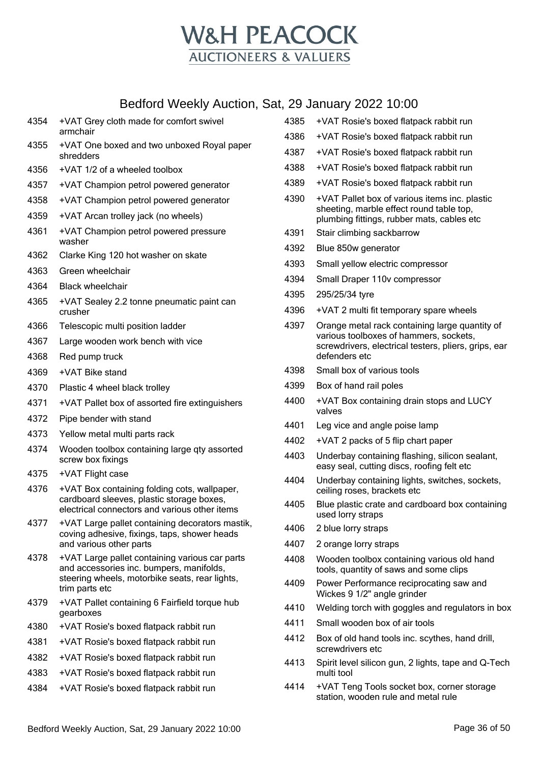

| 4354 | +VAT Grey cloth made for comfort swivel<br>armchair                                                                                                            |
|------|----------------------------------------------------------------------------------------------------------------------------------------------------------------|
| 4355 | +VAT One boxed and two unboxed Royal paper<br>shredders                                                                                                        |
| 4356 | +VAT 1/2 of a wheeled toolbox                                                                                                                                  |
| 4357 | +VAT Champion petrol powered generator                                                                                                                         |
| 4358 | +VAT Champion petrol powered generator                                                                                                                         |
| 4359 | +VAT Arcan trolley jack (no wheels)                                                                                                                            |
| 4361 | +VAT Champion petrol powered pressure<br>washer                                                                                                                |
| 4362 | Clarke King 120 hot washer on skate                                                                                                                            |
| 4363 | Green wheelchair                                                                                                                                               |
| 4364 | <b>Black wheelchair</b>                                                                                                                                        |
| 4365 | +VAT Sealey 2.2 tonne pneumatic paint can<br>crusher                                                                                                           |
| 4366 | Telescopic multi position ladder                                                                                                                               |
| 4367 | Large wooden work bench with vice                                                                                                                              |
| 4368 | Red pump truck                                                                                                                                                 |
| 4369 | +VAT Bike stand                                                                                                                                                |
| 4370 | Plastic 4 wheel black trolley                                                                                                                                  |
| 4371 | +VAT Pallet box of assorted fire extinguishers                                                                                                                 |
| 4372 | Pipe bender with stand                                                                                                                                         |
| 4373 | Yellow metal multi parts rack                                                                                                                                  |
| 4374 | Wooden toolbox containing large qty assorted<br>screw box fixings                                                                                              |
| 4375 | +VAT Flight case                                                                                                                                               |
| 4376 | +VAT Box containing folding cots, wallpaper,<br>cardboard sleeves, plastic storage boxes,<br>electrical connectors and various other items                     |
| 4377 | +VAT Large pallet containing decorators mastik,<br>coving adhesive, fixings, taps, shower heads<br>and various other parts                                     |
| 4378 | +VAT Large pallet containing various car parts<br>and accessories inc. bumpers, manifolds,<br>steering wheels, motorbike seats, rear lights,<br>trim parts etc |
| 4379 | +VAT Pallet containing 6 Fairfield torque hub<br>gearboxes                                                                                                     |
| 4380 | +VAT Rosie's boxed flatpack rabbit run                                                                                                                         |
| 4381 | +VAT Rosie's boxed flatpack rabbit run                                                                                                                         |
| 4382 | +VAT Rosie's boxed flatpack rabbit run                                                                                                                         |
| 4383 | +VAT Rosie's boxed flatpack rabbit run                                                                                                                         |
| 4384 | +VAT Rosie's boxed flatpack rabbit run                                                                                                                         |
|      |                                                                                                                                                                |

|      | ZY January ZUZZ 10:00                                                                                                                                             |
|------|-------------------------------------------------------------------------------------------------------------------------------------------------------------------|
| 4385 | +VAT Rosie's boxed flatpack rabbit run                                                                                                                            |
| 4386 | +VAT Rosie's boxed flatpack rabbit run                                                                                                                            |
| 4387 | +VAT Rosie's boxed flatpack rabbit run                                                                                                                            |
| 4388 | +VAT Rosie's boxed flatpack rabbit run                                                                                                                            |
| 4389 | +VAT Rosie's boxed flatpack rabbit run                                                                                                                            |
| 4390 | +VAT Pallet box of various items inc. plastic<br>sheeting, marble effect round table top,<br>plumbing fittings, rubber mats, cables etc                           |
| 4391 | Stair climbing sackbarrow                                                                                                                                         |
| 4392 | Blue 850w generator                                                                                                                                               |
| 4393 | Small yellow electric compressor                                                                                                                                  |
| 4394 | Small Draper 110v compressor                                                                                                                                      |
| 4395 | 295/25/34 tyre                                                                                                                                                    |
| 4396 | +VAT 2 multi fit temporary spare wheels                                                                                                                           |
| 4397 | Orange metal rack containing large quantity of<br>various toolboxes of hammers, sockets,<br>screwdrivers, electrical testers, pliers, grips, ear<br>defenders etc |
| 4398 | Small box of various tools                                                                                                                                        |
| 4399 | Box of hand rail poles                                                                                                                                            |
| 4400 | +VAT Box containing drain stops and LUCY<br>valves                                                                                                                |
| 4401 | Leg vice and angle poise lamp                                                                                                                                     |
| 4402 | +VAT 2 packs of 5 flip chart paper                                                                                                                                |
| 4403 | Underbay containing flashing, silicon sealant,<br>easy seal, cutting discs, roofing felt etc                                                                      |
| 4404 | Underbay containing lights, switches, sockets,<br>ceiling roses, brackets etc                                                                                     |
| 4405 | Blue plastic crate and cardboard box containing<br>used lorry straps                                                                                              |
| 4406 | 2 blue lorry straps                                                                                                                                               |
| 4407 | 2 orange lorry straps                                                                                                                                             |
| 4408 | Wooden toolbox containing various old hand<br>tools, quantity of saws and some clips                                                                              |
| 4409 | Power Performance reciprocating saw and<br>Wickes 9 1/2" angle grinder                                                                                            |
| 4410 | Welding torch with goggles and regulators in box                                                                                                                  |
| 4411 | Small wooden box of air tools                                                                                                                                     |
| 4412 | Box of old hand tools inc. scythes, hand drill,<br>screwdrivers etc                                                                                               |
| 4413 | Spirit level silicon gun, 2 lights, tape and Q-Tech<br>multi tool                                                                                                 |

 +VAT Teng Tools socket box, corner storage station, wooden rule and metal rule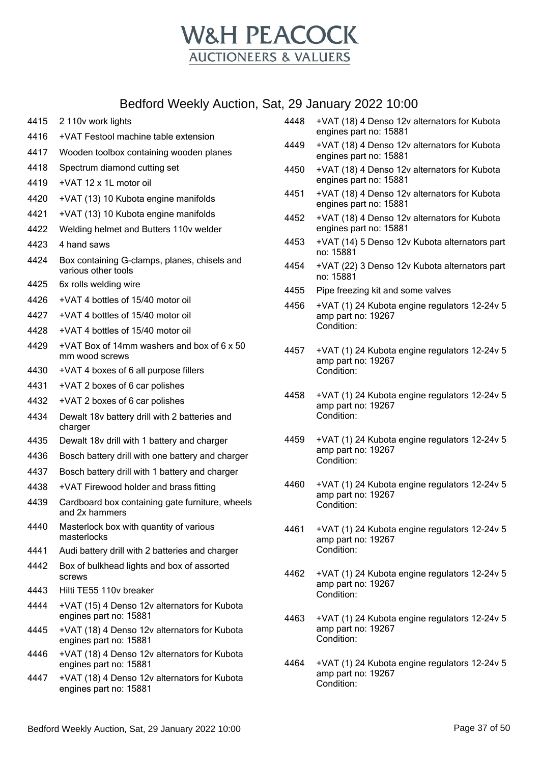

- 4415 2 110v work lights
- 4416 +VAT Festool machine table extension
- 4417 Wooden toolbox containing wooden planes
- 4418 Spectrum diamond cutting set
- 4419 +VAT 12 x 1L motor oil
- 4420 +VAT (13) 10 Kubota engine manifolds
- 4421 +VAT (13) 10 Kubota engine manifolds
- 4422 Welding helmet and Butters 110v welder
- 4423 4 hand saws
- 4424 Box containing G-clamps, planes, chisels and various other tools
- 4425 6x rolls welding wire
- 4426 +VAT 4 bottles of 15/40 motor oil
- 4427 +VAT 4 bottles of 15/40 motor oil
- 4428 +VAT 4 bottles of 15/40 motor oil
- 4429 +VAT Box of 14mm washers and box of 6 x 50 mm wood screws
- 4430 +VAT 4 boxes of 6 all purpose fillers
- 4431 +VAT 2 boxes of 6 car polishes
- 4432 +VAT 2 boxes of 6 car polishes
- 4434 Dewalt 18v battery drill with 2 batteries and charger
- 4435 Dewalt 18v drill with 1 battery and charger
- 4436 Bosch battery drill with one battery and charger
- 4437 Bosch battery drill with 1 battery and charger
- 4438 +VAT Firewood holder and brass fitting
- 4439 Cardboard box containing gate furniture, wheels and 2x hammers
- 4440 Masterlock box with quantity of various masterlocks
- 4441 Audi battery drill with 2 batteries and charger
- 4442 Box of bulkhead lights and box of assorted screws
- 4443 Hilti TE55 110v breaker
- 4444 +VAT (15) 4 Denso 12v alternators for Kubota engines part no: 15881
- 4445 +VAT (18) 4 Denso 12v alternators for Kubota engines part no: 15881
- 4446 +VAT (18) 4 Denso 12v alternators for Kubota engines part no: 15881
- 4447 +VAT (18) 4 Denso 12v alternators for Kubota engines part no: 15881
- 4448 +VAT (18) 4 Denso 12v alternators for Kubota engines part no: 15881
- 4449 +VAT (18) 4 Denso 12v alternators for Kubota engines part no: 15881
- 4450 +VAT (18) 4 Denso 12v alternators for Kubota engines part no: 15881
- 4451 +VAT (18) 4 Denso 12v alternators for Kubota engines part no: 15881
- 4452 +VAT (18) 4 Denso 12v alternators for Kubota engines part no: 15881
- 4453 +VAT (14) 5 Denso 12v Kubota alternators part no: 15881
- 4454 +VAT (22) 3 Denso 12v Kubota alternators part no: 15881
- 4455 Pipe freezing kit and some valves
- 4456 +VAT (1) 24 Kubota engine regulators 12-24v 5 amp part no: 19267 Condition:
- 4457 +VAT (1) 24 Kubota engine regulators 12-24v 5 amp part no: 19267 Condition:
- 4458 +VAT (1) 24 Kubota engine regulators 12-24v 5 amp part no: 19267 Condition:
- 4459 +VAT (1) 24 Kubota engine regulators 12-24v 5 amp part no: 19267 Condition:
- 4460 +VAT (1) 24 Kubota engine regulators 12-24v 5 amp part no: 19267 Condition:
- 4461 +VAT (1) 24 Kubota engine regulators 12-24v 5 amp part no: 19267 Condition:
- 4462 +VAT (1) 24 Kubota engine regulators 12-24v 5 amp part no: 19267 Condition:
- 4463 +VAT (1) 24 Kubota engine regulators 12-24v 5 amp part no: 19267 Condition:
- 4464 +VAT (1) 24 Kubota engine regulators 12-24v 5 amp part no: 19267 Condition: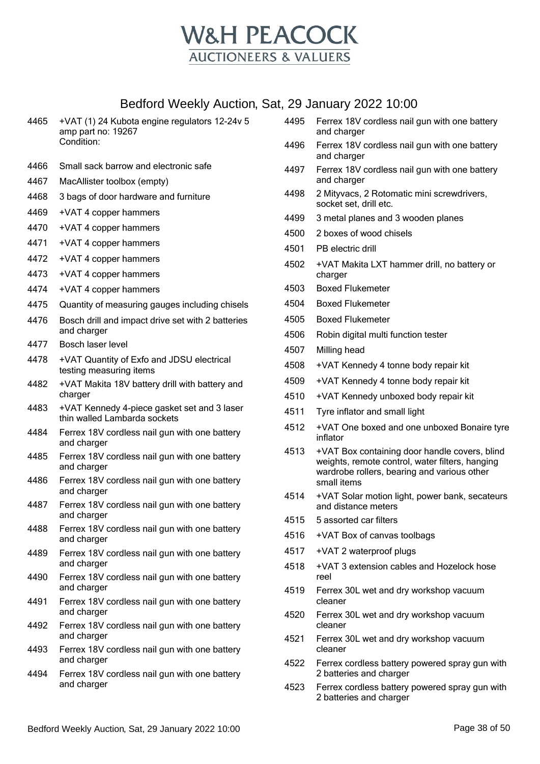

| 4465 | +VAT (1) 24 Kubota engine regulators 12-24v 5<br>amp part no: 19267<br>Condition: |
|------|-----------------------------------------------------------------------------------|
|      |                                                                                   |

- Small sack barrow and electronic safe
- MacAllister toolbox (empty)
- 3 bags of door hardware and furniture
- +VAT 4 copper hammers
- +VAT 4 copper hammers
- +VAT 4 copper hammers
- +VAT 4 copper hammers
- +VAT 4 copper hammers
- +VAT 4 copper hammers
- Quantity of measuring gauges including chisels
- Bosch drill and impact drive set with 2 batteries and charger
- Bosch laser level
- +VAT Quantity of Exfo and JDSU electrical testing measuring items
- +VAT Makita 18V battery drill with battery and charger
- +VAT Kennedy 4-piece gasket set and 3 laser thin walled Lambarda sockets
- Ferrex 18V cordless nail gun with one battery and charger
- Ferrex 18V cordless nail gun with one battery and charger
- Ferrex 18V cordless nail gun with one battery and charger
- Ferrex 18V cordless nail gun with one battery and charger
- Ferrex 18V cordless nail gun with one battery and charger
- Ferrex 18V cordless nail gun with one battery and charger
- Ferrex 18V cordless nail gun with one battery and charger
- Ferrex 18V cordless nail gun with one battery and charger
- Ferrex 18V cordless nail gun with one battery and charger
- Ferrex 18V cordless nail gun with one battery and charger
- Ferrex 18V cordless nail gun with one battery and charger
- Ferrex 18V cordless nail gun with one battery and charger
- Ferrex 18V cordless nail gun with one battery and charger
- Ferrex 18V cordless nail gun with one battery and charger
- 2 Mityvacs, 2 Rotomatic mini screwdrivers, socket set, drill etc.
- 3 metal planes and 3 wooden planes
- 2 boxes of wood chisels
- PB electric drill
- +VAT Makita LXT hammer drill, no battery or charger
- Boxed Flukemeter
- Boxed Flukemeter
- Boxed Flukemeter
- Robin digital multi function tester
- Milling head
- +VAT Kennedy 4 tonne body repair kit
- +VAT Kennedy 4 tonne body repair kit
- +VAT Kennedy unboxed body repair kit
- Tyre inflator and small light
- +VAT One boxed and one unboxed Bonaire tyre inflator
- +VAT Box containing door handle covers, blind weights, remote control, water filters, hanging wardrobe rollers, bearing and various other small items
- +VAT Solar motion light, power bank, secateurs and distance meters
- 5 assorted car filters
- +VAT Box of canvas toolbags
- +VAT 2 waterproof plugs
- +VAT 3 extension cables and Hozelock hose reel
- Ferrex 30L wet and dry workshop vacuum cleaner
- Ferrex 30L wet and dry workshop vacuum cleaner
- Ferrex 30L wet and dry workshop vacuum cleaner
- Ferrex cordless battery powered spray gun with 2 batteries and charger
- Ferrex cordless battery powered spray gun with 2 batteries and charger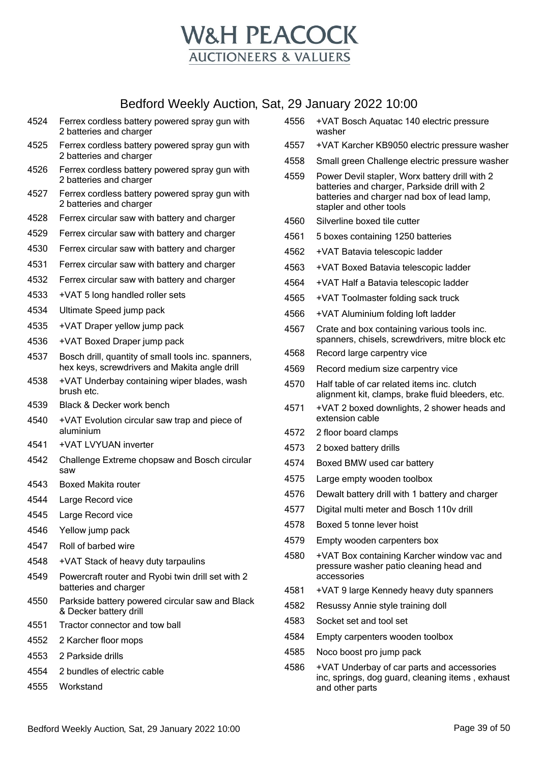

- Ferrex cordless battery powered spray gun with 2 batteries and charger
- Ferrex cordless battery powered spray gun with 2 batteries and charger
- Ferrex cordless battery powered spray gun with 2 batteries and charger
- Ferrex cordless battery powered spray gun with 2 batteries and charger
- Ferrex circular saw with battery and charger
- Ferrex circular saw with battery and charger
- Ferrex circular saw with battery and charger
- Ferrex circular saw with battery and charger
- Ferrex circular saw with battery and charger
- +VAT 5 long handled roller sets
- Ultimate Speed jump pack
- +VAT Draper yellow jump pack
- +VAT Boxed Draper jump pack
- Bosch drill, quantity of small tools inc. spanners, hex keys, screwdrivers and Makita angle drill
- +VAT Underbay containing wiper blades, wash brush etc.
- Black & Decker work bench
- +VAT Evolution circular saw trap and piece of aluminium
- +VAT LVYUAN inverter
- Challenge Extreme chopsaw and Bosch circular saw
- Boxed Makita router
- Large Record vice
- Large Record vice
- Yellow jump pack
- Roll of barbed wire
- +VAT Stack of heavy duty tarpaulins
- Powercraft router and Ryobi twin drill set with 2 batteries and charger
- Parkside battery powered circular saw and Black & Decker battery drill
- Tractor connector and tow ball
- 2 Karcher floor mops
- 2 Parkside drills
- 2 bundles of electric cable
- Workstand
- +VAT Bosch Aquatac 140 electric pressure washer
- +VAT Karcher KB9050 electric pressure washer
- Small green Challenge electric pressure washer
- Power Devil stapler, Worx battery drill with 2 batteries and charger, Parkside drill with 2 batteries and charger nad box of lead lamp, stapler and other tools
- Silverline boxed tile cutter
- 5 boxes containing 1250 batteries
- +VAT Batavia telescopic ladder
- +VAT Boxed Batavia telescopic ladder
- +VAT Half a Batavia telescopic ladder
- +VAT Toolmaster folding sack truck
- +VAT Aluminium folding loft ladder
- Crate and box containing various tools inc. spanners, chisels, screwdrivers, mitre block etc
- Record large carpentry vice
- Record medium size carpentry vice
- Half table of car related items inc. clutch alignment kit, clamps, brake fluid bleeders, etc.
- +VAT 2 boxed downlights, 2 shower heads and extension cable
- 2 floor board clamps
- 2 boxed battery drills
- Boxed BMW used car battery
- Large empty wooden toolbox
- Dewalt battery drill with 1 battery and charger
- Digital multi meter and Bosch 110v drill
- Boxed 5 tonne lever hoist
- Empty wooden carpenters box
- +VAT Box containing Karcher window vac and pressure washer patio cleaning head and accessories
- +VAT 9 large Kennedy heavy duty spanners
- Resussy Annie style training doll
- Socket set and tool set
- Empty carpenters wooden toolbox
- Noco boost pro jump pack
- +VAT Underbay of car parts and accessories inc, springs, dog guard, cleaning items , exhaust and other parts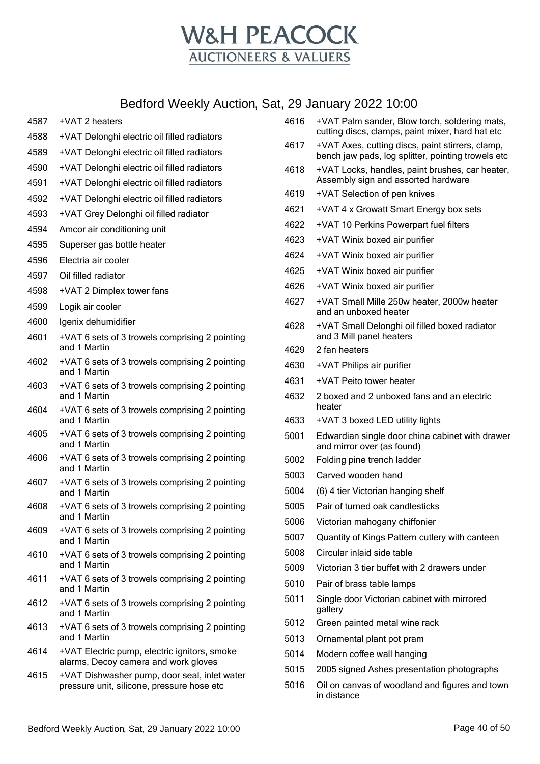

| 4587 | +VAT 2 heaters                                                                             |
|------|--------------------------------------------------------------------------------------------|
| 4588 | +VAT Delonghi electric oil filled radiators                                                |
| 4589 | +VAT Delonghi electric oil filled radiators                                                |
| 4590 | +VAT Delonghi electric oil filled radiators                                                |
| 4591 | +VAT Delonghi electric oil filled radiators                                                |
| 4592 | +VAT Delonghi electric oil filled radiators                                                |
| 4593 | +VAT Grey Delonghi oil filled radiator                                                     |
| 4594 | Amcor air conditioning unit                                                                |
| 4595 | Superser gas bottle heater                                                                 |
| 4596 | Electria air cooler                                                                        |
| 4597 | Oil filled radiator                                                                        |
| 4598 | +VAT 2 Dimplex tower fans                                                                  |
| 4599 | Logik air cooler                                                                           |
| 4600 | Igenix dehumidifier                                                                        |
| 4601 | +VAT 6 sets of 3 trowels comprising 2 pointing<br>and 1 Martin                             |
| 4602 | +VAT 6 sets of 3 trowels comprising 2 pointing<br>and 1 Martin                             |
| 4603 | +VAT 6 sets of 3 trowels comprising 2 pointing<br>and 1 Martin                             |
| 4604 | +VAT 6 sets of 3 trowels comprising 2 pointing<br>and 1 Martin                             |
| 4605 | +VAT 6 sets of 3 trowels comprising 2 pointing<br>and 1 Martin                             |
| 4606 | +VAT 6 sets of 3 trowels comprising 2 pointing<br>and 1 Martin                             |
| 4607 | +VAT 6 sets of 3 trowels comprising 2 pointing<br>and 1 Martin                             |
| 4608 | +VAT 6 sets of 3 trowels comprising 2 pointing<br>and 1 Martin                             |
| 4609 | +VAT 6 sets of 3 trowels comprising 2 pointing<br>and 1 Martin                             |
| 4610 | +VAT 6 sets of 3 trowels comprising 2 pointing<br>and 1 Martin                             |
| 4611 | +VAT 6 sets of 3 trowels comprising 2 pointing<br>and 1 Martin                             |
| 4612 | +VAT 6 sets of 3 trowels comprising 2 pointing<br>and 1 Martin                             |
| 4613 | +VAT 6 sets of 3 trowels comprising 2 pointing<br>and 1 Martin                             |
| 4614 | +VAT Electric pump, electric ignitors, smoke<br>alarms, Decoy camera and work gloves       |
| 4615 | +VAT Dishwasher pump, door seal, inlet water<br>pressure unit, silicone, pressure hose etc |
|      |                                                                                            |

| 4617 | +VAT Axes, cutting discs, paint stirrers, clamp,<br>bench jaw pads, log splitter, pointing trowels etc |
|------|--------------------------------------------------------------------------------------------------------|
| 4618 | +VAT Locks, handles, paint brushes, car heater,<br>Assembly sign and assorted hardware                 |
| 4619 | +VAT Selection of pen knives                                                                           |
| 4621 | +VAT 4 x Growatt Smart Energy box sets                                                                 |
| 4622 | +VAT 10 Perkins Powerpart fuel filters                                                                 |
| 4623 | +VAT Winix boxed air purifier                                                                          |
| 4624 | +VAT Winix boxed air purifier                                                                          |
| 4625 | +VAT Winix boxed air purifier                                                                          |
| 4626 | +VAT Winix boxed air purifier                                                                          |
| 4627 | +VAT Small Mille 250w heater, 2000w heater<br>and an unboxed heater                                    |
| 4628 | +VAT Small Delonghi oil filled boxed radiator<br>and 3 Mill panel heaters                              |
| 4629 | 2 fan heaters                                                                                          |
| 4630 | +VAT Philips air purifier                                                                              |
| 4631 | +VAT Peito tower heater                                                                                |
| 4632 | 2 boxed and 2 unboxed fans and an electric<br>heater                                                   |
| 4633 | +VAT 3 boxed LED utility lights                                                                        |
| 5001 | Edwardian single door china cabinet with drawer<br>and mirror over (as found)                          |
| 5002 | Folding pine trench ladder                                                                             |
| 5003 | Carved wooden hand                                                                                     |
| 5004 | (6) 4 tier Victorian hanging shelf                                                                     |
| 5005 | Pair of turned oak candlesticks                                                                        |
| 5006 | Victorian mahogany chiffonier                                                                          |
| 5007 | Quantity of Kings Pattern cutlery with canteen                                                         |
| 5008 | Circular inlaid side table                                                                             |
| 5009 | Victorian 3 tier buffet with 2 drawers under                                                           |
| 5010 | Pair of brass table lamps                                                                              |
| 5011 | Single door Victorian cabinet with mirrored<br>gallery                                                 |
| 5012 | Green painted metal wine rack                                                                          |
| 5013 | Ornamental plant pot pram                                                                              |
| 5014 | Modern coffee wall hanging                                                                             |
| 5015 | 2005 signed Ashes presentation photographs                                                             |
| 5016 | Oil on canvas of woodland and figures and town<br>in distance                                          |
|      |                                                                                                        |

 +VAT Palm sander, Blow torch, soldering mats, cutting discs, clamps, paint mixer, hard hat etc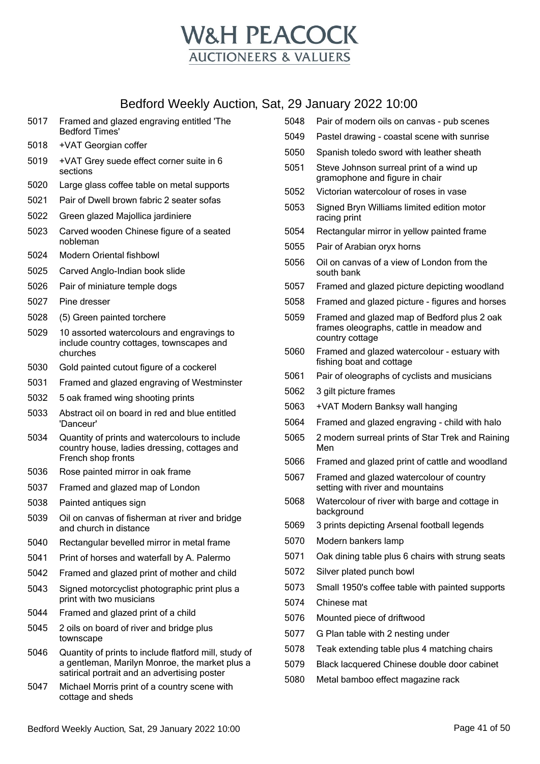

- Framed and glazed engraving entitled 'The Bedford Times'
- +VAT Georgian coffer
- +VAT Grey suede effect corner suite in 6 sections
- Large glass coffee table on metal supports
- Pair of Dwell brown fabric 2 seater sofas
- Green glazed Majollica jardiniere
- Carved wooden Chinese figure of a seated nobleman
- Modern Oriental fishbowl
- Carved Anglo-Indian book slide
- Pair of miniature temple dogs
- Pine dresser
- (5) Green painted torchere
- 10 assorted watercolours and engravings to include country cottages, townscapes and churches
- Gold painted cutout figure of a cockerel
- Framed and glazed engraving of Westminster
- 5 oak framed wing shooting prints
- Abstract oil on board in red and blue entitled 'Danceur'
- Quantity of prints and watercolours to include country house, ladies dressing, cottages and French shop fronts
- Rose painted mirror in oak frame
- Framed and glazed map of London
- Painted antiques sign
- Oil on canvas of fisherman at river and bridge and church in distance
- Rectangular bevelled mirror in metal frame
- Print of horses and waterfall by A. Palermo
- Framed and glazed print of mother and child
- Signed motorcyclist photographic print plus a print with two musicians
- Framed and glazed print of a child
- 2 oils on board of river and bridge plus townscape
- Quantity of prints to include flatford mill, study of a gentleman, Marilyn Monroe, the market plus a satirical portrait and an advertising poster
- Michael Morris print of a country scene with cottage and sheds
- Pair of modern oils on canvas pub scenes
- Pastel drawing coastal scene with sunrise
- Spanish toledo sword with leather sheath
- Steve Johnson surreal print of a wind up gramophone and figure in chair
- Victorian watercolour of roses in vase
- Signed Bryn Williams limited edition motor racing print
- Rectangular mirror in yellow painted frame
- Pair of Arabian oryx horns
- Oil on canvas of a view of London from the south bank
- Framed and glazed picture depicting woodland
- Framed and glazed picture figures and horses
- Framed and glazed map of Bedford plus 2 oak frames oleographs, cattle in meadow and country cottage
- Framed and glazed watercolour estuary with fishing boat and cottage
- Pair of oleographs of cyclists and musicians
- 3 gilt picture frames
- +VAT Modern Banksy wall hanging
- Framed and glazed engraving child with halo
- 2 modern surreal prints of Star Trek and Raining Men
- Framed and glazed print of cattle and woodland
- Framed and glazed watercolour of country setting with river and mountains
- Watercolour of river with barge and cottage in background
- 3 prints depicting Arsenal football legends
- Modern bankers lamp
- Oak dining table plus 6 chairs with strung seats
- Silver plated punch bowl
- Small 1950's coffee table with painted supports
- Chinese mat
- Mounted piece of driftwood
- G Plan table with 2 nesting under
- Teak extending table plus 4 matching chairs
- Black lacquered Chinese double door cabinet
- Metal bamboo effect magazine rack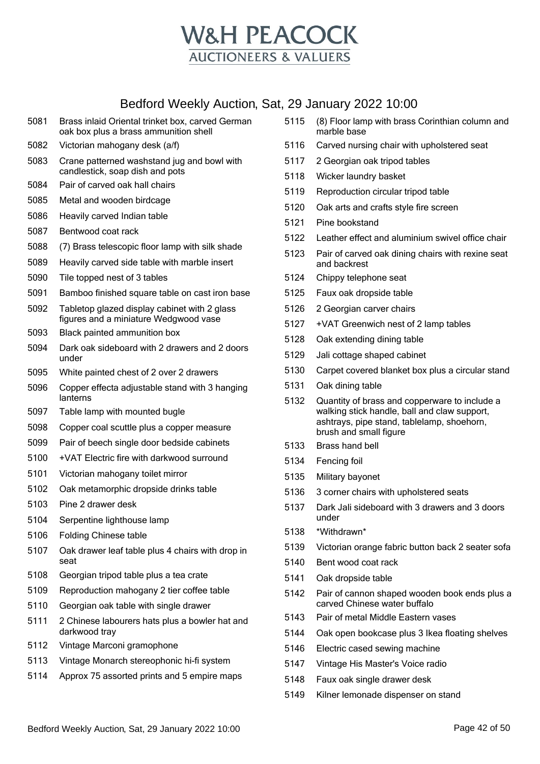

- Brass inlaid Oriental trinket box, carved German oak box plus a brass ammunition shell
- Victorian mahogany desk (a/f)
- Crane patterned washstand jug and bowl with candlestick, soap dish and pots
- Pair of carved oak hall chairs
- Metal and wooden birdcage
- Heavily carved Indian table
- Bentwood coat rack
- (7) Brass telescopic floor lamp with silk shade
- Heavily carved side table with marble insert
- Tile topped nest of 3 tables
- Bamboo finished square table on cast iron base
- Tabletop glazed display cabinet with 2 glass figures and a miniature Wedgwood vase
- Black painted ammunition box
- Dark oak sideboard with 2 drawers and 2 doors under
- White painted chest of 2 over 2 drawers
- Copper effecta adjustable stand with 3 hanging lanterns
- Table lamp with mounted bugle
- Copper coal scuttle plus a copper measure
- Pair of beech single door bedside cabinets
- +VAT Electric fire with darkwood surround
- Victorian mahogany toilet mirror
- Oak metamorphic dropside drinks table
- Pine 2 drawer desk
- Serpentine lighthouse lamp
- Folding Chinese table
- Oak drawer leaf table plus 4 chairs with drop in seat
- Georgian tripod table plus a tea crate
- Reproduction mahogany 2 tier coffee table
- Georgian oak table with single drawer
- 2 Chinese labourers hats plus a bowler hat and darkwood tray
- Vintage Marconi gramophone
- Vintage Monarch stereophonic hi-fi system
- Approx 75 assorted prints and 5 empire maps
- (8) Floor lamp with brass Corinthian column and marble base
- Carved nursing chair with upholstered seat
- 2 Georgian oak tripod tables
- Wicker laundry basket
- Reproduction circular tripod table
- Oak arts and crafts style fire screen
- Pine bookstand
- Leather effect and aluminium swivel office chair
- Pair of carved oak dining chairs with rexine seat and backrest
- Chippy telephone seat
- Faux oak dropside table
- 2 Georgian carver chairs
- +VAT Greenwich nest of 2 lamp tables
- Oak extending dining table
- Jali cottage shaped cabinet
- Carpet covered blanket box plus a circular stand
- Oak dining table
- Quantity of brass and copperware to include a walking stick handle, ball and claw support, ashtrays, pipe stand, tablelamp, shoehorn, brush and small figure
- Brass hand bell
- Fencing foil
- Military bayonet
- 3 corner chairs with upholstered seats
- Dark Jali sideboard with 3 drawers and 3 doors under
- \*Withdrawn\*
- Victorian orange fabric button back 2 seater sofa
- Bent wood coat rack
- Oak dropside table
- Pair of cannon shaped wooden book ends plus a carved Chinese water buffalo
- Pair of metal Middle Eastern vases
- Oak open bookcase plus 3 Ikea floating shelves
- Electric cased sewing machine
- Vintage His Master's Voice radio
- Faux oak single drawer desk
- Kilner lemonade dispenser on stand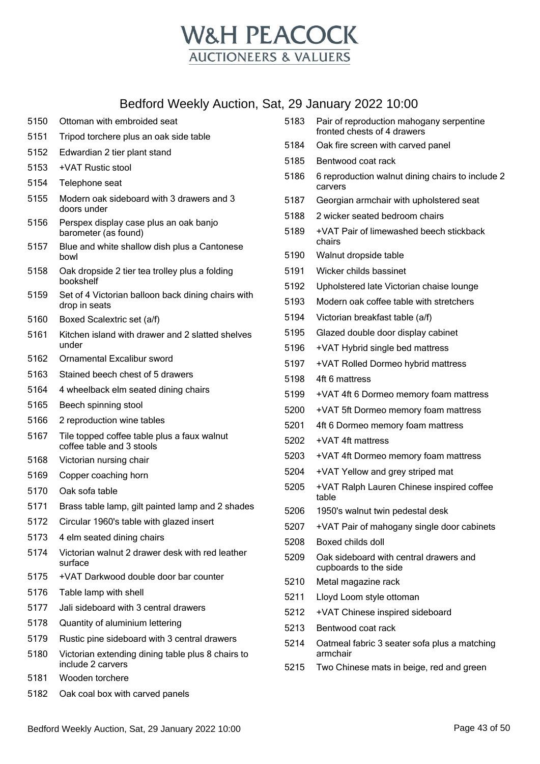

- Ottoman with embroided seat Tripod torchere plus an oak side table Edwardian 2 tier plant stand +VAT Rustic stool Telephone seat Modern oak sideboard with 3 drawers and 3 doors under Perspex display case plus an oak banjo barometer (as found) Blue and white shallow dish plus a Cantonese bowl Oak dropside 2 tier tea trolley plus a folding bookshelf Set of 4 Victorian balloon back dining chairs with drop in seats Boxed Scalextric set (a/f) Kitchen island with drawer and 2 slatted shelves under Ornamental Excalibur sword Stained beech chest of 5 drawers 4 wheelback elm seated dining chairs Beech spinning stool 2 reproduction wine tables Tile topped coffee table plus a faux walnut coffee table and 3 stools Victorian nursing chair Copper coaching horn Oak sofa table Brass table lamp, gilt painted lamp and 2 shades Circular 1960's table with glazed insert 4 elm seated dining chairs Victorian walnut 2 drawer desk with red leather surface +VAT Darkwood double door bar counter Table lamp with shell Jali sideboard with 3 central drawers Quantity of aluminium lettering Rustic pine sideboard with 3 central drawers Victorian extending dining table plus 8 chairs to include 2 carvers Wooden torchere
- Oak coal box with carved panels

| 5183 | Pair of reproduction mahogany serpentine<br>fronted chests of 4 drawers |
|------|-------------------------------------------------------------------------|
| 5184 | Oak fire screen with carved panel                                       |
| 5185 | Bentwood coat rack                                                      |
| 5186 | 6 reproduction walnut dining chairs to include 2<br>carvers             |
| 5187 | Georgian armchair with upholstered seat                                 |
| 5188 | 2 wicker seated bedroom chairs                                          |
| 5189 | +VAT Pair of limewashed beech stickback<br>chairs                       |
| 5190 | Walnut dropside table                                                   |
| 5191 | Wicker childs bassinet                                                  |
| 5192 | Upholstered late Victorian chaise lounge                                |
| 5193 | Modern oak coffee table with stretchers                                 |
| 5194 | Victorian breakfast table (a/f)                                         |
| 5195 | Glazed double door display cabinet                                      |
| 5196 | +VAT Hybrid single bed mattress                                         |
| 5197 | +VAT Rolled Dormeo hybrid mattress                                      |
| 5198 | 4ft 6 mattress                                                          |
| 5199 | +VAT 4ft 6 Dormeo memory foam mattress                                  |
| 5200 | +VAT 5ft Dormeo memory foam mattress                                    |
| 5201 | 4ft 6 Dormeo memory foam mattress                                       |
| 5202 | +VAT 4ft mattress                                                       |
| 5203 | +VAT 4ft Dormeo memory foam mattress                                    |
| 5204 | +VAT Yellow and grey striped mat                                        |
| 5205 | +VAT Ralph Lauren Chinese inspired coffee<br>table                      |
| 5206 | 1950's walnut twin pedestal desk                                        |
| 5207 | +VAT Pair of mahogany single door cabinets                              |
| 5208 | Boxed childs doll                                                       |
| 5209 | Oak sideboard with central drawers and<br>cupboards to the side         |
| 5210 | Metal magazine rack                                                     |
| 5211 | Lloyd Loom style ottoman                                                |
| 5212 | +VAT Chinese inspired sideboard                                         |
| 5213 | Bentwood coat rack                                                      |
| 5214 | Oatmeal fabric 3 seater sofa plus a matching                            |

- Oatmeal fabric 3 seater sofa plus a matching armchair
- Two Chinese mats in beige, red and green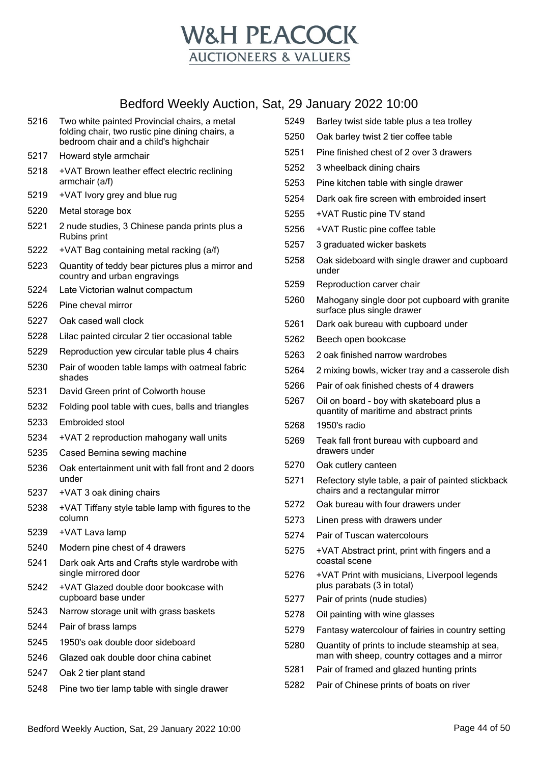

- Two white painted Provincial chairs, a metal folding chair, two rustic pine dining chairs, a bedroom chair and a child's highchair
- Howard style armchair
- +VAT Brown leather effect electric reclining armchair (a/f)
- +VAT Ivory grey and blue rug
- Metal storage box
- 2 nude studies, 3 Chinese panda prints plus a Rubins print
- +VAT Bag containing metal racking (a/f)
- Quantity of teddy bear pictures plus a mirror and country and urban engravings
- Late Victorian walnut compactum
- Pine cheval mirror
- Oak cased wall clock
- Lilac painted circular 2 tier occasional table
- Reproduction yew circular table plus 4 chairs
- Pair of wooden table lamps with oatmeal fabric shades
- David Green print of Colworth house
- Folding pool table with cues, balls and triangles
- Embroided stool
- +VAT 2 reproduction mahogany wall units
- Cased Bernina sewing machine
- Oak entertainment unit with fall front and 2 doors under
- +VAT 3 oak dining chairs
- +VAT Tiffany style table lamp with figures to the column
- +VAT Lava lamp
- Modern pine chest of 4 drawers
- Dark oak Arts and Crafts style wardrobe with single mirrored door
- +VAT Glazed double door bookcase with cupboard base under
- Narrow storage unit with grass baskets
- Pair of brass lamps
- 1950's oak double door sideboard
- Glazed oak double door china cabinet
- Oak 2 tier plant stand
- Pine two tier lamp table with single drawer
- Barley twist side table plus a tea trolley Oak barley twist 2 tier coffee table Pine finished chest of 2 over 3 drawers 3 wheelback dining chairs Pine kitchen table with single drawer Dark oak fire screen with embroided insert +VAT Rustic pine TV stand +VAT Rustic pine coffee table 3 graduated wicker baskets Oak sideboard with single drawer and cupboard under Reproduction carver chair Mahogany single door pot cupboard with granite surface plus single drawer Dark oak bureau with cupboard under Beech open bookcase 2 oak finished narrow wardrobes 2 mixing bowls, wicker tray and a casserole dish Pair of oak finished chests of 4 drawers Oil on board - boy with skateboard plus a quantity of maritime and abstract prints 1950's radio Teak fall front bureau with cupboard and drawers under Oak cutlery canteen Refectory style table, a pair of painted stickback chairs and a rectangular mirror Oak bureau with four drawers under Linen press with drawers under Pair of Tuscan watercolours +VAT Abstract print, print with fingers and a coastal scene +VAT Print with musicians, Liverpool legends plus parabats (3 in total) Pair of prints (nude studies) Oil painting with wine glasses Fantasy watercolour of fairies in country setting Quantity of prints to include steamship at sea, man with sheep, country cottages and a mirror Pair of framed and glazed hunting prints
- Pair of Chinese prints of boats on river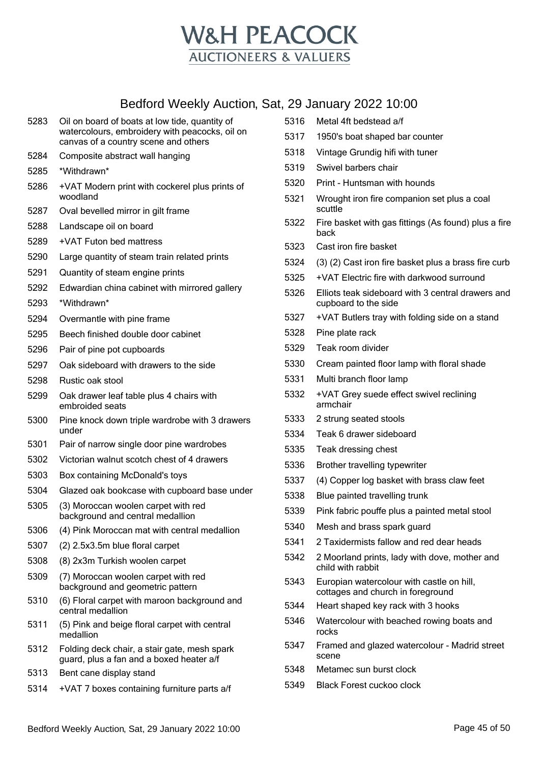

| 5283 | Oil on board of boats at low tide, quantity of<br>watercolours, embroidery with peacocks, oil on<br>canvas of a country scene and others |
|------|------------------------------------------------------------------------------------------------------------------------------------------|
| 5284 | Composite abstract wall hanging                                                                                                          |
| 5285 | *Withdrawn*                                                                                                                              |
| 5286 | +VAT Modern print with cockerel plus prints of<br>woodland                                                                               |
| 5287 | Oval bevelled mirror in gilt frame                                                                                                       |
| 5288 | Landscape oil on board                                                                                                                   |
| 5289 | +VAT Futon bed mattress                                                                                                                  |
| 5290 | Large quantity of steam train related prints                                                                                             |
| 5291 | Quantity of steam engine prints                                                                                                          |
| 5292 | Edwardian china cabinet with mirrored gallery                                                                                            |
| 5293 | *Withdrawn*                                                                                                                              |
| 5294 | Overmantle with pine frame                                                                                                               |
| 5295 | Beech finished double door cabinet                                                                                                       |
| 5296 | Pair of pine pot cupboards                                                                                                               |
| 5297 | Oak sideboard with drawers to the side                                                                                                   |
| 5298 | Rustic oak stool                                                                                                                         |
| 5299 | Oak drawer leaf table plus 4 chairs with<br>embroided seats                                                                              |
| 5300 | Pine knock down triple wardrobe with 3 drawers<br>under                                                                                  |
| 5301 | Pair of narrow single door pine wardrobes                                                                                                |
| 5302 | Victorian walnut scotch chest of 4 drawers                                                                                               |
| 5303 | Box containing McDonald's toys                                                                                                           |
| 5304 | Glazed oak bookcase with cupboard base under                                                                                             |
| 5305 | (3) Moroccan woolen carpet with red<br>background and central medallion                                                                  |
| 5306 | (4) Pink Moroccan mat with central medallion                                                                                             |
| 5307 | (2) 2.5x3.5m blue floral carpet                                                                                                          |
| 5308 | (8) 2x3m Turkish woolen carpet                                                                                                           |
| 5309 | (7) Moroccan woolen carpet with red<br>background and geometric pattern                                                                  |
| 5310 | (6) Floral carpet with maroon background and<br>central medallion                                                                        |
| 5311 | (5) Pink and beige floral carpet with central<br>medallion                                                                               |
| 5312 | Folding deck chair, a stair gate, mesh spark<br>guard, plus a fan and a boxed heater a/f                                                 |
| 5313 | Bent cane display stand                                                                                                                  |
| 5314 |                                                                                                                                          |
|      | +VAT 7 boxes containing furniture parts a/f                                                                                              |

| 5316 | Metal 4ft bedstead a/f                                                         |
|------|--------------------------------------------------------------------------------|
| 5317 | 1950's boat shaped bar counter                                                 |
| 5318 | Vintage Grundig hifi with tuner                                                |
| 5319 | Swivel barbers chair                                                           |
| 5320 | Print - Huntsman with hounds                                                   |
| 5321 | Wrought iron fire companion set plus a coal<br>scuttle                         |
| 5322 | Fire basket with gas fittings (As found) plus a fire<br>back                   |
| 5323 | Cast iron fire basket                                                          |
| 5324 | (3) (2) Cast iron fire basket plus a brass fire curb                           |
| 5325 | +VAT Electric fire with darkwood surround                                      |
| 5326 | Elliots teak sideboard with 3 central drawers and<br>cupboard to the side      |
| 5327 | +VAT Butlers tray with folding side on a stand                                 |
| 5328 | Pine plate rack                                                                |
| 5329 | Teak room divider                                                              |
| 5330 | Cream painted floor lamp with floral shade                                     |
| 5331 | Multi branch floor lamp                                                        |
| 5332 | +VAT Grey suede effect swivel reclining<br>armchair                            |
| 5333 | 2 strung seated stools                                                         |
| 5334 | Teak 6 drawer sideboard                                                        |
| 5335 | Teak dressing chest                                                            |
| 5336 | Brother travelling typewriter                                                  |
| 5337 | (4) Copper log basket with brass claw feet                                     |
| 5338 | Blue painted travelling trunk                                                  |
| 5339 | Pink fabric pouffe plus a painted metal stool                                  |
| 5340 | Mesh and brass spark guard                                                     |
| 5341 | 2 Taxidermists fallow and red dear heads                                       |
| 5342 | 2 Moorland prints, lady with dove, mother and<br>child with rabbit             |
| 5343 | Europian watercolour with castle on hill,<br>cottages and church in foreground |
| 5344 | Heart shaped key rack with 3 hooks                                             |
| 5346 | Watercolour with beached rowing boats and<br>rocks                             |
| 5347 | Framed and glazed watercolour - Madrid street<br>scene                         |
| 5348 | Metamec sun burst clock                                                        |
| 5349 | Black Forest cuckoo clock                                                      |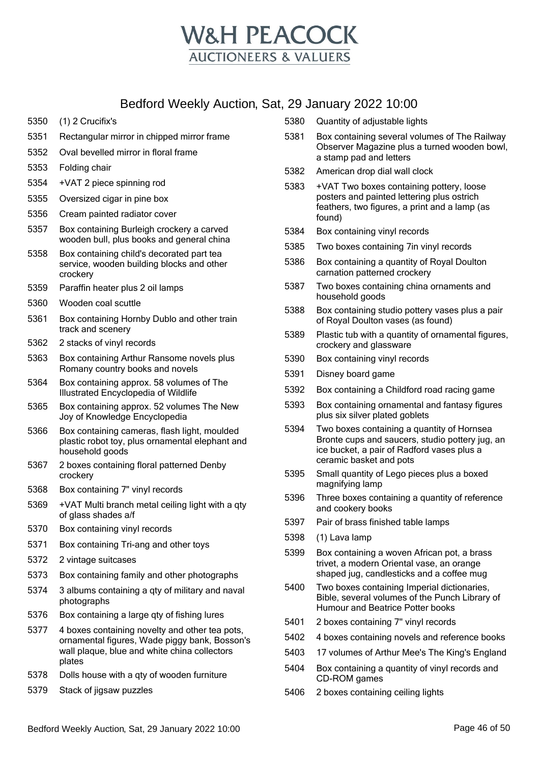

- 5350 (1) 2 Crucifix's
- 5351 Rectangular mirror in chipped mirror frame
- 5352 Oval bevelled mirror in floral frame
- 5353 Folding chair
- 5354 +VAT 2 piece spinning rod
- 5355 Oversized cigar in pine box
- 5356 Cream painted radiator cover
- 5357 Box containing Burleigh crockery a carved wooden bull, plus books and general china
- 5358 Box containing child's decorated part tea service, wooden building blocks and other crockery
- 5359 Paraffin heater plus 2 oil lamps
- 5360 Wooden coal scuttle
- 5361 Box containing Hornby Dublo and other train track and scenery
- 5362 2 stacks of vinyl records
- 5363 Box containing Arthur Ransome novels plus Romany country books and novels
- 5364 Box containing approx. 58 volumes of The Illustrated Encyclopedia of Wildlife
- 5365 Box containing approx. 52 volumes The New Joy of Knowledge Encyclopedia
- 5366 Box containing cameras, flash light, moulded plastic robot toy, plus ornamental elephant and household goods
- 5367 2 boxes containing floral patterned Denby crockery
- 5368 Box containing 7" vinyl records
- 5369 +VAT Multi branch metal ceiling light with a qty of glass shades a/f
- 5370 Box containing vinyl records
- 5371 Box containing Tri-ang and other toys
- 5372 2 vintage suitcases
- 5373 Box containing family and other photographs
- 5374 3 albums containing a qty of military and naval photographs
- 5376 Box containing a large qty of fishing lures
- 5377 4 boxes containing novelty and other tea pots, ornamental figures, Wade piggy bank, Bosson's wall plaque, blue and white china collectors plates
- 5378 Dolls house with a qty of wooden furniture
- 5379 Stack of jigsaw puzzles
- 5380 Quantity of adjustable lights
- 5381 Box containing several volumes of The Railway Observer Magazine plus a turned wooden bowl, a stamp pad and letters
- 5382 American drop dial wall clock
- 5383 +VAT Two boxes containing pottery, loose posters and painted lettering plus ostrich feathers, two figures, a print and a lamp (as found)
- 5384 Box containing vinyl records
- 5385 Two boxes containing 7in vinyl records
- 5386 Box containing a quantity of Royal Doulton carnation patterned crockery
- 5387 Two boxes containing china ornaments and household goods
- 5388 Box containing studio pottery vases plus a pair of Royal Doulton vases (as found)
- 5389 Plastic tub with a quantity of ornamental figures, crockery and glassware
- 5390 Box containing vinyl records
- 5391 Disney board game
- 5392 Box containing a Childford road racing game
- 5393 Box containing ornamental and fantasy figures plus six silver plated goblets
- 5394 Two boxes containing a quantity of Hornsea Bronte cups and saucers, studio pottery jug, an ice bucket, a pair of Radford vases plus a ceramic basket and pots
- 5395 Small quantity of Lego pieces plus a boxed magnifying lamp
- 5396 Three boxes containing a quantity of reference and cookery books
- 5397 Pair of brass finished table lamps
- 5398 (1) Lava lamp
- 5399 Box containing a woven African pot, a brass trivet, a modern Oriental vase, an orange shaped jug, candlesticks and a coffee mug
- 5400 Two boxes containing Imperial dictionaries, Bible, several volumes of the Punch Library of Humour and Beatrice Potter books
- 5401 2 boxes containing 7'' vinyl records
- 5402 4 boxes containing novels and reference books
- 5403 17 volumes of Arthur Mee's The King's England
- 5404 Box containing a quantity of vinyl records and CD-ROM games
- 5406 2 boxes containing ceiling lights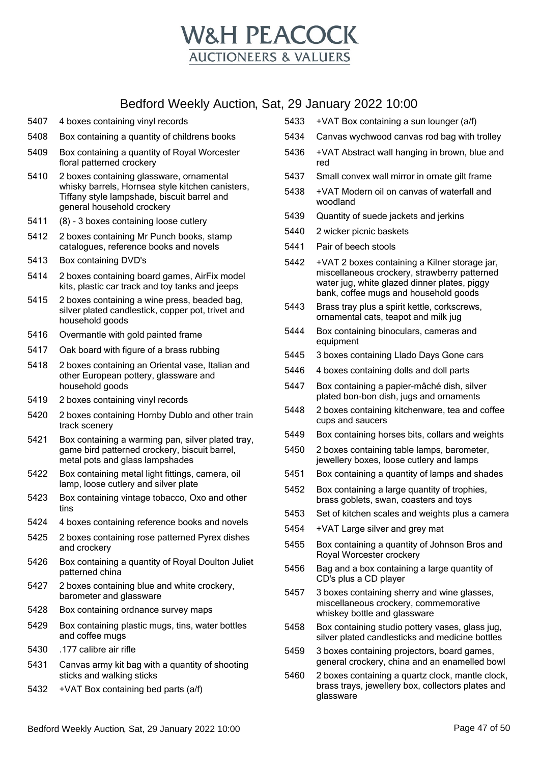

- 5407 4 boxes containing vinyl records
- 5408 Box containing a quantity of childrens books
- 5409 Box containing a quantity of Royal Worcester floral patterned crockery
- 5410 2 boxes containing glassware, ornamental whisky barrels, Hornsea style kitchen canisters, Tiffany style lampshade, biscuit barrel and general household crockery
- 5411 (8) 3 boxes containing loose cutlery
- 5412 2 boxes containing Mr Punch books, stamp catalogues, reference books and novels
- 5413 Box containing DVD's
- 5414 2 boxes containing board games, AirFix model kits, plastic car track and toy tanks and jeeps
- 5415 2 boxes containing a wine press, beaded bag, silver plated candlestick, copper pot, trivet and household goods
- 5416 Overmantle with gold painted frame
- 5417 Oak board with figure of a brass rubbing
- 5418 2 boxes containing an Oriental vase, Italian and other European pottery, glassware and household goods
- 5419 2 boxes containing vinyl records
- 5420 2 boxes containing Hornby Dublo and other train track scenery
- 5421 Box containing a warming pan, silver plated tray, game bird patterned crockery, biscuit barrel, metal pots and glass lampshades
- 5422 Box containing metal light fittings, camera, oil lamp, loose cutlery and silver plate
- 5423 Box containing vintage tobacco, Oxo and other tins
- 5424 4 boxes containing reference books and novels
- 5425 2 boxes containing rose patterned Pyrex dishes and crockery
- 5426 Box containing a quantity of Royal Doulton Juliet patterned china
- 5427 2 boxes containing blue and white crockery, barometer and glassware
- 5428 Box containing ordnance survey maps
- 5429 Box containing plastic mugs, tins, water bottles and coffee mugs
- 5430 .177 calibre air rifle
- 5431 Canvas army kit bag with a quantity of shooting sticks and walking sticks
- 5432 +VAT Box containing bed parts (a/f)
- 5433 +VAT Box containing a sun lounger (a/f)
- 5434 Canvas wychwood canvas rod bag with trolley
- 5436 +VAT Abstract wall hanging in brown, blue and red
- 5437 Small convex wall mirror in ornate gilt frame
- 5438 +VAT Modern oil on canvas of waterfall and woodland
- 5439 Quantity of suede jackets and jerkins
- 5440 2 wicker picnic baskets
- 5441 Pair of beech stools
- 5442 +VAT 2 boxes containing a Kilner storage jar, miscellaneous crockery, strawberry patterned water jug, white glazed dinner plates, piggy bank, coffee mugs and household goods
- 5443 Brass tray plus a spirit kettle, corkscrews, ornamental cats, teapot and milk jug
- 5444 Box containing binoculars, cameras and equipment
- 5445 3 boxes containing Llado Days Gone cars
- 5446 4 boxes containing dolls and doll parts
- 5447 Box containing a papier-mâché dish, silver plated bon-bon dish, jugs and ornaments
- 5448 2 boxes containing kitchenware, tea and coffee cups and saucers
- 5449 Box containing horses bits, collars and weights
- 5450 2 boxes containing table lamps, barometer, jewellery boxes, loose cutlery and lamps
- 5451 Box containing a quantity of lamps and shades
- 5452 Box containing a large quantity of trophies, brass goblets, swan, coasters and toys
- 5453 Set of kitchen scales and weights plus a camera
- 5454 +VAT Large silver and grey mat
- 5455 Box containing a quantity of Johnson Bros and Royal Worcester crockery
- 5456 Bag and a box containing a large quantity of CD's plus a CD player
- 5457 3 boxes containing sherry and wine glasses, miscellaneous crockery, commemorative whiskey bottle and glassware
- 5458 Box containing studio pottery vases, glass jug, silver plated candlesticks and medicine bottles
- 5459 3 boxes containing projectors, board games, general crockery, china and an enamelled bowl
- 5460 2 boxes containing a quartz clock, mantle clock, brass trays, jewellery box, collectors plates and glassware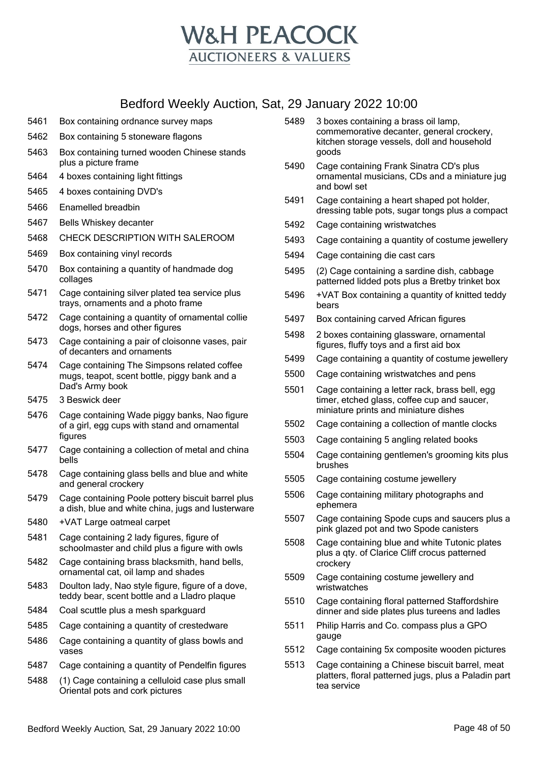

- 5461 Box containing ordnance survey maps
- 5462 Box containing 5 stoneware flagons
- 5463 Box containing turned wooden Chinese stands plus a picture frame
- 5464 4 boxes containing light fittings
- 5465 4 boxes containing DVD's
- 5466 Enamelled breadbin
- 5467 Bells Whiskey decanter
- 5468 CHECK DESCRIPTION WITH SALEROOM
- 5469 Box containing vinyl records
- 5470 Box containing a quantity of handmade dog collages
- 5471 Cage containing silver plated tea service plus trays, ornaments and a photo frame
- 5472 Cage containing a quantity of ornamental collie dogs, horses and other figures
- 5473 Cage containing a pair of cloisonne vases, pair of decanters and ornaments
- 5474 Cage containing The Simpsons related coffee mugs, teapot, scent bottle, piggy bank and a Dad's Army book
- 5475 3 Beswick deer
- 5476 Cage containing Wade piggy banks, Nao figure of a girl, egg cups with stand and ornamental figures
- 5477 Cage containing a collection of metal and china bells
- 5478 Cage containing glass bells and blue and white and general crockery
- 5479 Cage containing Poole pottery biscuit barrel plus a dish, blue and white china, jugs and lusterware
- 5480 +VAT Large oatmeal carpet
- 5481 Cage containing 2 lady figures, figure of schoolmaster and child plus a figure with owls
- 5482 Cage containing brass blacksmith, hand bells, ornamental cat, oil lamp and shades
- 5483 Doulton lady, Nao style figure, figure of a dove, teddy bear, scent bottle and a Lladro plaque
- 5484 Coal scuttle plus a mesh sparkguard
- 5485 Cage containing a quantity of crestedware
- 5486 Cage containing a quantity of glass bowls and vases
- 5487 Cage containing a quantity of Pendelfin figures
- 5488 (1) Cage containing a celluloid case plus small Oriental pots and cork pictures
- 5489 3 boxes containing a brass oil lamp, commemorative decanter, general crockery, kitchen storage vessels, doll and household goods
- 5490 Cage containing Frank Sinatra CD's plus ornamental musicians, CDs and a miniature jug and bowl set
- 5491 Cage containing a heart shaped pot holder, dressing table pots, sugar tongs plus a compact
- 5492 Cage containing wristwatches
- 5493 Cage containing a quantity of costume jewellery
- 5494 Cage containing die cast cars
- 5495 (2) Cage containing a sardine dish, cabbage patterned lidded pots plus a Bretby trinket box
- 5496 +VAT Box containing a quantity of knitted teddy bears
- 5497 Box containing carved African figures
- 5498 2 boxes containing glassware, ornamental figures, fluffy toys and a first aid box
- 5499 Cage containing a quantity of costume jewellery
- 5500 Cage containing wristwatches and pens
- 5501 Cage containing a letter rack, brass bell, egg timer, etched glass, coffee cup and saucer, miniature prints and miniature dishes
- 5502 Cage containing a collection of mantle clocks
- 5503 Cage containing 5 angling related books
- 5504 Cage containing gentlemen's grooming kits plus brushes
- 5505 Cage containing costume jewellery
- 5506 Cage containing military photographs and ephemera
- 5507 Cage containing Spode cups and saucers plus a pink glazed pot and two Spode canisters
- 5508 Cage containing blue and white Tutonic plates plus a qty. of Clarice Cliff crocus patterned crockery
- 5509 Cage containing costume jewellery and wristwatches
- 5510 Cage containing floral patterned Staffordshire dinner and side plates plus tureens and ladles
- 5511 Philip Harris and Co. compass plus a GPO gauge
- 5512 Cage containing 5x composite wooden pictures
- 5513 Cage containing a Chinese biscuit barrel, meat platters, floral patterned jugs, plus a Paladin part tea service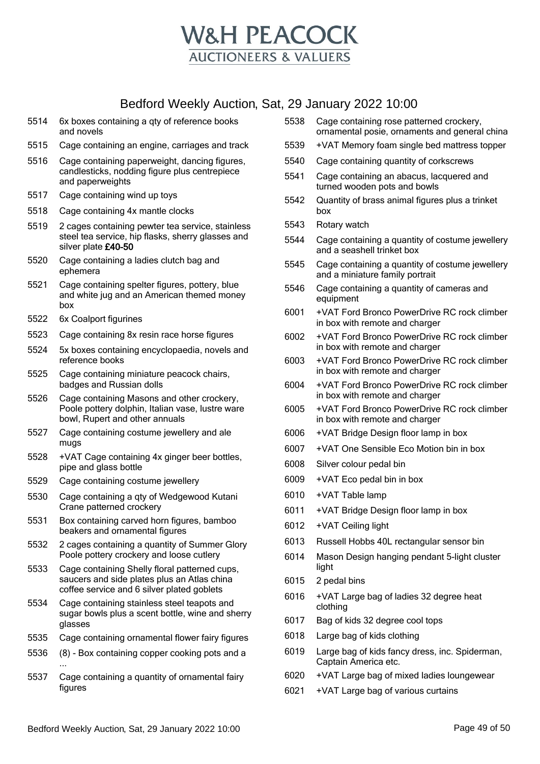

- 5514 6x boxes containing a qty of reference books and novels
- 5515 Cage containing an engine, carriages and track
- 5516 Cage containing paperweight, dancing figures, candlesticks, nodding figure plus centrepiece and paperweights
- 5517 Cage containing wind up toys
- 5518 Cage containing 4x mantle clocks
- 5519 2 cages containing pewter tea service, stainless steel tea service, hip flasks, sherry glasses and silver plate £40-50
- 5520 Cage containing a ladies clutch bag and ephemera
- 5521 Cage containing spelter figures, pottery, blue and white jug and an American themed money box
- 5522 6x Coalport figurines
- 5523 Cage containing 8x resin race horse figures
- 5524 5x boxes containing encyclopaedia, novels and reference books
- 5525 Cage containing miniature peacock chairs, badges and Russian dolls
- 5526 Cage containing Masons and other crockery, Poole pottery dolphin, Italian vase, lustre ware bowl, Rupert and other annuals
- 5527 Cage containing costume jewellery and ale mugs
- 5528 +VAT Cage containing 4x ginger beer bottles, pipe and glass bottle
- 5529 Cage containing costume jewellery
- 5530 Cage containing a qty of Wedgewood Kutani Crane patterned crockery
- 5531 Box containing carved horn figures, bamboo beakers and ornamental figures
- 5532 2 cages containing a quantity of Summer Glory Poole pottery crockery and loose cutlery
- 5533 Cage containing Shelly floral patterned cups, saucers and side plates plus an Atlas china coffee service and 6 silver plated goblets
- 5534 Cage containing stainless steel teapots and sugar bowls plus a scent bottle, wine and sherry glasses
- 5535 Cage containing ornamental flower fairy figures
- 5536 (8) Box containing copper cooking pots and a ...
- 5537 Cage containing a quantity of ornamental fairy figures
- 5538 Cage containing rose patterned crockery, ornamental posie, ornaments and general china
- 5539 +VAT Memory foam single bed mattress topper
- 5540 Cage containing quantity of corkscrews
- 5541 Cage containing an abacus, lacquered and turned wooden pots and bowls
- 5542 Quantity of brass animal figures plus a trinket box
- 5543 Rotary watch
- 5544 Cage containing a quantity of costume jewellery and a seashell trinket box
- 5545 Cage containing a quantity of costume jewellery and a miniature family portrait
- 5546 Cage containing a quantity of cameras and equipment
- 6001 +VAT Ford Bronco PowerDrive RC rock climber in box with remote and charger
- 6002 +VAT Ford Bronco PowerDrive RC rock climber in box with remote and charger
- 6003 +VAT Ford Bronco PowerDrive RC rock climber in box with remote and charger
- 6004 +VAT Ford Bronco PowerDrive RC rock climber in box with remote and charger
- 6005 +VAT Ford Bronco PowerDrive RC rock climber in box with remote and charger
- 6006 +VAT Bridge Design floor lamp in box
- 6007 +VAT One Sensible Eco Motion bin in box
- 6008 Silver colour pedal bin
- 6009 +VAT Eco pedal bin in box
- 6010 +VAT Table lamp
- 6011 +VAT Bridge Design floor lamp in box
- 6012 +VAT Ceiling light
- 6013 Russell Hobbs 40L rectangular sensor bin
- 6014 Mason Design hanging pendant 5-light cluster light
- 6015 2 pedal bins
- 6016 +VAT Large bag of ladies 32 degree heat clothing
- 6017 Bag of kids 32 degree cool tops
- 6018 Large bag of kids clothing
- 6019 Large bag of kids fancy dress, inc. Spiderman, Captain America etc.
- 6020 +VAT Large bag of mixed ladies loungewear
- 6021 +VAT Large bag of various curtains